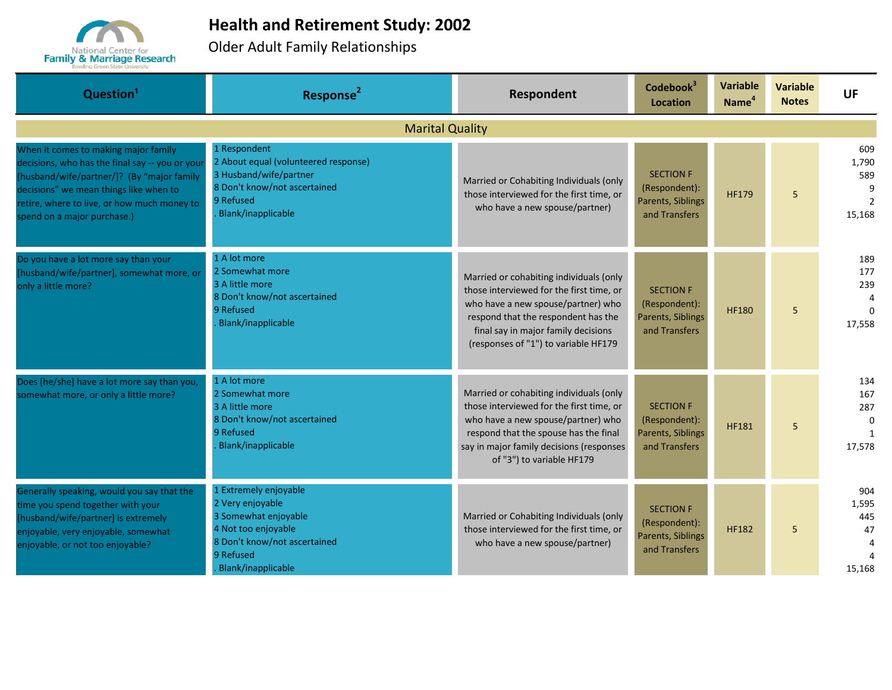

## **Health and Retirement Study: 2002**

Older Adult Family Relationships

| Question <sup>1</sup>                                                                                                                                                                                                                                         | Response <sup>2</sup>                                                                                                                                       | Respondent                                                                                                                                                                                                                                      | Codebook <sup>3</sup><br>Location                                       | <b>Variable</b><br>Name <sup>4</sup> | <b>Variable</b><br><b>Notes</b> | UF                                                   |  |  |  |
|---------------------------------------------------------------------------------------------------------------------------------------------------------------------------------------------------------------------------------------------------------------|-------------------------------------------------------------------------------------------------------------------------------------------------------------|-------------------------------------------------------------------------------------------------------------------------------------------------------------------------------------------------------------------------------------------------|-------------------------------------------------------------------------|--------------------------------------|---------------------------------|------------------------------------------------------|--|--|--|
| <b>Marital Quality</b>                                                                                                                                                                                                                                        |                                                                                                                                                             |                                                                                                                                                                                                                                                 |                                                                         |                                      |                                 |                                                      |  |  |  |
| When it comes to making major family<br>decisions, who has the final say -- you or your<br>[husband/wife/partner/]? (By "major family<br>decisions" we mean things like when to<br>retire, where to live, or how much money to<br>spend on a major purchase.) | 1 Respondent<br>2 About equal (volunteered response)<br>3 Husband/wife/partner<br>8 Don't know/not ascertained<br>9 Refused<br>Blank/inapplicable           | Married or Cohabiting Individuals (only<br>those interviewed for the first time, or<br>who have a new spouse/partner)                                                                                                                           | <b>SECTION F</b><br>(Respondent):<br>Parents, Siblings<br>and Transfers | <b>HF179</b>                         | 5                               | 609<br>1,790<br>589<br>9<br>$\overline{2}$<br>15,168 |  |  |  |
| Do you have a lot more say than your<br>[husband/wife/partner], somewhat more, or<br>only a little more?                                                                                                                                                      | 1 A lot more<br>2 Somewhat more<br>3 A little more<br>8 Don't know/not ascertained<br>9 Refused<br><b>Blank/inapplicable</b>                                | Married or cohabiting individuals (only<br>those interviewed for the first time, or<br>who have a new spouse/partner) who<br>respond that the respondent has the<br>final say in major family decisions<br>(responses of "1") to variable HF179 | <b>SECTION F</b><br>(Respondent):<br>Parents, Siblings<br>and Transfers | <b>HF180</b>                         | 5                               | 189<br>177<br>239<br>4<br>$\Omega$<br>17,558         |  |  |  |
| Does [he/she] have a lot more say than you,<br>somewhat more, or only a little more?                                                                                                                                                                          | 1 A lot more<br>2 Somewhat more<br>3 A little more<br>8 Don't know/not ascertained<br>9 Refused<br>Blank/inapplicable                                       | Married or cohabiting individuals (only<br>those interviewed for the first time, or<br>who have a new spouse/partner) who<br>respond that the spouse has the final<br>say in major family decisions (responses<br>of "3") to variable HF179     | <b>SECTION F</b><br>(Respondent):<br>Parents, Siblings<br>and Transfers | <b>HF181</b>                         | 5                               | 134<br>167<br>287<br>0<br>$\mathbf{1}$<br>17,578     |  |  |  |
| Generally speaking, would you say that the<br>time you spend together with your<br>[husband/wife/partner] is extremely<br>enjoyable, very enjoyable, somewhat<br>enjoyable, or not too enjoyable?                                                             | 1 Extremely enjoyable<br>2 Very enjoyable<br>3 Somewhat enjoyable<br>4 Not too enjoyable<br>8 Don't know/not ascertained<br>9 Refused<br>Blank/inapplicable | Married or Cohabiting Individuals (only<br>those interviewed for the first time, or<br>who have a new spouse/partner)                                                                                                                           | <b>SECTION F</b><br>(Respondent):<br>Parents, Siblings<br>and Transfers | <b>HF182</b>                         | 5                               | 904<br>1,595<br>445<br>47<br>4<br>15,168             |  |  |  |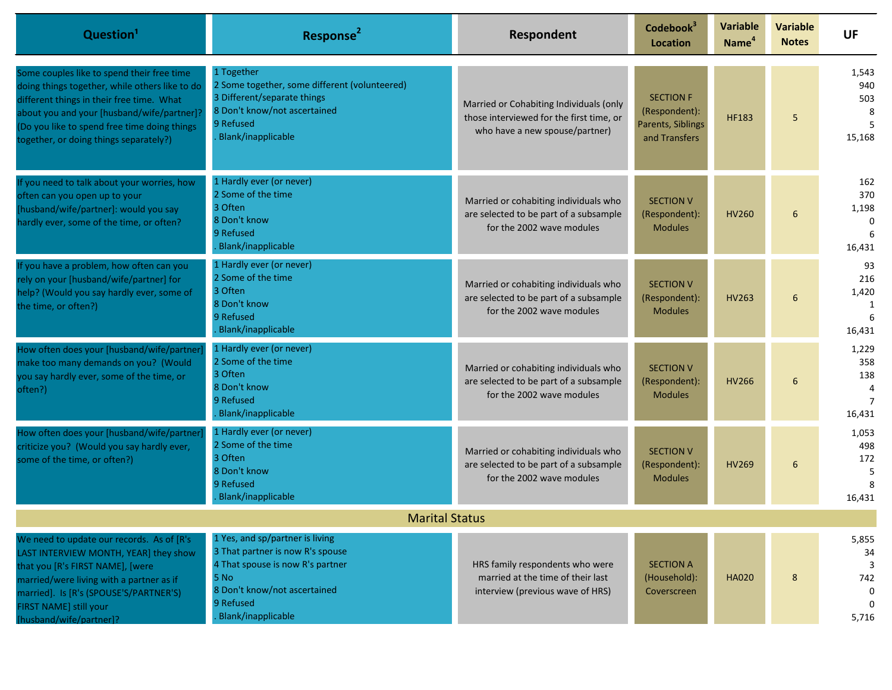| Question <sup>1</sup>                                                                                                                                                                                                                                                             | Response <sup>2</sup>                                                                                                                                                              | Respondent                                                                                                            | Codebook <sup>3</sup><br><b>Location</b>                                | <b>Variable</b><br>Name <sup>4</sup> | <b>Variable</b><br><b>Notes</b> | <b>UF</b>                                            |
|-----------------------------------------------------------------------------------------------------------------------------------------------------------------------------------------------------------------------------------------------------------------------------------|------------------------------------------------------------------------------------------------------------------------------------------------------------------------------------|-----------------------------------------------------------------------------------------------------------------------|-------------------------------------------------------------------------|--------------------------------------|---------------------------------|------------------------------------------------------|
| Some couples like to spend their free time<br>doing things together, while others like to do<br>different things in their free time. What<br>about you and your [husband/wife/partner]?<br>(Do you like to spend free time doing things<br>together, or doing things separately?) | 1 Together<br>2 Some together, some different (volunteered)<br>3 Different/separate things<br>8 Don't know/not ascertained<br>9 Refused<br>Blank/inapplicable                      | Married or Cohabiting Individuals (only<br>those interviewed for the first time, or<br>who have a new spouse/partner) | <b>SECTION F</b><br>(Respondent):<br>Parents, Siblings<br>and Transfers | <b>HF183</b>                         | 5                               | 1,543<br>940<br>503<br>8<br>15,168                   |
| If you need to talk about your worries, how<br>often can you open up to your<br>[husband/wife/partner]: would you say<br>hardly ever, some of the time, or often?                                                                                                                 | 1 Hardly ever (or never)<br>2 Some of the time<br>3 Often<br>8 Don't know<br>9 Refused<br>Blank/inapplicable                                                                       | Married or cohabiting individuals who<br>are selected to be part of a subsample<br>for the 2002 wave modules          | <b>SECTION V</b><br>(Respondent):<br><b>Modules</b>                     | <b>HV260</b>                         | 6                               | 162<br>370<br>1,198<br>$\Omega$<br>6<br>16,431       |
| If you have a problem, how often can you<br>rely on your [husband/wife/partner] for<br>help? (Would you say hardly ever, some of<br>the time, or often?)                                                                                                                          | 1 Hardly ever (or never)<br>2 Some of the time<br>3 Often<br>8 Don't know<br>9 Refused<br>Blank/inapplicable                                                                       | Married or cohabiting individuals who<br>are selected to be part of a subsample<br>for the 2002 wave modules          | <b>SECTION V</b><br>(Respondent):<br><b>Modules</b>                     | <b>HV263</b>                         | 6                               | 93<br>216<br>1,420<br>-1<br>6<br>16,431              |
| How often does your [husband/wife/partner<br>make too many demands on you? (Would<br>you say hardly ever, some of the time, or<br>often?)                                                                                                                                         | 1 Hardly ever (or never)<br>2 Some of the time<br>3 Often<br>8 Don't know<br>9 Refused<br>Blank/inapplicable                                                                       | Married or cohabiting individuals who<br>are selected to be part of a subsample<br>for the 2002 wave modules          | <b>SECTION V</b><br>(Respondent):<br><b>Modules</b>                     | <b>HV266</b>                         | 6                               | 1,229<br>358<br>138<br>4<br>$\overline{7}$<br>16,431 |
| How often does your [husband/wife/partner<br>criticize you? (Would you say hardly ever,<br>some of the time, or often?)                                                                                                                                                           | 1 Hardly ever (or never)<br>2 Some of the time<br>3 Often<br>8 Don't know<br>9 Refused<br>Blank/inapplicable                                                                       | Married or cohabiting individuals who<br>are selected to be part of a subsample<br>for the 2002 wave modules          | <b>SECTION V</b><br>(Respondent):<br><b>Modules</b>                     | <b>HV269</b>                         | 6                               | 1,053<br>498<br>172<br>.5<br>8<br>16,431             |
|                                                                                                                                                                                                                                                                                   | <b>Marital Status</b>                                                                                                                                                              |                                                                                                                       |                                                                         |                                      |                                 |                                                      |
| We need to update our records. As of [R's]<br>LAST INTERVIEW MONTH, YEAR] they show<br>that you [R's FIRST NAME], [were<br>married/were living with a partner as if<br>married]. Is [R's (SPOUSE'S/PARTNER'S)<br>FIRST NAME] still your<br>[husband/wife/partner]?                | 1 Yes, and sp/partner is living<br>3 That partner is now R's spouse<br>4 That spouse is now R's partner<br>5 No<br>8 Don't know/not ascertained<br>9 Refused<br>Blank/inapplicable | HRS family respondents who were<br>married at the time of their last<br>interview (previous wave of HRS)              | <b>SECTION A</b><br>(Household):<br>Coverscreen                         | <b>HA020</b>                         | $\bf 8$                         | 5,855<br>34<br>3<br>742<br>0<br>5,716                |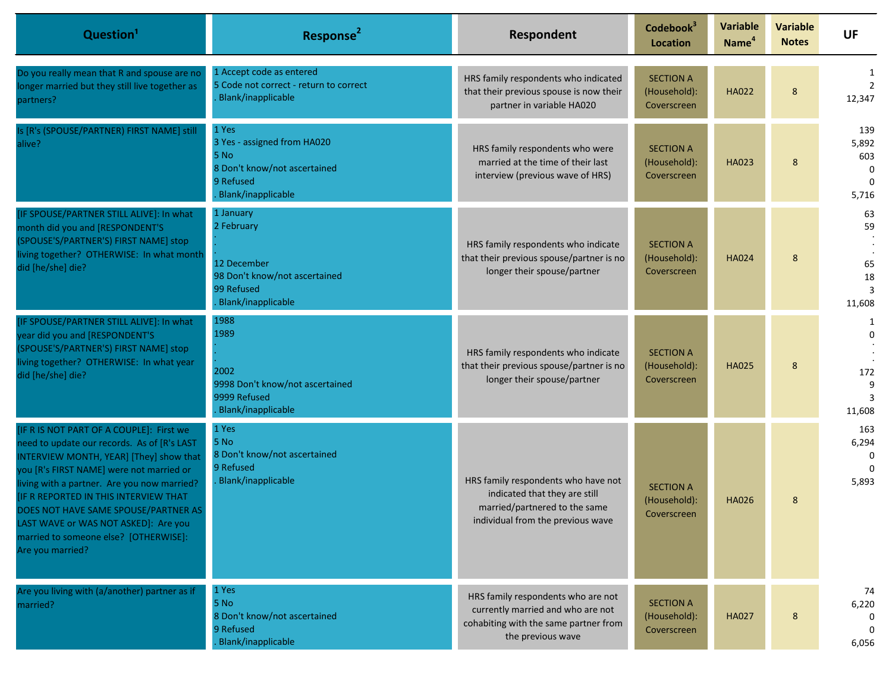| Question <sup>1</sup>                                                                                                                                                                                                                                                                                                                                                                                                      | Response <sup>2</sup>                                                                                           | Respondent                                                                                                                                 | Codebook <sup>3</sup><br><b>Location</b>        | <b>Variable</b><br>Name <sup>4</sup> | <b>Variable</b><br><b>Notes</b> | UF                                                   |
|----------------------------------------------------------------------------------------------------------------------------------------------------------------------------------------------------------------------------------------------------------------------------------------------------------------------------------------------------------------------------------------------------------------------------|-----------------------------------------------------------------------------------------------------------------|--------------------------------------------------------------------------------------------------------------------------------------------|-------------------------------------------------|--------------------------------------|---------------------------------|------------------------------------------------------|
| Do you really mean that R and spouse are no<br>longer married but they still live together as<br>partners?                                                                                                                                                                                                                                                                                                                 | 1 Accept code as entered<br>5 Code not correct - return to correct<br>Blank/inapplicable                        | HRS family respondents who indicated<br>that their previous spouse is now their<br>partner in variable HA020                               | <b>SECTION A</b><br>(Household):<br>Coverscreen | <b>HA022</b>                         | 8                               | 12,347                                               |
| Is [R's (SPOUSE/PARTNER) FIRST NAME] still<br>alive?                                                                                                                                                                                                                                                                                                                                                                       | 1 Yes<br>3 Yes - assigned from HA020<br>5 No<br>8 Don't know/not ascertained<br>9 Refused<br>Blank/inapplicable | HRS family respondents who were<br>married at the time of their last<br>interview (previous wave of HRS)                                   | <b>SECTION A</b><br>(Household):<br>Coverscreen | <b>HA023</b>                         | 8                               | 139<br>5,892<br>603<br>$\Omega$<br>$\Omega$<br>5,716 |
| [IF SPOUSE/PARTNER STILL ALIVE]: In what<br>month did you and [RESPONDENT'S<br>(SPOUSE'S/PARTNER'S) FIRST NAME] stop<br>living together? OTHERWISE: In what month<br>did [he/she] die?                                                                                                                                                                                                                                     | 1 January<br>2 February<br>12 December<br>98 Don't know/not ascertained<br>99 Refused<br>Blank/inapplicable     | HRS family respondents who indicate<br>that their previous spouse/partner is no<br>longer their spouse/partner                             | <b>SECTION A</b><br>(Household):<br>Coverscreen | <b>HA024</b>                         | 8                               | 63<br>59<br>65<br>18<br>3<br>11,608                  |
| [IF SPOUSE/PARTNER STILL ALIVE]: In what<br>year did you and [RESPONDENT'S<br>(SPOUSE'S/PARTNER'S) FIRST NAME] stop<br>living together? OTHERWISE: In what year<br>did [he/she] die?                                                                                                                                                                                                                                       | 1988<br>1989<br>2002<br>9998 Don't know/not ascertained<br>9999 Refused<br>Blank/inapplicable                   | HRS family respondents who indicate<br>that their previous spouse/partner is no<br>longer their spouse/partner                             | <b>SECTION A</b><br>(Household):<br>Coverscreen | <b>HA025</b>                         | 8                               | $\Omega$<br>172<br>9<br>11,608                       |
| [IF R IS NOT PART OF A COUPLE]: First we<br>need to update our records. As of [R's LAST<br>INTERVIEW MONTH, YEAR] [They] show that<br>you [R's FIRST NAME] were not married or<br>living with a partner. Are you now married?<br><b>[IF R REPORTED IN THIS INTERVIEW THAT</b><br>DOES NOT HAVE SAME SPOUSE/PARTNER AS<br>LAST WAVE or WAS NOT ASKED]: Are you<br>married to someone else? [OTHERWISE]:<br>Are you married? | 1 Yes<br>5 No<br>8 Don't know/not ascertained<br>9 Refused<br>Blank/inapplicable                                | HRS family respondents who have not<br>indicated that they are still<br>married/partnered to the same<br>individual from the previous wave | <b>SECTION A</b><br>(Household):<br>Coverscreen | <b>HA026</b>                         | 8                               | 163<br>6,294<br>$\Omega$<br>5,893                    |
| Are you living with (a/another) partner as if<br>married?                                                                                                                                                                                                                                                                                                                                                                  | 1 Yes<br>5 No<br>8 Don't know/not ascertained<br>9 Refused<br>Blank/inapplicable                                | HRS family respondents who are not<br>currently married and who are not<br>cohabiting with the same partner from<br>the previous wave      | <b>SECTION A</b><br>(Household):<br>Coverscreen | <b>HA027</b>                         | 8                               | 74<br>6,220<br>0<br>6,056                            |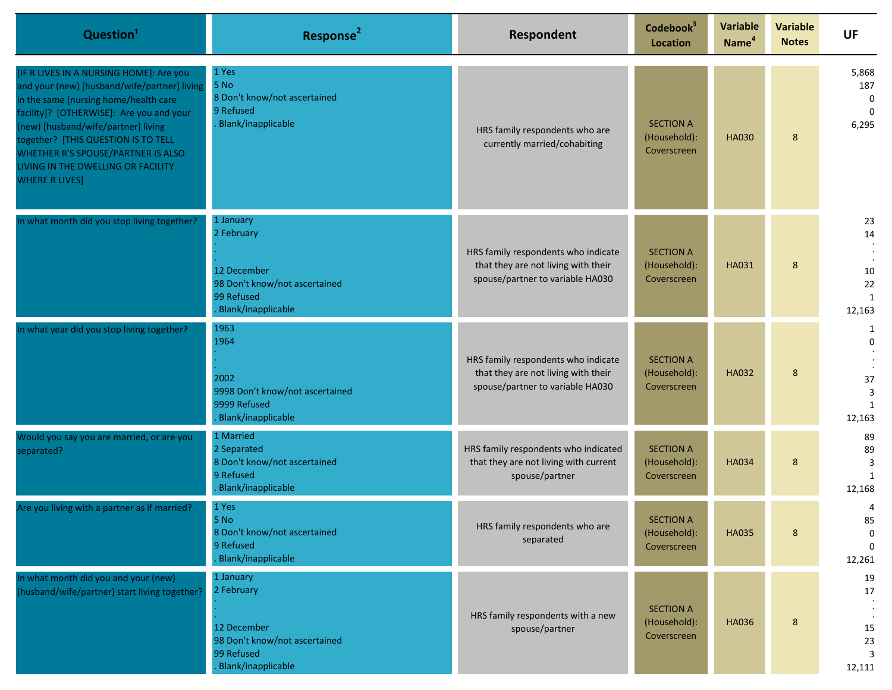| Question <sup>1</sup>                                                                                                                                                                                                                                                                                                                                           | Response <sup>2</sup>                                                                                         | Respondent                                                                                                     | Codebook <sup>3</sup><br><b>Location</b>        | <b>Variable</b><br>Name <sup>4</sup> | <b>Variable</b><br><b>Notes</b> | <b>UF</b>                                             |
|-----------------------------------------------------------------------------------------------------------------------------------------------------------------------------------------------------------------------------------------------------------------------------------------------------------------------------------------------------------------|---------------------------------------------------------------------------------------------------------------|----------------------------------------------------------------------------------------------------------------|-------------------------------------------------|--------------------------------------|---------------------------------|-------------------------------------------------------|
| [IF R LIVES IN A NURSING HOME]: Are you<br>and your (new) [husband/wife/partner] living<br>in the same [nursing home/health care<br>facility]? [OTHERWISE]: Are you and your<br>(new) [husband/wife/partner] living<br>together? [THIS QUESTION IS TO TELL<br>WHETHER R'S SPOUSE/PARTNER IS ALSO<br>LIVING IN THE DWELLING OR FACILITY<br><b>WHERE R LIVES]</b> | 1 Yes<br>5 No<br>8 Don't know/not ascertained<br>9 Refused<br><b>Blank/inapplicable</b>                       | HRS family respondents who are<br>currently married/cohabiting                                                 | <b>SECTION A</b><br>(Household):<br>Coverscreen | <b>HA030</b>                         | 8                               | 5,868<br>187<br>$\mathbf 0$<br>$\Omega$<br>6,295      |
| In what month did you stop living together?                                                                                                                                                                                                                                                                                                                     | 1 January<br>2 February<br>12 December<br>98 Don't know/not ascertained<br>99 Refused<br>. Blank/inapplicable | HRS family respondents who indicate<br>that they are not living with their<br>spouse/partner to variable HA030 | <b>SECTION A</b><br>(Household):<br>Coverscreen | HA031                                | 8                               | 23<br>14<br>10<br>22<br>1<br>12,163                   |
| In what year did you stop living together?                                                                                                                                                                                                                                                                                                                      | 1963<br>1964<br>2002<br>9998 Don't know/not ascertained<br>9999 Refused<br>. Blank/inapplicable               | HRS family respondents who indicate<br>that they are not living with their<br>spouse/partner to variable HA030 | <b>SECTION A</b><br>(Household):<br>Coverscreen | <b>HA032</b>                         | 8                               | 1<br>$\mathbf 0$<br>37<br>3<br>$\mathbf{1}$<br>12,163 |
| Would you say you are married, or are you<br>separated?                                                                                                                                                                                                                                                                                                         | 1 Married<br>2 Separated<br>8 Don't know/not ascertained<br>9 Refused<br><b>Blank/inapplicable</b>            | HRS family respondents who indicated<br>that they are not living with current<br>spouse/partner                | <b>SECTION A</b><br>(Household):<br>Coverscreen | <b>HA034</b>                         | 8                               | 89<br>89<br>3<br>$\mathbf{1}$<br>12,168               |
| Are you living with a partner as if married?                                                                                                                                                                                                                                                                                                                    | 1 Yes<br>5 No<br>8 Don't know/not ascertained<br>9 Refused<br>Blank/inapplicable                              | HRS family respondents who are<br>separated                                                                    | <b>SECTION A</b><br>(Household):<br>Coverscreen | <b>HA035</b>                         | 8                               | 4<br>85<br>$\mathbf 0$<br>$\Omega$<br>12,261          |
| In what month did you and your (new)<br>(husband/wife/partner) start living together?                                                                                                                                                                                                                                                                           | 1 January<br>2 February<br>12 December<br>98 Don't know/not ascertained<br>99 Refused<br>Blank/inapplicable   | HRS family respondents with a new<br>spouse/partner                                                            | <b>SECTION A</b><br>(Household):<br>Coverscreen | <b>HA036</b>                         | 8                               | 19<br>17<br>15<br>23<br>3<br>12,111                   |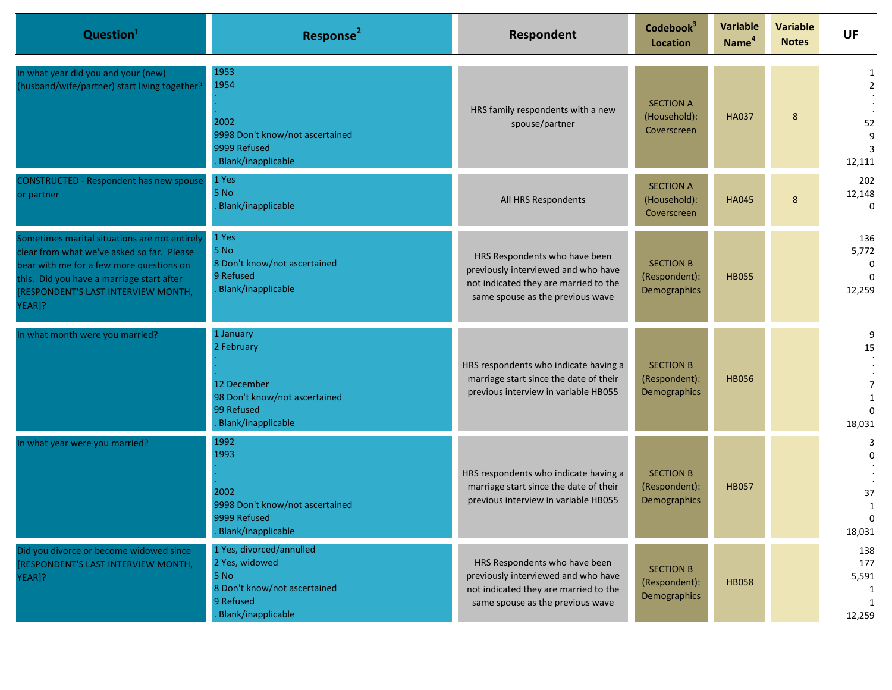| Question <sup>1</sup>                                                                                                                                                                                                                 | Response <sup>2</sup>                                                                                                 | Respondent                                                                                                                                        | Codebook <sup>3</sup><br>Location                 | <b>Variable</b><br>Name <sup>4</sup> | <b>Variable</b><br><b>Notes</b> | UF                                                 |
|---------------------------------------------------------------------------------------------------------------------------------------------------------------------------------------------------------------------------------------|-----------------------------------------------------------------------------------------------------------------------|---------------------------------------------------------------------------------------------------------------------------------------------------|---------------------------------------------------|--------------------------------------|---------------------------------|----------------------------------------------------|
| In what year did you and your (new)<br>(husband/wife/partner) start living together?                                                                                                                                                  | 1953<br>1954<br>2002<br>9998 Don't know/not ascertained<br>9999 Refused<br><b>Blank/inapplicable</b>                  | HRS family respondents with a new<br>spouse/partner                                                                                               | <b>SECTION A</b><br>(Household):<br>Coverscreen   | <b>HA037</b>                         | 8                               | 1<br>$\overline{2}$<br>52<br>9<br>3<br>12,111      |
| <b>CONSTRUCTED - Respondent has new spouse</b><br>or partner                                                                                                                                                                          | 1 Yes<br>5 No<br>Blank/inapplicable                                                                                   | All HRS Respondents                                                                                                                               | <b>SECTION A</b><br>(Household):<br>Coverscreen   | <b>HA045</b>                         | 8                               | 202<br>12,148<br>$\Omega$                          |
| Sometimes marital situations are not entirely<br>clear from what we've asked so far. Please<br>bear with me for a few more questions on<br>this. Did you have a marriage start after<br>[RESPONDENT'S LAST INTERVIEW MONTH,<br>YEAR]? | 1 Yes<br>5 No<br>8 Don't know/not ascertained<br>9 Refused<br><b>Blank/inapplicable</b>                               | HRS Respondents who have been<br>previously interviewed and who have<br>not indicated they are married to the<br>same spouse as the previous wave | <b>SECTION B</b><br>(Respondent):<br>Demographics | <b>HB055</b>                         |                                 | 136<br>5,772<br>$\Omega$<br>$\Omega$<br>12,259     |
| In what month were you married?                                                                                                                                                                                                       | 1 January<br>2 February<br>12 December<br>98 Don't know/not ascertained<br>99 Refused<br>Blank/inapplicable           | HRS respondents who indicate having a<br>marriage start since the date of their<br>previous interview in variable HB055                           | <b>SECTION B</b><br>(Respondent):<br>Demographics | <b>HB056</b>                         |                                 | 9<br>15<br>$\overline{7}$<br>1<br>0<br>18,031      |
| In what year were you married?                                                                                                                                                                                                        | 1992<br>1993<br>2002<br>9998 Don't know/not ascertained<br>9999 Refused<br>Blank/inapplicable                         | HRS respondents who indicate having a<br>marriage start since the date of their<br>previous interview in variable HB055                           | <b>SECTION B</b><br>(Respondent):<br>Demographics | <b>HB057</b>                         |                                 | 3<br>$\Omega$<br>37<br>$\mathbf{1}$<br>U<br>18,031 |
| Did you divorce or become widowed since<br>RESPONDENT'S LAST INTERVIEW MONTH,<br>YEAR]?                                                                                                                                               | 1 Yes, divorced/annulled<br>2 Yes, widowed<br>5 No<br>8 Don't know/not ascertained<br>9 Refused<br>Blank/inapplicable | HRS Respondents who have been<br>previously interviewed and who have<br>not indicated they are married to the<br>same spouse as the previous wave | <b>SECTION B</b><br>(Respondent):<br>Demographics | <b>HB058</b>                         |                                 | 138<br>177<br>5,591<br>1<br>$\mathbf{1}$<br>12,259 |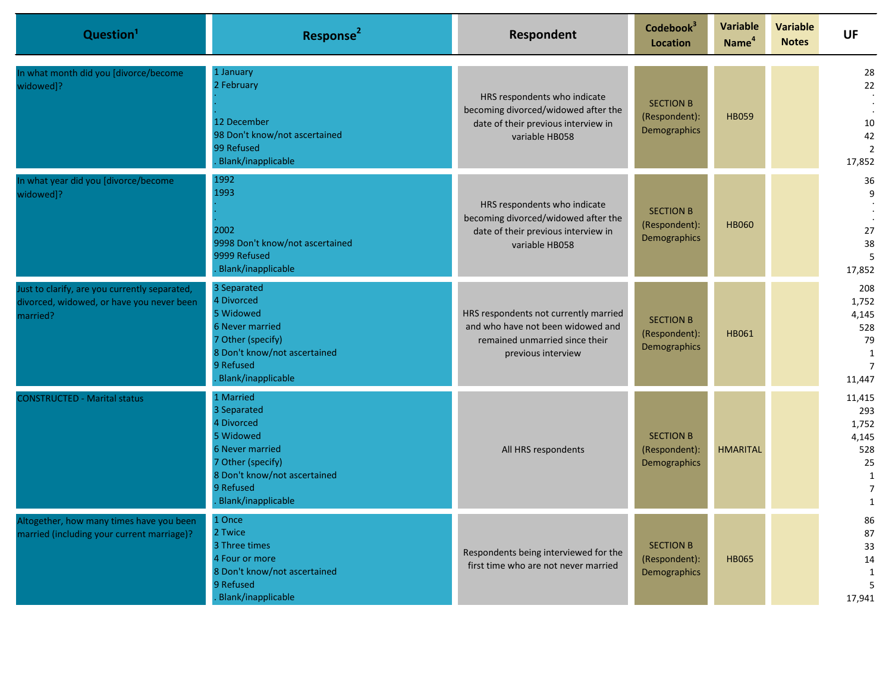| Question <sup>1</sup>                                                                                  | Response <sup>2</sup>                                                                                                                                                 | Respondent                                                                                                                         | Codebook <sup>3</sup><br>Location                 | <b>Variable</b><br>Name <sup>4</sup> | <b>Variable</b><br><b>Notes</b> | UF                                                                       |
|--------------------------------------------------------------------------------------------------------|-----------------------------------------------------------------------------------------------------------------------------------------------------------------------|------------------------------------------------------------------------------------------------------------------------------------|---------------------------------------------------|--------------------------------------|---------------------------------|--------------------------------------------------------------------------|
| In what month did you [divorce/become<br>widowed]?                                                     | 1 January<br>2 February<br>12 December<br>98 Don't know/not ascertained<br>99 Refused<br><b>Blank/inapplicable</b>                                                    | HRS respondents who indicate<br>becoming divorced/widowed after the<br>date of their previous interview in<br>variable HB058       | <b>SECTION B</b><br>(Respondent):<br>Demographics | <b>HB059</b>                         |                                 | 28<br>22<br>10<br>42<br>$\overline{2}$<br>17,852                         |
| In what year did you [divorce/become<br>widowed]?                                                      | 1992<br>1993<br>2002<br>9998 Don't know/not ascertained<br>9999 Refused<br>Blank/inapplicable                                                                         | HRS respondents who indicate<br>becoming divorced/widowed after the<br>date of their previous interview in<br>variable HB058       | <b>SECTION B</b><br>(Respondent):<br>Demographics | <b>HB060</b>                         |                                 | 36<br>9<br>27<br>38<br>5<br>17,852                                       |
| Just to clarify, are you currently separated,<br>divorced, widowed, or have you never been<br>married? | 3 Separated<br>4 Divorced<br>5 Widowed<br><b>6 Never married</b><br>7 Other (specify)<br>8 Don't know/not ascertained<br>9 Refused<br>Blank/inapplicable              | HRS respondents not currently married<br>and who have not been widowed and<br>remained unmarried since their<br>previous interview | <b>SECTION B</b><br>(Respondent):<br>Demographics | <b>HB061</b>                         |                                 | 208<br>1,752<br>4,145<br>528<br>79<br>1<br>$\overline{7}$<br>11,447      |
| <b>CONSTRUCTED - Marital status</b>                                                                    | 1 Married<br>3 Separated<br>4 Divorced<br>5 Widowed<br><b>6 Never married</b><br>7 Other (specify)<br>8 Don't know/not ascertained<br>9 Refused<br>Blank/inapplicable | All HRS respondents                                                                                                                | <b>SECTION B</b><br>(Respondent):<br>Demographics | <b>HMARITAL</b>                      |                                 | 11,415<br>293<br>1,752<br>4,145<br>528<br>25<br>1<br>$\overline{7}$<br>1 |
| Altogether, now many times have you been<br>married (including your current marriage)?                 | 1 Once<br>2 Twice<br>3 Three times<br>4 Four or more<br>8 Don't know/not ascertained<br>9 Refused<br>Blank/inapplicable                                               | Respondents being interviewed for the<br>first time who are not never married                                                      | <b>SECTION B</b><br>(Respondent):<br>Demographics | <b>HB065</b>                         |                                 | 86<br>87<br>33<br>14<br>1<br>5<br>17,941                                 |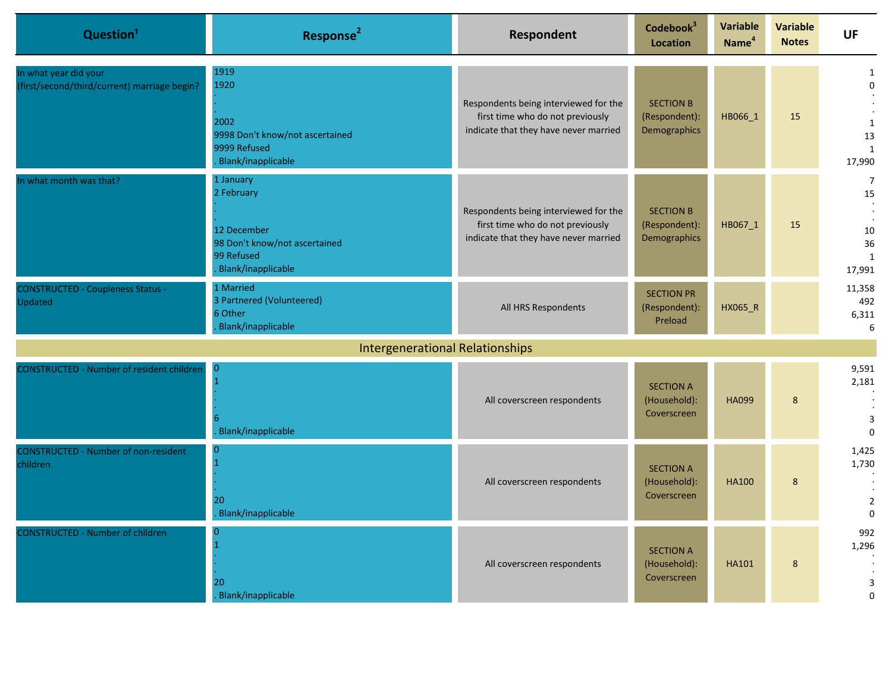| Question <sup>1</sup>                                                 | Response <sup>2</sup>                                                                                       | <b>Respondent</b>                                                                                                  | Codebook <sup>3</sup><br><b>Location</b>          | <b>Variable</b><br>Name <sup>4</sup> | <b>Variable</b><br><b>Notes</b> | <b>UF</b>                                                        |
|-----------------------------------------------------------------------|-------------------------------------------------------------------------------------------------------------|--------------------------------------------------------------------------------------------------------------------|---------------------------------------------------|--------------------------------------|---------------------------------|------------------------------------------------------------------|
| In what year did your<br>(first/second/third/current) marriage begin? | 1919<br>1920<br>2002<br>9998 Don't know/not ascertained<br>9999 Refused<br>Blank/inapplicable               | Respondents being interviewed for the<br>first time who do not previously<br>indicate that they have never married | <b>SECTION B</b><br>(Respondent):<br>Demographics | HB066_1                              | 15                              | 1<br>$\mathbf 0$<br>$\mathbf{1}$<br>13<br>$\mathbf{1}$<br>17,990 |
| In what month was that?                                               | 1 January<br>2 February<br>12 December<br>98 Don't know/not ascertained<br>99 Refused<br>Blank/inapplicable | Respondents being interviewed for the<br>first time who do not previously<br>indicate that they have never married | <b>SECTION B</b><br>(Respondent):<br>Demographics | HB067 1                              | 15                              | 7<br>15<br>10<br>36<br>$\mathbf{1}$<br>17,991                    |
| <b>CONSTRUCTED - Coupleness Status -</b><br>Updated                   | 1 Married<br>3 Partnered (Volunteered)<br>6 Other<br>Blank/inapplicable                                     | All HRS Respondents                                                                                                | <b>SECTION PR</b><br>(Respondent):<br>Preload     | HX065_R                              |                                 | 11,358<br>492<br>6,311<br>6                                      |
|                                                                       | <b>Intergenerational Relationships</b>                                                                      |                                                                                                                    |                                                   |                                      |                                 |                                                                  |
| <b>CONSTRUCTED - Number of resident children</b>                      | Blank/inapplicable                                                                                          | All coverscreen respondents                                                                                        | <b>SECTION A</b><br>(Household):<br>Coverscreen   | <b>HA099</b>                         | 8                               | 9,591<br>2,181<br>$\ensuremath{\mathsf{3}}$<br>$\mathbf 0$       |
| <b>CONSTRUCTED - Number of non-resident</b><br>children               | O<br>20<br>Blank/inapplicable                                                                               | All coverscreen respondents                                                                                        | <b>SECTION A</b><br>(Household):<br>Coverscreen   | <b>HA100</b>                         | 8                               | 1,425<br>1,730<br>$\overline{2}$<br>$\Omega$                     |
| <b>CONSTRUCTED - Number of children</b>                               | 20<br>Blank/inapplicable                                                                                    | All coverscreen respondents                                                                                        | <b>SECTION A</b><br>(Household):<br>Coverscreen   | <b>HA101</b>                         | 8                               | 992<br>1,296<br>$\mathsf 3$<br>0                                 |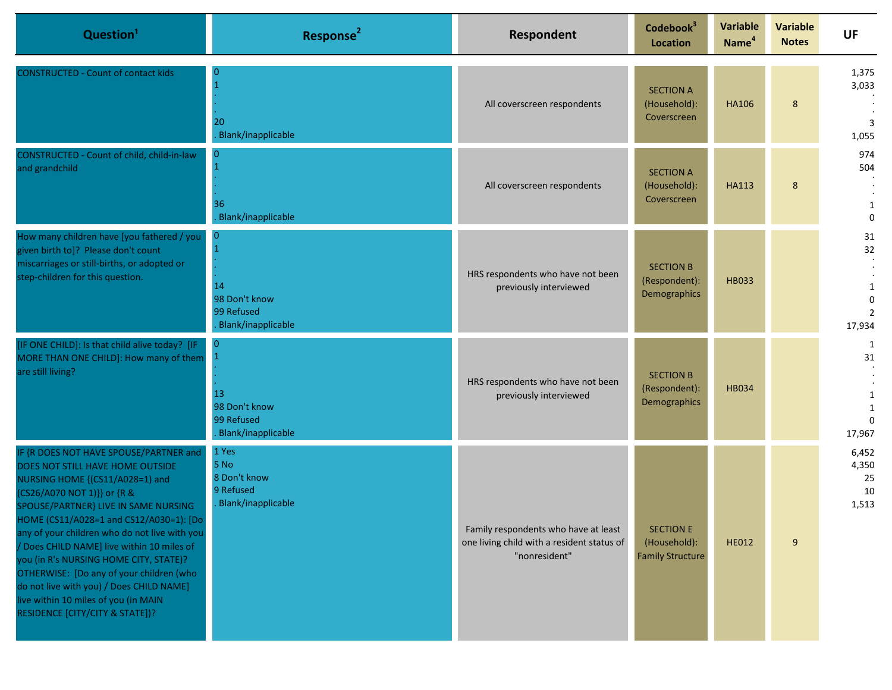| Question <sup>1</sup>                                                                                                                                                                                                                                                                                                                                                                                                                                                                                                                        | Response <sup>2</sup>                                                     | Respondent                                                                                          | Codebook <sup>3</sup><br>Location                           | <b>Variable</b><br>Name <sup>4</sup> | <b>Variable</b><br><b>Notes</b> | <b>UF</b>                                             |
|----------------------------------------------------------------------------------------------------------------------------------------------------------------------------------------------------------------------------------------------------------------------------------------------------------------------------------------------------------------------------------------------------------------------------------------------------------------------------------------------------------------------------------------------|---------------------------------------------------------------------------|-----------------------------------------------------------------------------------------------------|-------------------------------------------------------------|--------------------------------------|---------------------------------|-------------------------------------------------------|
| <b>CONSTRUCTED - Count of contact kids</b>                                                                                                                                                                                                                                                                                                                                                                                                                                                                                                   | 0<br>20<br>Blank/inapplicable                                             | All coverscreen respondents                                                                         | <b>SECTION A</b><br>(Household):<br>Coverscreen             | <b>HA106</b>                         | 8                               | 1,375<br>3,033<br>3<br>1,055                          |
| CONSTRUCTED - Count of child, child-in-law<br>and grandchild                                                                                                                                                                                                                                                                                                                                                                                                                                                                                 | $\overline{0}$<br>36<br>Blank/inapplicable                                | All coverscreen respondents                                                                         | <b>SECTION A</b><br>(Household):<br>Coverscreen             | <b>HA113</b>                         | 8                               | 974<br>504<br>$\mathbf 0$                             |
| How many children have [you fathered / you<br>given birth to]? Please don't count<br>miscarriages or still-births, or adopted or<br>step-children for this question.                                                                                                                                                                                                                                                                                                                                                                         | $\overline{0}$<br>14<br>98 Don't know<br>99 Refused<br>Blank/inapplicable | HRS respondents who have not been<br>previously interviewed                                         | <b>SECTION B</b><br>(Respondent):<br>Demographics           | <b>HB033</b>                         |                                 | 31<br>32<br>1<br>$\Omega$<br>$\overline{2}$<br>17,934 |
| [IF ONE CHILD]: Is that child alive today? [IF<br>MORE THAN ONE CHILD]: How many of them<br>are still living?                                                                                                                                                                                                                                                                                                                                                                                                                                | $\Omega$<br>13<br>98 Don't know<br>99 Refused<br>Blank/inapplicable       | HRS respondents who have not been<br>previously interviewed                                         | <b>SECTION B</b><br>(Respondent):<br>Demographics           | <b>HB034</b>                         |                                 | 1<br>31<br>17,967                                     |
| IF {R DOES NOT HAVE SPOUSE/PARTNER and<br>DOES NOT STILL HAVE HOME OUTSIDE<br>NURSING HOME {(CS11/A028=1) and<br>(CS26/A070 NOT 1)}} or {R &<br>SPOUSE/PARTNER} LIVE IN SAME NURSING<br>HOME (CS11/A028=1 and CS12/A030=1): [Do]<br>any of your children who do not live with you<br>/ Does CHILD NAME] live within 10 miles of<br>you (in R's NURSING HOME CITY, STATE)?<br>OTHERWISE: [Do any of your children (who<br>do not live with you) / Does CHILD NAME]<br>live within 10 miles of you (in MAIN<br>RESIDENCE [CITY/CITY & STATE])? | 1 Yes<br>5 No<br>8 Don't know<br>9 Refused<br><b>Blank/inapplicable</b>   | Family respondents who have at least<br>one living child with a resident status of<br>"nonresident" | <b>SECTION E</b><br>(Household):<br><b>Family Structure</b> | <b>HE012</b>                         | $\overline{9}$                  | 6,452<br>4,350<br>25<br>10<br>1,513                   |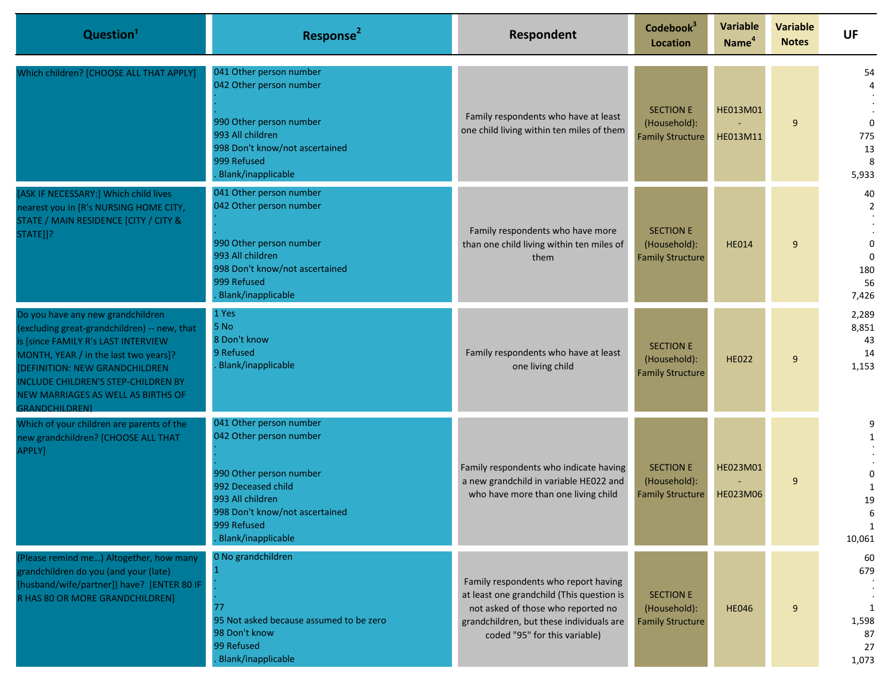| Question <sup>1</sup>                                                                                                                                                                                                                                                                                     | Response <sup>2</sup>                                                                                                                                                                                 | Respondent                                                                                                                                                                                           | Codebook <sup>3</sup><br><b>Location</b>                    | <b>Variable</b><br>Name <sup>4</sup> | <b>Variable</b><br><b>Notes</b> | <b>UF</b>                                                             |
|-----------------------------------------------------------------------------------------------------------------------------------------------------------------------------------------------------------------------------------------------------------------------------------------------------------|-------------------------------------------------------------------------------------------------------------------------------------------------------------------------------------------------------|------------------------------------------------------------------------------------------------------------------------------------------------------------------------------------------------------|-------------------------------------------------------------|--------------------------------------|---------------------------------|-----------------------------------------------------------------------|
| Which children? [CHOOSE ALL THAT APPLY]                                                                                                                                                                                                                                                                   | 041 Other person number<br>042 Other person number<br>990 Other person number<br>993 All children<br>998 Don't know/not ascertained<br>999 Refused<br>Blank/inapplicable                              | Family respondents who have at least<br>one child living within ten miles of them                                                                                                                    | <b>SECTION E</b><br>(Household):<br><b>Family Structure</b> | HE013M01<br>HE013M11                 | 9                               | 54<br>$\Omega$<br>775<br>13<br>8<br>5,933                             |
| [ASK IF NECESSARY:] Which child lives<br>nearest you in [R's NURSING HOME CITY,<br>STATE / MAIN RESIDENCE [CITY / CITY &<br>STATE]]?                                                                                                                                                                      | 041 Other person number<br>042 Other person number<br>990 Other person number<br>993 All children<br>998 Don't know/not ascertained<br>999 Refused<br>Blank/inapplicable                              | Family respondents who have more<br>than one child living within ten miles of<br>them                                                                                                                | <b>SECTION E</b><br>(Household):<br><b>Family Structure</b> | <b>HE014</b>                         | 9                               | 40<br>$\overline{2}$<br>$\mathbf 0$<br>$\Omega$<br>180<br>56<br>7,426 |
| Do you have any new grandchildren<br>(excluding great-grandchildren) -- new, that<br>is [since FAMILY R's LAST INTERVIEW<br>MONTH, YEAR / in the last two years]?<br>[DEFINITION: NEW GRANDCHILDREN<br>INCLUDE CHILDREN'S STEP-CHILDREN BY<br>NEW MARRIAGES AS WELL AS BIRTHS OF<br><b>GRANDCHILDREN1</b> | 1 Yes<br>5 No<br>8 Don't know<br>9 Refused<br>Blank/inapplicable                                                                                                                                      | Family respondents who have at least<br>one living child                                                                                                                                             | <b>SECTION E</b><br>(Household):<br><b>Family Structure</b> | <b>HE022</b>                         | 9                               | 2,289<br>8,851<br>43<br>14<br>1,153                                   |
| Which of your children are parents of the<br>new grandchildren? [CHOOSE ALL THAT<br>APPLY]                                                                                                                                                                                                                | 041 Other person number<br>042 Other person number<br>990 Other person number<br>992 Deceased child<br>993 All children<br>998 Don't know/not ascertained<br>999 Refused<br><b>Blank/inapplicable</b> | Family respondents who indicate having<br>a new grandchild in variable HE022 and<br>who have more than one living child                                                                              | <b>SECTION E</b><br>(Household):<br><b>Family Structure</b> | HE023M01<br>HE023M06                 | 9                               | 9<br>1<br>$\Omega$<br>1<br>19<br>6<br>1<br>10,061                     |
| (Please remind me) Altogether, how many<br>grandchildren do you (and your (late)<br>[husband/wife/partner]) have? [ENTER 80 IF<br>R HAS 80 OR MORE GRANDCHILDREN]                                                                                                                                         | 0 No grandchildren<br>77<br>95 Not asked because assumed to be zero<br>98 Don't know<br>99 Refused<br>Blank/inapplicable                                                                              | Family respondents who report having<br>at least one grandchild (This question is<br>not asked of those who reported no<br>grandchildren, but these individuals are<br>coded "95" for this variable) | <b>SECTION E</b><br>(Household):<br><b>Family Structure</b> | <b>HE046</b>                         | 9                               | 60<br>679<br>1<br>1,598<br>87<br>27<br>1,073                          |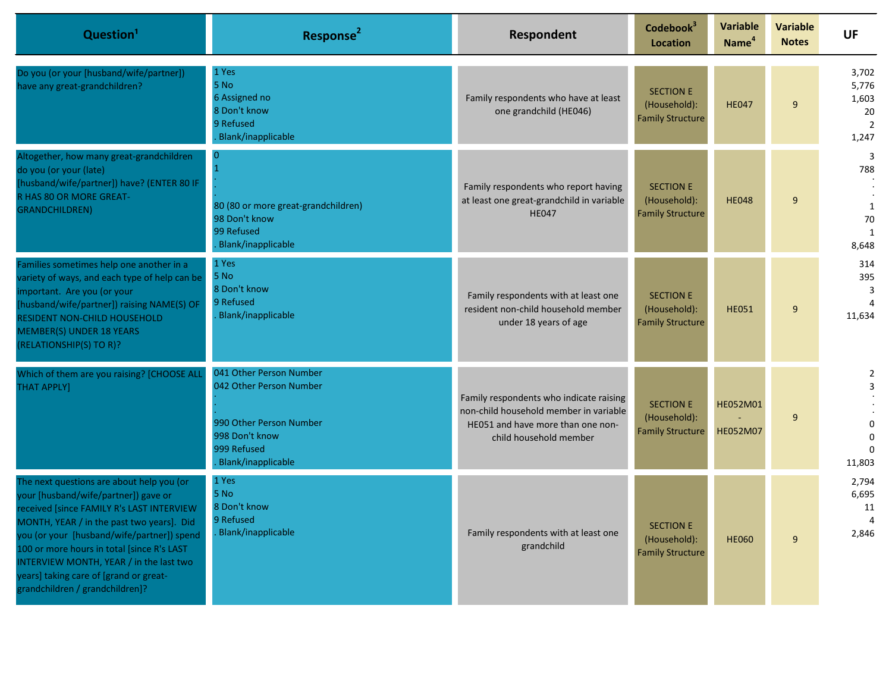| Question <sup>1</sup>                                                                                                                                                                                                                                                                                                                                                                           | Response <sup>2</sup>                                                                                                                | Respondent                                                                                                                                       | Codebook <sup>3</sup><br>Location                           | <b>Variable</b><br>Name <sup>4</sup> | <b>Variable</b><br><b>Notes</b> | <b>UF</b>                                                                  |
|-------------------------------------------------------------------------------------------------------------------------------------------------------------------------------------------------------------------------------------------------------------------------------------------------------------------------------------------------------------------------------------------------|--------------------------------------------------------------------------------------------------------------------------------------|--------------------------------------------------------------------------------------------------------------------------------------------------|-------------------------------------------------------------|--------------------------------------|---------------------------------|----------------------------------------------------------------------------|
| Do you (or your [husband/wife/partner])<br>have any great-grandchildren?                                                                                                                                                                                                                                                                                                                        | 1 Yes<br>5 No<br>6 Assigned no<br>8 Don't know<br>9 Refused<br>Blank/inapplicable                                                    | Family respondents who have at least<br>one grandchild (HE046)                                                                                   | <b>SECTION E</b><br>(Household):<br><b>Family Structure</b> | <b>HE047</b>                         | 9                               | 3,702<br>5,776<br>1,603<br>20<br>$\overline{2}$<br>1,247                   |
| Altogether, how many great-grandchildren<br>do you (or your (late)<br>[husband/wife/partner]) have? (ENTER 80 IF<br>R HAS 80 OR MORE GREAT-<br><b>GRANDCHILDREN)</b>                                                                                                                                                                                                                            | $\Omega$<br>80 (80 or more great-grandchildren)<br>98 Don't know<br>99 Refused<br>Blank/inapplicable                                 | Family respondents who report having<br>at least one great-grandchild in variable<br><b>HE047</b>                                                | <b>SECTION E</b><br>(Household):<br><b>Family Structure</b> | <b>HE048</b>                         | 9                               | 3<br>788<br>$\mathbf{1}$<br>70<br>1<br>8,648                               |
| Families sometimes help one another in a<br>variety of ways, and each type of help can be<br>mportant. Are you (or your<br>[husband/wife/partner]) raising NAME(S) OF<br><b>RESIDENT NON-CHILD HOUSEHOLD</b><br><b>MEMBER(S) UNDER 18 YEARS</b><br>(RELATIONSHIP(S) TO R)?                                                                                                                      | 1 Yes<br>5 No<br>8 Don't know<br>9 Refused<br>Blank/inapplicable                                                                     | Family respondents with at least one<br>resident non-child household member<br>under 18 years of age                                             | <b>SECTION E</b><br>(Household):<br><b>Family Structure</b> | <b>HE051</b>                         | 9                               | 314<br>395<br>3<br>4<br>11.634                                             |
| Which of them are you raising? [CHOOSE ALL<br><b>THAT APPLY]</b>                                                                                                                                                                                                                                                                                                                                | 041 Other Person Number<br>042 Other Person Number<br>990 Other Person Number<br>998 Don't know<br>999 Refused<br>Blank/inapplicable | Family respondents who indicate raising<br>non-child household member in variable<br>HE051 and have more than one non-<br>child household member | <b>SECTION E</b><br>(Household):<br><b>Family Structure</b> | HE052M01<br><b>HE052M07</b>          | 9                               | 2<br>$\overline{\mathbf{3}}$<br>$\Omega$<br>$\Omega$<br>$\Omega$<br>11,803 |
| The next questions are about help you (or<br>your [husband/wife/partner]) gave or<br>received [since FAMILY R's LAST INTERVIEW<br>MONTH, YEAR / in the past two years]. Did<br>you (or your [husband/wife/partner]) spend<br>100 or more hours in total [since R's LAST<br>INTERVIEW MONTH, YEAR / in the last two<br>years] taking care of [grand or great-<br>grandchildren / grandchildren]? | 1 Yes<br>5 No<br>8 Don't know<br>9 Refused<br>Blank/inapplicable                                                                     | Family respondents with at least one<br>grandchild                                                                                               | <b>SECTION E</b><br>(Household):<br><b>Family Structure</b> | <b>HE060</b>                         | $\overline{9}$                  | 2,794<br>6,695<br>11<br>2,846                                              |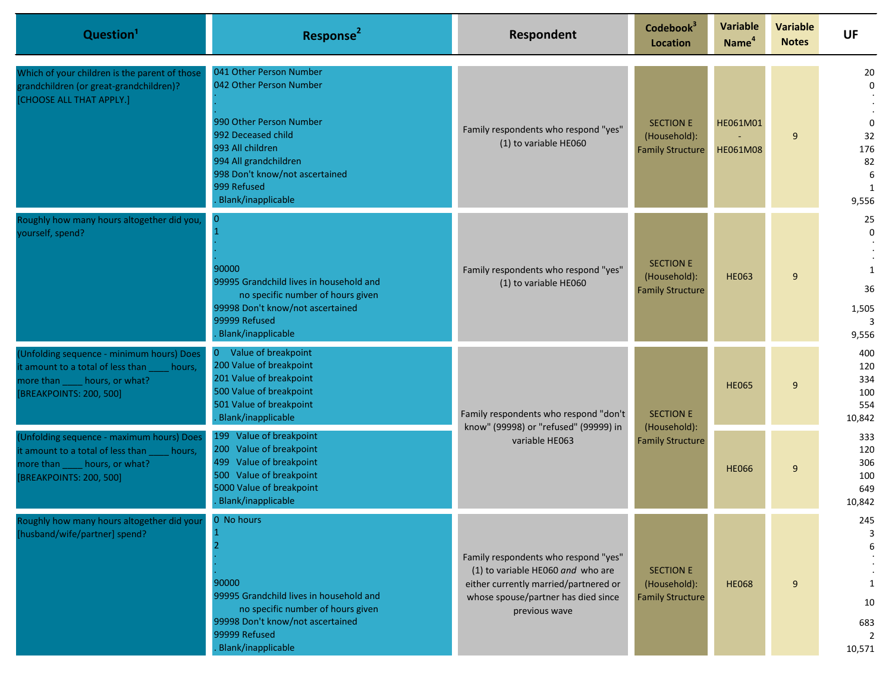| Question <sup>1</sup>                                                                                                                                  | Response <sup>2</sup>                                                                                                                                                                                                   | Respondent                                                                                                                                                                 | Codebook <sup>3</sup><br><b>Location</b>                    | <b>Variable</b><br>Name <sup>4</sup> | <b>Variable</b><br><b>Notes</b> | <b>UF</b>                                                              |
|--------------------------------------------------------------------------------------------------------------------------------------------------------|-------------------------------------------------------------------------------------------------------------------------------------------------------------------------------------------------------------------------|----------------------------------------------------------------------------------------------------------------------------------------------------------------------------|-------------------------------------------------------------|--------------------------------------|---------------------------------|------------------------------------------------------------------------|
| Which of your children is the parent of those<br>grandchildren (or great-grandchildren)?<br>[CHOOSE ALL THAT APPLY.]                                   | 041 Other Person Number<br>042 Other Person Number<br>990 Other Person Number<br>992 Deceased child<br>993 All children<br>994 All grandchildren<br>998 Don't know/not ascertained<br>999 Refused<br>Blank/inapplicable | Family respondents who respond "yes"<br>(1) to variable HE060                                                                                                              | <b>SECTION E</b><br>(Household):<br><b>Family Structure</b> | HE061M01<br>HE061M08                 | 9                               | 20<br>$\mathbf 0$<br>$\mathbf 0$<br>32<br>176<br>82<br>6<br>1<br>9,556 |
| Roughly how many hours altogether did you,<br>yourself, spend?                                                                                         | $\bf{0}$<br>90000<br>99995 Grandchild lives in household and<br>no specific number of hours given<br>99998 Don't know/not ascertained<br>99999 Refused<br>Blank/inapplicable                                            | Family respondents who respond "yes"<br>(1) to variable HE060                                                                                                              | <b>SECTION E</b><br>(Household):<br><b>Family Structure</b> | <b>HE063</b>                         | 9                               | 25<br>$\Omega$<br>$\mathbf{1}$<br>36<br>1,505<br>9,556                 |
| (Unfolding sequence - minimum hours) Does<br>it amount to a total of less than<br>hours,<br>more than _____ hours, or what?<br>[BREAKPOINTS: 200, 500] | Value of breakpoint<br>$\overline{0}$<br>200 Value of breakpoint<br>201 Value of breakpoint<br>500 Value of breakpoint<br>501 Value of breakpoint<br>Blank/inapplicable                                                 | Family respondents who respond "don't<br>know" (99998) or "refused" (99999) in<br>variable HE063                                                                           | <b>SECTION E</b><br>(Household):                            | <b>HE065</b>                         | 9                               | 400<br>120<br>334<br>100<br>554<br>10,842                              |
| (Unfolding sequence - maximum hours) Does<br>it amount to a total of less than<br>hours,<br>more than _____ hours, or what?<br>[BREAKPOINTS: 200, 500] | 199 Value of breakpoint<br>200 Value of breakpoint<br>499 Value of breakpoint<br>500 Value of breakpoint<br>5000 Value of breakpoint<br>Blank/inapplicable                                                              |                                                                                                                                                                            | <b>Family Structure</b>                                     | <b>HE066</b>                         | 9                               | 333<br>120<br>306<br>100<br>649<br>10,842                              |
| Roughly how many hours altogether did your<br>[husband/wife/partner] spend?                                                                            | 0 No hours<br>90000<br>99995 Grandchild lives in household and<br>no specific number of hours given<br>99998 Don't know/not ascertained<br>99999 Refused<br>Blank/inapplicable                                          | Family respondents who respond "yes"<br>(1) to variable HE060 and who are<br>either currently married/partnered or<br>whose spouse/partner has died since<br>previous wave | <b>SECTION E</b><br>(Household):<br><b>Family Structure</b> | <b>HE068</b>                         | 9                               | 245<br>3<br>6<br>10<br>683<br>$\overline{2}$<br>10,571                 |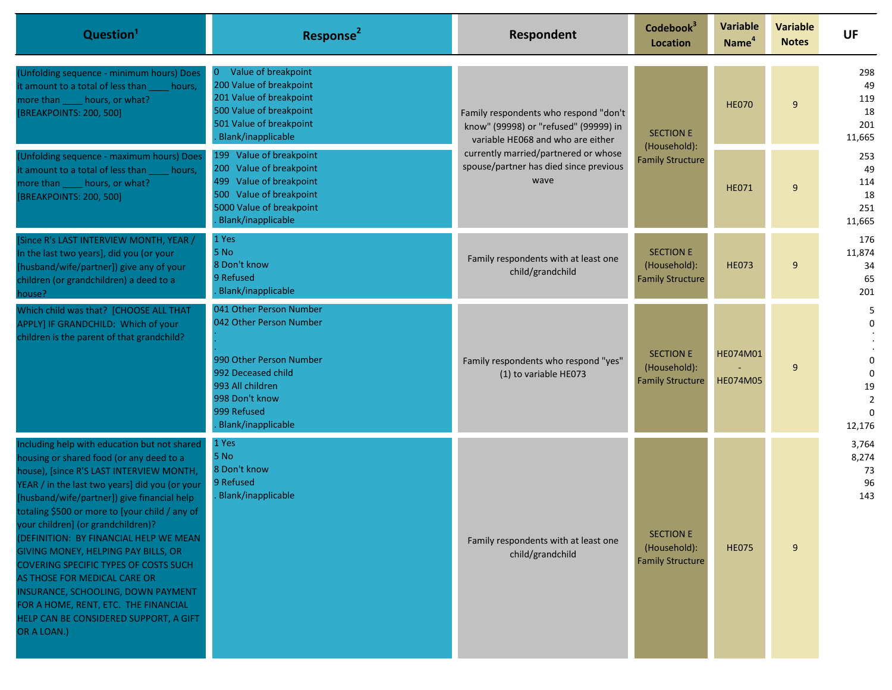| Question <sup>1</sup>                                                                                                                                                                                                                                                                                                                                                                                                                                                                                                                                                                                                          | Response <sup>2</sup>                                                                                                                                                          | Respondent                                                                                                                                                                                                    | Codebook <sup>3</sup><br><b>Location</b>                    | <b>Variable</b><br>Name <sup>4</sup> | <b>Variable</b><br><b>Notes</b> | <b>UF</b>                                                                |                                         |  |  |              |   |                                         |
|--------------------------------------------------------------------------------------------------------------------------------------------------------------------------------------------------------------------------------------------------------------------------------------------------------------------------------------------------------------------------------------------------------------------------------------------------------------------------------------------------------------------------------------------------------------------------------------------------------------------------------|--------------------------------------------------------------------------------------------------------------------------------------------------------------------------------|---------------------------------------------------------------------------------------------------------------------------------------------------------------------------------------------------------------|-------------------------------------------------------------|--------------------------------------|---------------------------------|--------------------------------------------------------------------------|-----------------------------------------|--|--|--------------|---|-----------------------------------------|
| (Unfolding sequence - minimum hours) Does<br>it amount to a total of less than<br>hours,<br>more than _____ hours, or what?<br>[BREAKPOINTS: 200, 500]                                                                                                                                                                                                                                                                                                                                                                                                                                                                         | Value of breakpoint<br>$\overline{0}$<br>200 Value of breakpoint<br>201 Value of breakpoint<br>500 Value of breakpoint<br>501 Value of breakpoint<br>Blank/inapplicable        | Family respondents who respond "don't<br>know" (99998) or "refused" (99999) in<br>variable HE068 and who are either<br>currently married/partnered or whose<br>spouse/partner has died since previous<br>wave |                                                             | <b>SECTION E</b>                     |                                 | (Household):                                                             |                                         |  |  | <b>HE070</b> | 9 | 298<br>49<br>119<br>18<br>201<br>11,665 |
| (Unfolding sequence - maximum hours) Does<br>it amount to a total of less than<br>hours,<br>more than _____ hours, or what?<br>[BREAKPOINTS: 200, 500]                                                                                                                                                                                                                                                                                                                                                                                                                                                                         | 199 Value of breakpoint<br>200 Value of breakpoint<br>499 Value of breakpoint<br>500 Value of breakpoint<br>5000 Value of breakpoint<br>Blank/inapplicable                     |                                                                                                                                                                                                               |                                                             | <b>Family Structure</b>              | <b>HE071</b>                    | 9                                                                        | 253<br>49<br>114<br>18<br>251<br>11,665 |  |  |              |   |                                         |
| [Since R's LAST INTERVIEW MONTH, YEAR /<br>In the last two years], did you (or your<br>[husband/wife/partner]) give any of your<br>children (or grandchildren) a deed to a<br>house?                                                                                                                                                                                                                                                                                                                                                                                                                                           | 1 Yes<br>5 No<br>8 Don't know<br>9 Refused<br>Blank/inapplicable                                                                                                               | Family respondents with at least one<br>child/grandchild                                                                                                                                                      | <b>SECTION E</b><br>(Household):<br><b>Family Structure</b> | <b>HE073</b>                         | 9                               | 176<br>11,874<br>34<br>65<br>201                                         |                                         |  |  |              |   |                                         |
| Which child was that? [CHOOSE ALL THAT<br>APPLY] IF GRANDCHILD: Which of your<br>children is the parent of that grandchild?                                                                                                                                                                                                                                                                                                                                                                                                                                                                                                    | 041 Other Person Number<br>042 Other Person Number<br>990 Other Person Number<br>992 Deceased child<br>993 All children<br>998 Don't know<br>999 Refused<br>Blank/inapplicable | Family respondents who respond "yes"<br>(1) to variable HE073                                                                                                                                                 | <b>SECTION E</b><br>(Household):<br><b>Family Structure</b> | HE074M01<br><b>HE074M05</b>          | 9                               | 5<br>0<br>0<br>$\mathbf 0$<br>19<br>$\overline{2}$<br>$\Omega$<br>12,176 |                                         |  |  |              |   |                                         |
| Including help with education but not shared<br>housing or shared food (or any deed to a<br>house), [since R'S LAST INTERVIEW MONTH,<br>YEAR / in the last two years] did you (or your<br>[husband/wife/partner]) give financial help<br>totaling \$500 or more to [your child / any of<br>your children] (or grandchildren)?<br>(DEFINITION: BY FINANCIAL HELP WE MEAN<br>GIVING MONEY, HELPING PAY BILLS, OR<br>COVERING SPECIFIC TYPES OF COSTS SUCH<br>AS THOSE FOR MEDICAL CARE OR<br>INSURANCE, SCHOOLING, DOWN PAYMENT<br>FOR A HOME, RENT, ETC. THE FINANCIAL<br>HELP CAN BE CONSIDERED SUPPORT, A GIFT<br>OR A LOAN.) | 1 Yes<br>5 No<br>8 Don't know<br>9 Refused<br>Blank/inapplicable                                                                                                               | Family respondents with at least one<br>child/grandchild                                                                                                                                                      | <b>SECTION E</b><br>(Household):<br><b>Family Structure</b> | <b>HE075</b>                         | 9                               | 3,764<br>8,274<br>73<br>96<br>143                                        |                                         |  |  |              |   |                                         |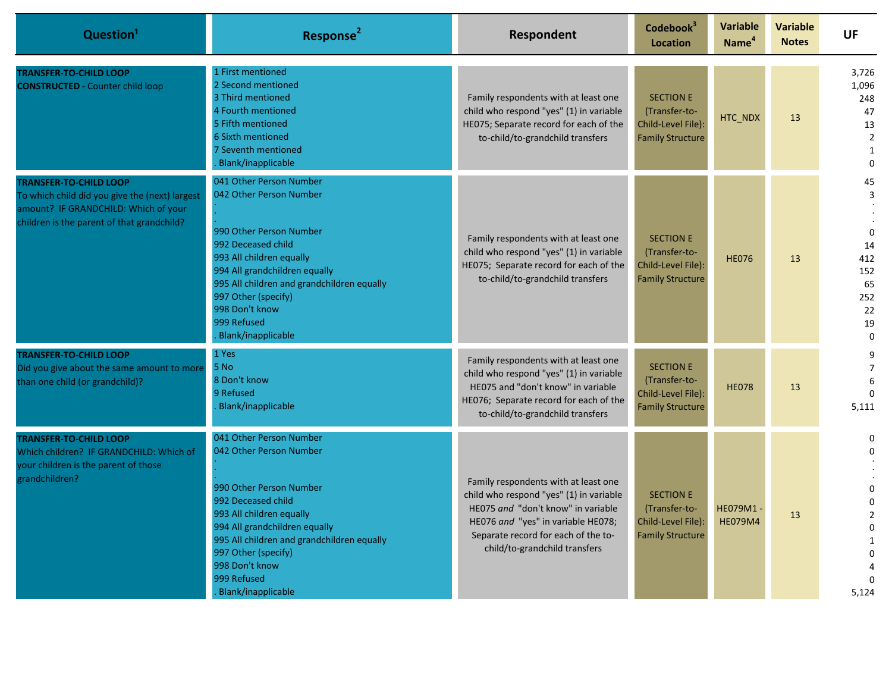| Question <sup>1</sup>                                                                                                                                                 | Response <sup>2</sup>                                                                                                                                                                                                                                                                        | Respondent                                                                                                                                                                                                                          | Codebook <sup>3</sup><br><b>Location</b>                                           | <b>Variable</b><br>Name <sup>4</sup> | <b>Variable</b><br><b>Notes</b> | <b>UF</b>                                                                                                      |
|-----------------------------------------------------------------------------------------------------------------------------------------------------------------------|----------------------------------------------------------------------------------------------------------------------------------------------------------------------------------------------------------------------------------------------------------------------------------------------|-------------------------------------------------------------------------------------------------------------------------------------------------------------------------------------------------------------------------------------|------------------------------------------------------------------------------------|--------------------------------------|---------------------------------|----------------------------------------------------------------------------------------------------------------|
| <b>TRANSFER-TO-CHILD LOOP</b><br><b>CONSTRUCTED - Counter child loop</b>                                                                                              | 1 First mentioned<br>2 Second mentioned<br>3 Third mentioned<br>4 Fourth mentioned<br>5 Fifth mentioned<br>6 Sixth mentioned<br>7 Seventh mentioned<br>Blank/inapplicable                                                                                                                    | Family respondents with at least one<br>child who respond "yes" (1) in variable<br>HE075; Separate record for each of the<br>to-child/to-grandchild transfers                                                                       | <b>SECTION E</b><br>(Transfer-to-<br>Child-Level File):<br><b>Family Structure</b> | HTC_NDX                              | 13                              | 3,726<br>1,096<br>248<br>47<br>13<br>$\overline{2}$<br>$\mathbf{1}$<br>$\Omega$                                |
| <b>TRANSFER-TO-CHILD LOOP</b><br>To which child did you give the (next) largest<br>amount? IF GRANDCHILD: Which of your<br>children is the parent of that grandchild? | 041 Other Person Number<br>042 Other Person Number<br>990 Other Person Number<br>992 Deceased child<br>993 All children equally<br>994 All grandchildren equally<br>995 All children and grandchildren equally<br>997 Other (specify)<br>998 Don't know<br>999 Refused<br>Blank/inapplicable | Family respondents with at least one<br>child who respond "yes" (1) in variable<br>HE075; Separate record for each of the<br>to-child/to-grandchild transfers                                                                       | <b>SECTION E</b><br>(Transfer-to-<br>Child-Level File):<br><b>Family Structure</b> | <b>HE076</b>                         | 13                              | 45<br>3<br>$\mathbf{0}$<br>14<br>412<br>152<br>65<br>252<br>22<br>19<br>$\Omega$                               |
| <b>TRANSFER-TO-CHILD LOOP</b><br>Did you give about the same amount to more<br>than one child (or grandchild)?                                                        | 1 Yes<br>5 No<br>8 Don't know<br>9 Refused<br>Blank/inapplicable                                                                                                                                                                                                                             | Family respondents with at least one<br>child who respond "yes" (1) in variable<br>HE075 and "don't know" in variable<br>HE076; Separate record for each of the<br>to-child/to-grandchild transfers                                 | <b>SECTION E</b><br>(Transfer-to-<br>Child-Level File):<br><b>Family Structure</b> | <b>HE078</b>                         | 13                              | 9<br>$\overline{7}$<br>6<br>$\Omega$<br>5,111                                                                  |
| <b>TRANSFER-TO-CHILD LOOP</b><br>Which children? IF GRANDCHILD: Which of<br>your children is the parent of those<br>grandchildren?                                    | 041 Other Person Number<br>042 Other Person Number<br>990 Other Person Number<br>992 Deceased child<br>993 All children equally<br>994 All grandchildren equally<br>995 All children and grandchildren equally<br>997 Other (specify)<br>998 Don't know<br>999 Refused<br>Blank/inapplicable | Family respondents with at least one<br>child who respond "yes" (1) in variable<br>HE075 and "don't know" in variable<br>HE076 and "yes" in variable HE078;<br>Separate record for each of the to-<br>child/to-grandchild transfers | <b>SECTION E</b><br>(Transfer-to-<br>Child-Level File):<br><b>Family Structure</b> | HE079M1-<br><b>HE079M4</b>           | 13                              | 0<br>$\mathbf 0$<br>$\Omega$<br>$\Omega$<br>$\overline{2}$<br>$\Omega$<br>$\mathbf{1}$<br>$\mathbf 0$<br>5,124 |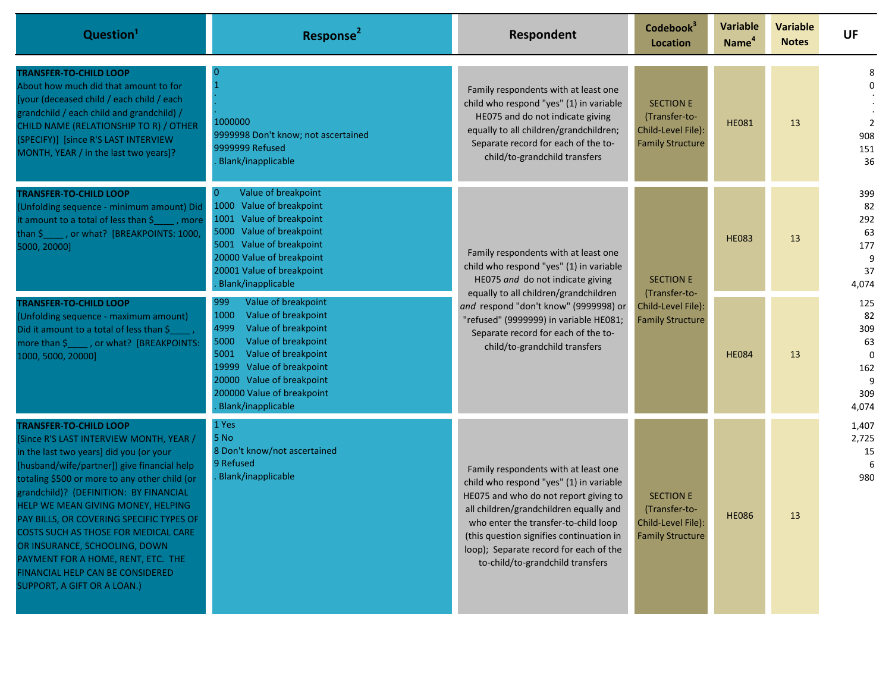| Question <sup>1</sup>                                                                                                                                                                                                                                                                                                                                                                                                                                                                                                             | Response <sup>2</sup>                                                                                                                                                                                                                                                   | Respondent                                                                                                                                                                                                                                                                                                                           | Codebook <sup>3</sup><br>Location                                                  | <b>Variable</b><br>Name <sup>4</sup> | <b>Variable</b><br><b>Notes</b> | UF                                                             |
|-----------------------------------------------------------------------------------------------------------------------------------------------------------------------------------------------------------------------------------------------------------------------------------------------------------------------------------------------------------------------------------------------------------------------------------------------------------------------------------------------------------------------------------|-------------------------------------------------------------------------------------------------------------------------------------------------------------------------------------------------------------------------------------------------------------------------|--------------------------------------------------------------------------------------------------------------------------------------------------------------------------------------------------------------------------------------------------------------------------------------------------------------------------------------|------------------------------------------------------------------------------------|--------------------------------------|---------------------------------|----------------------------------------------------------------|
| <b>TRANSFER-TO-CHILD LOOP</b><br>About how much did that amount to for<br>[your (deceased child / each child / each<br>grandchild / each child and grandchild) /<br>CHILD NAME (RELATIONSHIP TO R) / OTHER<br>(SPECIFY)] [since R'S LAST INTERVIEW<br>MONTH, YEAR / in the last two years]?                                                                                                                                                                                                                                       | 1000000<br>9999998 Don't know; not ascertained<br>9999999 Refused<br>Blank/inapplicable                                                                                                                                                                                 | Family respondents with at least one<br>child who respond "yes" (1) in variable<br>HE075 and do not indicate giving<br>equally to all children/grandchildren;<br>Separate record for each of the to-<br>child/to-grandchild transfers                                                                                                | <b>SECTION E</b><br>(Transfer-to-<br>Child-Level File):<br><b>Family Structure</b> | <b>HE081</b>                         | 13                              | 8<br>$\mathbf 0$<br>$\overline{2}$<br>908<br>151<br>36         |
| <b>TRANSFER-TO-CHILD LOOP</b><br>(Unfolding sequence - minimum amount) Did<br>it amount to a total of less than \$<br>$\blacksquare$ , more<br>than \$_____, or what? [BREAKPOINTS: 1000,<br>5000, 20000]                                                                                                                                                                                                                                                                                                                         | Value of breakpoint<br>1000 Value of breakpoint<br>1001 Value of breakpoint<br>5000 Value of breakpoint<br>5001 Value of breakpoint<br>20000 Value of breakpoint<br>20001 Value of breakpoint<br>Blank/inapplicable                                                     | Family respondents with at least one<br>child who respond "yes" (1) in variable<br>HE075 and do not indicate giving<br>equally to all children/grandchildren<br>and respond "don't know" (9999998) or<br>"refused" (9999999) in variable HE081;<br>Separate record for each of the to-<br>child/to-grandchild transfers              | <b>SECTION E</b><br>(Transfer-to-<br>Child-Level File):<br><b>Family Structure</b> | <b>HE083</b>                         | 13                              | 399<br>82<br>292<br>63<br>177<br>9<br>37<br>4,074              |
| <b>TRANSFER-TO-CHILD LOOP</b><br>(Unfolding sequence - maximum amount)<br>Did it amount to a total of less than \$<br>more than \$, pr what? [BREAKPOINTS:<br>1000, 5000, 20000]                                                                                                                                                                                                                                                                                                                                                  | 999<br>Value of breakpoint<br>Value of breakpoint<br>1000<br>4999<br>Value of breakpoint<br>Value of breakpoint<br>5000<br>Value of breakpoint<br>5001<br>Value of breakpoint<br>19999<br>20000 Value of breakpoint<br>200000 Value of breakpoint<br>Blank/inapplicable |                                                                                                                                                                                                                                                                                                                                      |                                                                                    | <b>HE084</b>                         | 13                              | 125<br>82<br>309<br>63<br>$\Omega$<br>162<br>9<br>309<br>4,074 |
| <b>TRANSFER-TO-CHILD LOOP</b><br>[Since R'S LAST INTERVIEW MONTH, YEAR /<br>in the last two years] did you (or your<br>[husband/wife/partner]) give financial help<br>totaling \$500 or more to any other child (or<br>grandchild)? (DEFINITION: BY FINANCIAL<br>HELP WE MEAN GIVING MONEY, HELPING<br>PAY BILLS, OR COVERING SPECIFIC TYPES OF<br>COSTS SUCH AS THOSE FOR MEDICAL CARE<br>OR INSURANCE, SCHOOLING, DOWN<br>PAYMENT FOR A HOME, RENT, ETC. THE<br>FINANCIAL HELP CAN BE CONSIDERED<br>SUPPORT, A GIFT OR A LOAN.) | 1 Yes<br>5 No<br>8 Don't know/not ascertained<br>9 Refused<br>Blank/inapplicable                                                                                                                                                                                        | Family respondents with at least one<br>child who respond "yes" (1) in variable<br>HE075 and who do not report giving to<br>all children/grandchildren equally and<br>who enter the transfer-to-child loop<br>(this question signifies continuation in<br>loop); Separate record for each of the<br>to-child/to-grandchild transfers | <b>SECTION E</b><br>(Transfer-to-<br>Child-Level File):<br><b>Family Structure</b> | <b>HE086</b>                         | 13                              | 1,407<br>2,725<br>15<br>980                                    |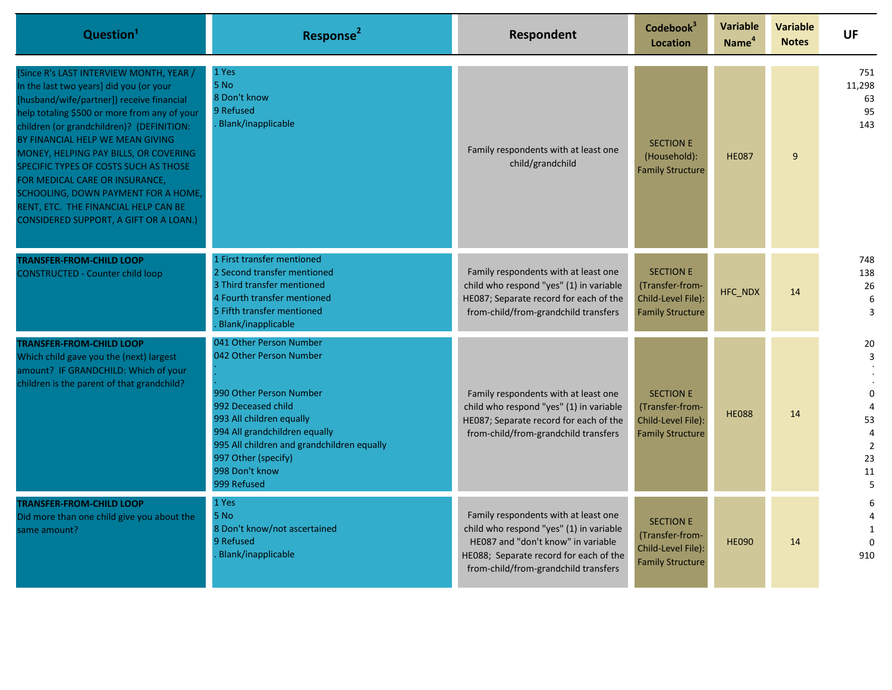| Question <sup>1</sup>                                                                                                                                                                                                                                                                                                                                                                                                                                                                                               | Response <sup>2</sup>                                                                                                                                                                                                                                                  | Respondent                                                                                                                                                                                              | Codebook <sup>3</sup><br><b>Location</b>                                             | Variable<br>Name <sup>4</sup> | <b>Variable</b><br><b>Notes</b> | UF                                                                             |
|---------------------------------------------------------------------------------------------------------------------------------------------------------------------------------------------------------------------------------------------------------------------------------------------------------------------------------------------------------------------------------------------------------------------------------------------------------------------------------------------------------------------|------------------------------------------------------------------------------------------------------------------------------------------------------------------------------------------------------------------------------------------------------------------------|---------------------------------------------------------------------------------------------------------------------------------------------------------------------------------------------------------|--------------------------------------------------------------------------------------|-------------------------------|---------------------------------|--------------------------------------------------------------------------------|
| Since R's LAST INTERVIEW MONTH, YEAR /<br>In the last two years] did you (or your<br>[husband/wife/partner]) receive financial<br>help totaling \$500 or more from any of your<br>children (or grandchildren)? (DEFINITION:<br>BY FINANCIAL HELP WE MEAN GIVING<br>MONEY, HELPING PAY BILLS, OR COVERING<br>SPECIFIC TYPES OF COSTS SUCH AS THOSE<br>FOR MEDICAL CARE OR INSURANCE,<br>SCHOOLING, DOWN PAYMENT FOR A HOME,<br>RENT, ETC. THE FINANCIAL HELP CAN BE<br><b>CONSIDERED SUPPORT, A GIFT OR A LOAN.)</b> | 1 Yes<br>5 No<br>8 Don't know<br>9 Refused<br>Blank/inapplicable                                                                                                                                                                                                       | Family respondents with at least one<br>child/grandchild                                                                                                                                                | <b>SECTION E</b><br>(Household):<br><b>Family Structure</b>                          | <b>HE087</b>                  | 9                               | 751<br>11,298<br>63<br>95<br>143                                               |
| <b>TRANSFER-FROM-CHILD LOOP</b><br><b>CONSTRUCTED - Counter child loop</b>                                                                                                                                                                                                                                                                                                                                                                                                                                          | 1 First transfer mentioned<br>2 Second transfer mentioned<br>3 Third transfer mentioned<br>4 Fourth transfer mentioned<br>5 Fifth transfer mentioned<br>Blank/inapplicable                                                                                             | Family respondents with at least one<br>child who respond "yes" (1) in variable<br>HE087; Separate record for each of the<br>from-child/from-grandchild transfers                                       | <b>SECTION E</b><br>(Transfer-from-<br>Child-Level File):<br><b>Family Structure</b> | HFC_NDX                       | 14                              | 748<br>138<br>26<br>6<br>3                                                     |
| <b>TRANSFER-FROM-CHILD LOOP</b><br>Which child gave you the (next) largest<br>amount? IF GRANDCHILD: Which of your<br>children is the parent of that grandchild?                                                                                                                                                                                                                                                                                                                                                    | 041 Other Person Number<br>042 Other Person Number<br>990 Other Person Number<br>992 Deceased child<br>993 All children equally<br>994 All grandchildren equally<br>995 All children and grandchildren equally<br>997 Other (specify)<br>998 Don't know<br>999 Refused | Family respondents with at least one<br>child who respond "yes" (1) in variable<br>HE087; Separate record for each of the<br>from-child/from-grandchild transfers                                       | <b>SECTION E</b><br>(Transfer-from-<br>Child-Level File):<br><b>Family Structure</b> | <b>HE088</b>                  | 14                              | 20<br>3<br>$\Omega$<br>53<br>$\overline{4}$<br>$\overline{2}$<br>23<br>11<br>5 |
| <b>TRANSFER-FROM-CHILD LOOP</b><br>Did more than one child give you about the<br>same amount?                                                                                                                                                                                                                                                                                                                                                                                                                       | 1 Yes<br>5 No<br>8 Don't know/not ascertained<br>9 Refused<br>Blank/inapplicable                                                                                                                                                                                       | Family respondents with at least one<br>child who respond "yes" (1) in variable<br>HE087 and "don't know" in variable<br>HE088; Separate record for each of the<br>from-child/from-grandchild transfers | <b>SECTION E</b><br>(Transfer-from-<br>Child-Level File):<br><b>Family Structure</b> | <b>HE090</b>                  | 14                              | 6<br>4<br>1<br>$\Omega$<br>910                                                 |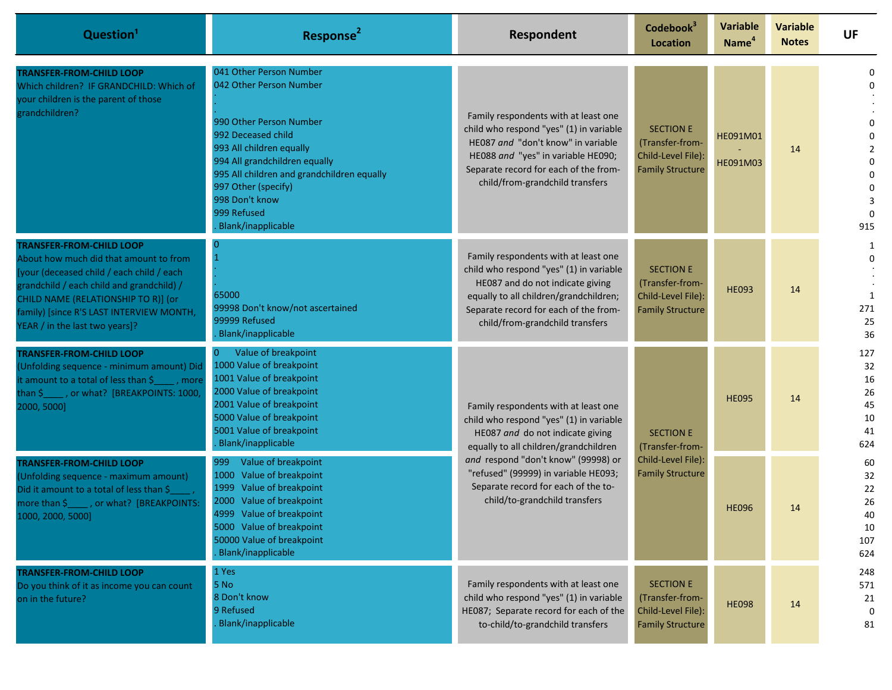| Question <sup>1</sup>                                                                                                                                                                                                                                                                    | Response <sup>2</sup>                                                                                                                                                                                                                                                                               | Respondent                                                                                                                                                                                                                                                                                                          | Codebook <sup>3</sup><br><b>Location</b>                                             | <b>Variable</b><br>Name <sup>4</sup> | <b>Variable</b><br><b>Notes</b> | UF                                                                                               |                                                |
|------------------------------------------------------------------------------------------------------------------------------------------------------------------------------------------------------------------------------------------------------------------------------------------|-----------------------------------------------------------------------------------------------------------------------------------------------------------------------------------------------------------------------------------------------------------------------------------------------------|---------------------------------------------------------------------------------------------------------------------------------------------------------------------------------------------------------------------------------------------------------------------------------------------------------------------|--------------------------------------------------------------------------------------|--------------------------------------|---------------------------------|--------------------------------------------------------------------------------------------------|------------------------------------------------|
| <b>TRANSFER-FROM-CHILD LOOP</b><br>Which children? IF GRANDCHILD: Which of<br>your children is the parent of those<br>grandchildren?                                                                                                                                                     | 041 Other Person Number<br>042 Other Person Number<br>990 Other Person Number<br>992 Deceased child<br>993 All children equally<br>994 All grandchildren equally<br>995 All children and grandchildren equally<br>997 Other (specify)<br>998 Don't know<br>999 Refused<br><b>Blank/inapplicable</b> | Family respondents with at least one<br>child who respond "yes" (1) in variable<br>HE087 and "don't know" in variable<br>HE088 and "yes" in variable HE090;<br>Separate record for each of the from-<br>child/from-grandchild transfers                                                                             | <b>SECTION E</b><br>(Transfer-from-<br>Child-Level File):<br><b>Family Structure</b> | HE091M01<br>HE091M03                 | 14                              | $\Omega$<br>0<br>$\Omega$<br>$\overline{2}$<br>$\Omega$<br>$\Omega$<br>0<br>3<br>$\Omega$<br>915 |                                                |
| <b>TRANSFER-FROM-CHILD LOOP</b><br>About how much did that amount to from<br>[your (deceased child / each child / each<br>grandchild / each child and grandchild) /<br>CHILD NAME (RELATIONSHIP TO R)] (or<br>family) [since R'S LAST INTERVIEW MONTH,<br>YEAR / in the last two years]? | 65000<br>99998 Don't know/not ascertained<br>99999 Refused<br><b>Blank/inapplicable</b>                                                                                                                                                                                                             | Family respondents with at least one<br>child who respond "yes" (1) in variable<br>HE087 and do not indicate giving<br>equally to all children/grandchildren;<br>Separate record for each of the from-<br>child/from-grandchild transfers                                                                           | <b>SECTION E</b><br>(Transfer-from-<br>Child-Level File):<br><b>Family Structure</b> | <b>HE093</b>                         | 14                              | 1<br>1<br>271<br>25<br>36                                                                        |                                                |
| <b>TRANSFER-FROM-CHILD LOOP</b><br>(Unfolding sequence - minimum amount) Did<br>it amount to a total of less than \$ _____, more<br>than \$ _____, or what? [BREAKPOINTS: 1000,<br>2000, 5000]                                                                                           | Value of breakpoint<br>1000 Value of breakpoint<br>1001 Value of breakpoint<br>2000 Value of breakpoint<br>2001 Value of breakpoint<br>5000 Value of breakpoint<br>5001 Value of breakpoint<br><b>Blank/inapplicable</b>                                                                            | Family respondents with at least one<br>child who respond "yes" (1) in variable<br>HE087 and do not indicate giving<br>equally to all children/grandchildren<br>and respond "don't know" (99998) or<br>"refused" (99999) in variable HE093;<br>Separate record for each of the to-<br>child/to-grandchild transfers | <b>SECTION E</b>                                                                     | (Transfer-from-                      | <b>HE095</b>                    | 14                                                                                               | 127<br>32<br>16<br>26<br>45<br>10<br>41<br>624 |
| <b>TRANSFER-FROM-CHILD LOOP</b><br>(Unfolding sequence - maximum amount)<br>Did it amount to a total of less than \$<br>more than \$, pr what? [BREAKPOINTS:<br>1000, 2000, 5000]                                                                                                        | Value of breakpoint<br>999<br>Value of breakpoint<br>1000<br>1999<br>Value of breakpoint<br>Value of breakpoint<br>2000<br>4999 Value of breakpoint<br>5000 Value of breakpoint<br>50000 Value of breakpoint<br><b>Blank/inapplicable</b>                                                           |                                                                                                                                                                                                                                                                                                                     | Child-Level File):<br><b>Family Structure</b>                                        | <b>HE096</b>                         | 14                              | 60<br>32<br>22<br>26<br>40<br>10<br>107<br>624                                                   |                                                |
| <b>TRANSFER-FROM-CHILD LOOP</b><br>Do you think of it as income you can count<br>on in the future?                                                                                                                                                                                       | 1 Yes<br>5 No<br>8 Don't know<br>9 Refused<br>Blank/inapplicable                                                                                                                                                                                                                                    | Family respondents with at least one<br>child who respond "yes" (1) in variable<br>HE087; Separate record for each of the<br>to-child/to-grandchild transfers                                                                                                                                                       | <b>SECTION E</b><br>(Transfer-from-<br>Child-Level File):<br><b>Family Structure</b> | <b>HE098</b>                         | 14                              | 248<br>571<br>21<br>$\mathbf 0$<br>81                                                            |                                                |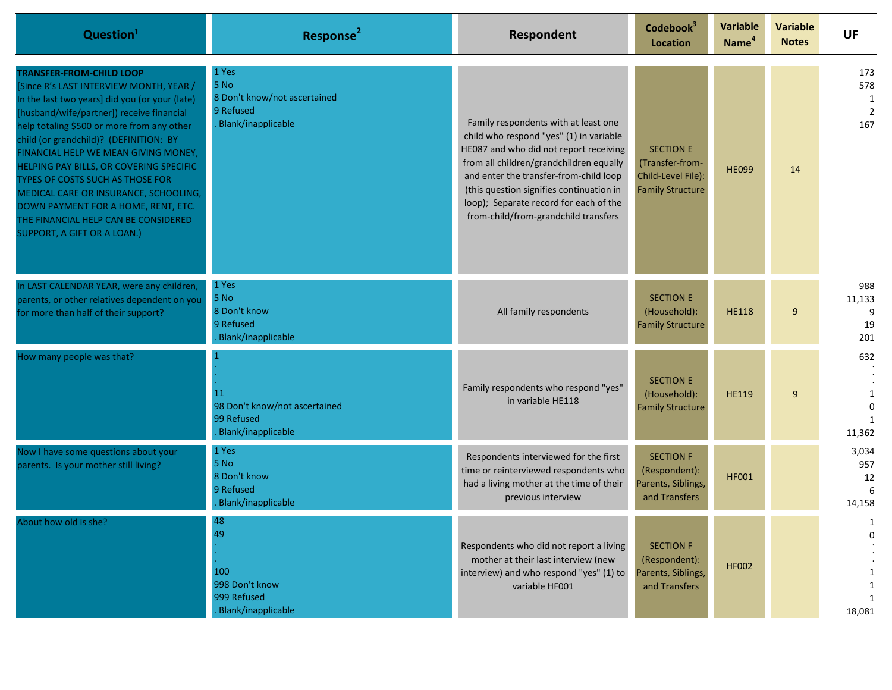| Question <sup>1</sup>                                                                                                                                                                                                                                                                                                                                                                                                                                                                                                                           | Response <sup>2</sup>                                                            | Respondent                                                                                                                                                                                                                                                                                                                                   | Codebook <sup>3</sup><br>Location                                                    | <b>Variable</b><br>Name <sup>4</sup> | <b>Variable</b><br><b>Notes</b> | <b>UF</b>                                |
|-------------------------------------------------------------------------------------------------------------------------------------------------------------------------------------------------------------------------------------------------------------------------------------------------------------------------------------------------------------------------------------------------------------------------------------------------------------------------------------------------------------------------------------------------|----------------------------------------------------------------------------------|----------------------------------------------------------------------------------------------------------------------------------------------------------------------------------------------------------------------------------------------------------------------------------------------------------------------------------------------|--------------------------------------------------------------------------------------|--------------------------------------|---------------------------------|------------------------------------------|
| <b>TRANSFER-FROM-CHILD LOOP</b><br>[Since R's LAST INTERVIEW MONTH, YEAR /<br>In the last two years] did you (or your (late)<br>[husband/wife/partner]) receive financial<br>help totaling \$500 or more from any other<br>child (or grandchild)? (DEFINITION: BY<br>FINANCIAL HELP WE MEAN GIVING MONEY,<br>HELPING PAY BILLS, OR COVERING SPECIFIC<br>TYPES OF COSTS SUCH AS THOSE FOR<br>MEDICAL CARE OR INSURANCE, SCHOOLING,<br>DOWN PAYMENT FOR A HOME, RENT, ETC.<br>THE FINANCIAL HELP CAN BE CONSIDERED<br>SUPPORT, A GIFT OR A LOAN.) | 1 Yes<br>5 No<br>8 Don't know/not ascertained<br>9 Refused<br>Blank/inapplicable | Family respondents with at least one<br>child who respond "yes" (1) in variable<br>HE087 and who did not report receiving<br>from all children/grandchildren equally<br>and enter the transfer-from-child loop<br>(this question signifies continuation in<br>loop); Separate record for each of the<br>from-child/from-grandchild transfers | <b>SECTION E</b><br>(Transfer-from-<br>Child-Level File):<br><b>Family Structure</b> | <b>HE099</b>                         | 14                              | 173<br>578<br>1<br>$\overline{2}$<br>167 |
| In LAST CALENDAR YEAR, were any children,<br>parents, or other relatives dependent on you<br>for more than half of their support?                                                                                                                                                                                                                                                                                                                                                                                                               | 1 Yes<br>5 No<br>8 Don't know<br>9 Refused<br>Blank/inapplicable                 | All family respondents                                                                                                                                                                                                                                                                                                                       | <b>SECTION E</b><br>(Household):<br><b>Family Structure</b>                          | <b>HE118</b>                         | 9                               | 988<br>11,133<br>9<br>19<br>201          |
| How many people was that?                                                                                                                                                                                                                                                                                                                                                                                                                                                                                                                       | <b>11</b><br>98 Don't know/not ascertained<br>99 Refused<br>Blank/inapplicable   | Family respondents who respond "yes"<br>in variable HE118                                                                                                                                                                                                                                                                                    | <b>SECTION E</b><br>(Household):<br><b>Family Structure</b>                          | <b>HE119</b>                         | 9                               | 632<br>-1<br>$\mathbf 0$<br>1<br>11,362  |
| Now I have some questions about your<br>parents. Is your mother still living?                                                                                                                                                                                                                                                                                                                                                                                                                                                                   | 1 Yes<br>5 No<br>8 Don't know<br>9 Refused<br>Blank/inapplicable                 | Respondents interviewed for the first<br>time or reinterviewed respondents who<br>had a living mother at the time of their<br>previous interview                                                                                                                                                                                             | <b>SECTION F</b><br>(Respondent):<br>Parents, Siblings,<br>and Transfers             | <b>HF001</b>                         |                                 | 3,034<br>957<br>12<br>6<br>14,158        |
| About how old is she?                                                                                                                                                                                                                                                                                                                                                                                                                                                                                                                           | 48<br>49<br>100<br>998 Don't know<br>999 Refused<br><b>Blank/inapplicable</b>    | Respondents who did not report a living<br>mother at their last interview (new<br>interview) and who respond "yes" (1) to<br>variable HF001                                                                                                                                                                                                  | <b>SECTION F</b><br>(Respondent):<br>Parents, Siblings,<br>and Transfers             | <b>HF002</b>                         |                                 | 18,081                                   |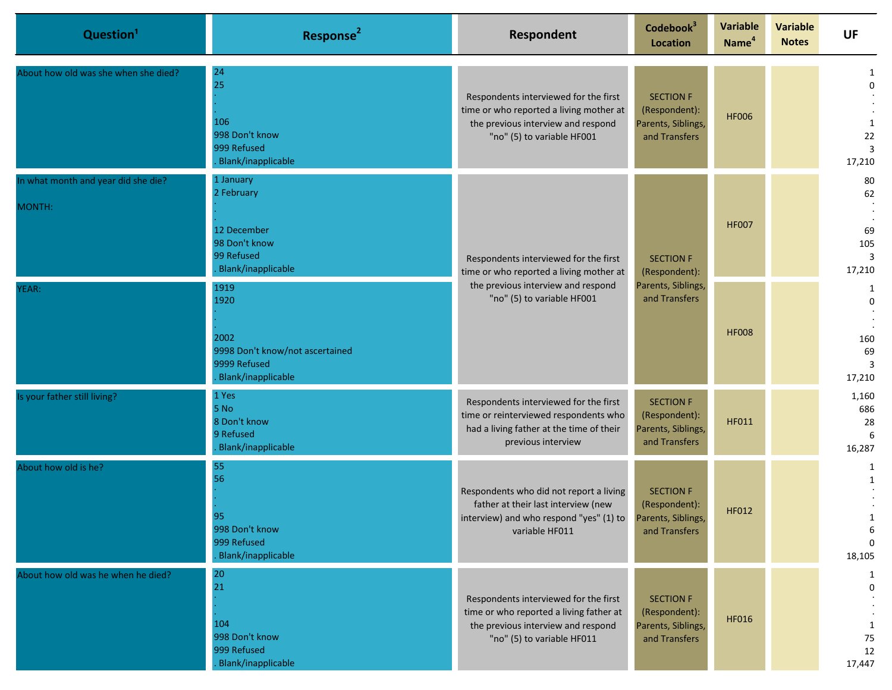| Question <sup>1</sup>                         | Response <sup>2</sup>                                                                         | Respondent                                                                                                                                                     | Codebook <sup>3</sup><br><b>Location</b>                                 | <b>Variable</b><br>Name <sup>4</sup> | <b>Variable</b><br><b>Notes</b> | <b>UF</b>                                   |                                                   |
|-----------------------------------------------|-----------------------------------------------------------------------------------------------|----------------------------------------------------------------------------------------------------------------------------------------------------------------|--------------------------------------------------------------------------|--------------------------------------|---------------------------------|---------------------------------------------|---------------------------------------------------|
| About how old was she when she died?          | 24<br>25<br>106<br>998 Don't know<br>999 Refused<br>Blank/inapplicable                        | Respondents interviewed for the first<br>time or who reported a living mother at<br>the previous interview and respond<br>"no" (5) to variable HF001           | <b>SECTION F</b><br>(Respondent):<br>Parents, Siblings,<br>and Transfers | <b>HF006</b>                         |                                 | 1<br>$\mathbf 0$<br>1<br>22<br>17,210       |                                                   |
| In what month and year did she die?<br>MONTH: | 1 January<br>2 February<br>12 December<br>98 Don't know<br>99 Refused<br>Blank/inapplicable   | Respondents interviewed for the first<br>time or who reported a living mother at<br>the previous interview and respond<br>"no" (5) to variable HF001           | <b>SECTION F</b><br>(Respondent):<br>Parents, Siblings,<br>and Transfers |                                      | <b>HF007</b>                    |                                             | 80<br>62<br>69<br>105<br>$\overline{3}$<br>17,210 |
| YEAR:                                         | 1919<br>1920<br>2002<br>9998 Don't know/not ascertained<br>9999 Refused<br>Blank/inapplicable |                                                                                                                                                                |                                                                          | <b>HF008</b>                         |                                 | 1<br>$\mathbf 0$<br>160<br>69<br>17,210     |                                                   |
| Is your father still living?                  | 1 Yes<br>5 No<br>8 Don't know<br>9 Refused<br>Blank/inapplicable                              | Respondents interviewed for the first<br>time or reinterviewed respondents who<br>had a living father at the time of their<br>previous interview               | <b>SECTION F</b><br>(Respondent):<br>Parents, Siblings,<br>and Transfers | <b>HF011</b>                         |                                 | 1,160<br>686<br>28<br>6<br>16,287           |                                                   |
| About how old is he?                          | 55<br>56<br>95<br>998 Don't know<br>999 Refused<br>Blank/inapplicable                         | Respondents who did not report a living<br>father at their last interview (new<br>interview) and who respond "yes" (1) to Parents, Siblings,<br>variable HF011 | <b>SECTION F</b><br>(Respondent):<br>and Transfers                       | <b>HF012</b>                         |                                 | 1<br>1<br>6<br>$\Omega$<br>18,105           |                                                   |
| About how old was he when he died?            | 20<br>21<br>104<br>998 Don't know<br>999 Refused<br><b>Blank/inapplicable</b>                 | Respondents interviewed for the first<br>time or who reported a living father at<br>the previous interview and respond<br>"no" (5) to variable HF011           | <b>SECTION F</b><br>(Respondent):<br>Parents, Siblings,<br>and Transfers | <b>HF016</b>                         |                                 | 1<br>$\mathbf 0$<br>1<br>75<br>12<br>17,447 |                                                   |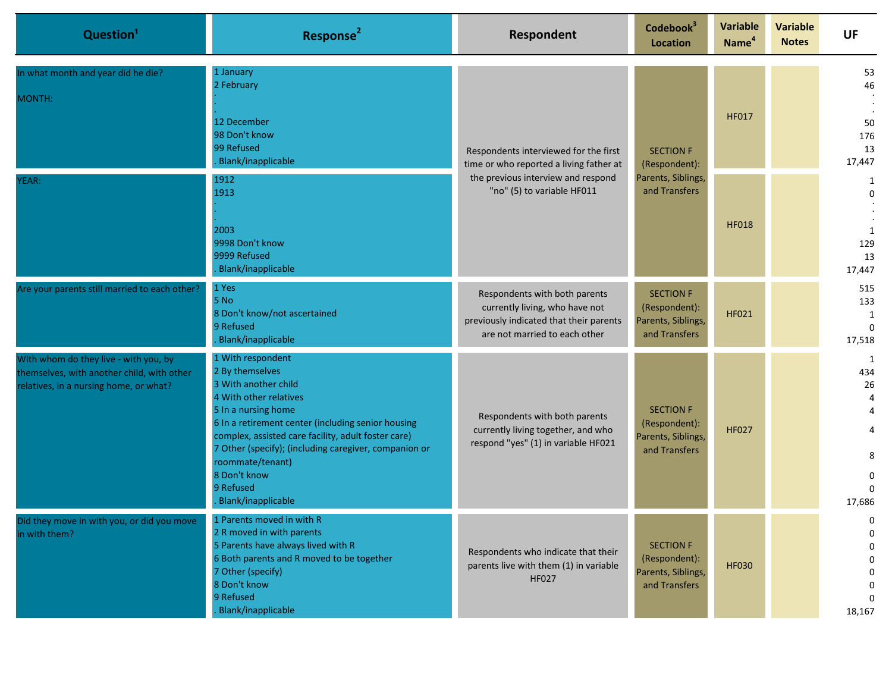| Question <sup>1</sup>                                                                                                         | Response <sup>2</sup>                                                                                                                                                                                                                                                                                                                                      | Respondent                                                                                                                                           | Codebook <sup>3</sup><br>Location                                        | <b>Variable</b><br>Name <sup>4</sup> | <b>Variable</b><br><b>Notes</b> | <b>UF</b>                                                                         |                                       |
|-------------------------------------------------------------------------------------------------------------------------------|------------------------------------------------------------------------------------------------------------------------------------------------------------------------------------------------------------------------------------------------------------------------------------------------------------------------------------------------------------|------------------------------------------------------------------------------------------------------------------------------------------------------|--------------------------------------------------------------------------|--------------------------------------|---------------------------------|-----------------------------------------------------------------------------------|---------------------------------------|
| In what month and year did he die?<br>MONTH:                                                                                  | 1 January<br>2 February<br>12 December<br>98 Don't know<br>99 Refused<br>Blank/inapplicable                                                                                                                                                                                                                                                                | Respondents interviewed for the first<br>time or who reported a living father at<br>the previous interview and respond<br>"no" (5) to variable HF011 | <b>SECTION F</b><br>and Transfers                                        | (Respondent):                        | <b>HF017</b>                    |                                                                                   | 53<br>46<br>50<br>176<br>13<br>17,447 |
| YEAR:                                                                                                                         | Parents, Siblings,<br>1912<br>1913<br>2003<br>9998 Don't know<br>9999 Refused<br>Blank/inapplicable                                                                                                                                                                                                                                                        |                                                                                                                                                      |                                                                          | <b>HF018</b>                         |                                 | 1<br>$\mathbf 0$<br>1<br>129<br>13<br>17,447                                      |                                       |
| Are your parents still married to each other?                                                                                 | 1 Yes<br>5 No<br>8 Don't know/not ascertained<br>9 Refused<br>Blank/inapplicable                                                                                                                                                                                                                                                                           | Respondents with both parents<br>currently living, who have not<br>previously indicated that their parents<br>are not married to each other          | <b>SECTION F</b><br>(Respondent):<br>Parents, Siblings,<br>and Transfers | <b>HF021</b>                         |                                 | 515<br>133<br>1<br>$\Omega$<br>17,518                                             |                                       |
| With whom do they live - with you, by<br>themselves, with another child, with other<br>relatives, in a nursing home, or what? | 1 With respondent<br>2 By themselves<br>3 With another child<br>4 With other relatives<br>5 In a nursing home<br>6 In a retirement center (including senior housing<br>complex, assisted care facility, adult foster care)<br>7 Other (specify); (including caregiver, companion or<br>roommate/tenant)<br>8 Don't know<br>9 Refused<br>Blank/inapplicable | Respondents with both parents<br>currently living together, and who<br>respond "yes" (1) in variable HF021                                           | <b>SECTION F</b><br>(Respondent):<br>Parents, Siblings,<br>and Transfers | <b>HF027</b>                         |                                 | 1<br>434<br>26<br>$\overline{4}$<br>4<br>4<br>8<br>$\Omega$<br>$\Omega$<br>17,686 |                                       |
| Did they move in with you, or ald you move<br>in with them?                                                                   | 1 Parents moved in with R<br>2 R moved in with parents<br>5 Parents have always lived with R<br>6 Both parents and R moved to be together<br>7 Other (specify)<br>8 Don't know<br>9 Refused<br>Blank/inapplicable                                                                                                                                          | Respondents who indicate that their<br>parents live with them (1) in variable<br><b>HF027</b>                                                        | <b>SECTION F</b><br>(Respondent):<br>Parents, Siblings,<br>and Transfers | <b>HF030</b>                         |                                 | 0<br>0<br>0<br>0<br>18,167                                                        |                                       |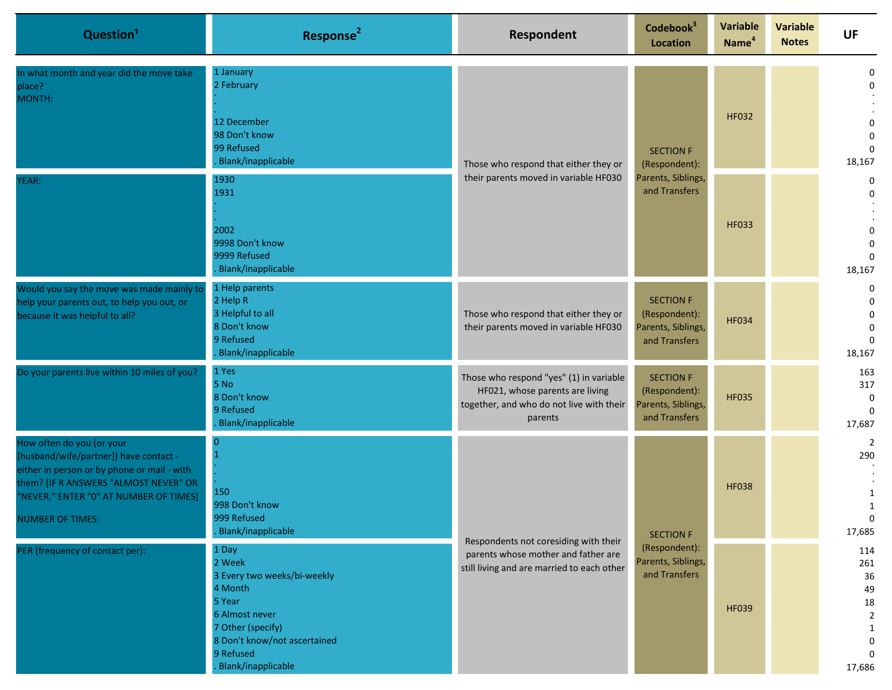| Question <sup>1</sup>                                                                                                                                                                                                            | Response <sup>2</sup>                                                                                                                                                                | Respondent                                                                                                                        | Codebook <sup>3</sup><br><b>Location</b>                                 | <b>Variable</b><br>Name <sup>4</sup>                 | <b>Variable</b><br><b>Notes</b> | <b>UF</b>                                                                      |                                                                                    |
|----------------------------------------------------------------------------------------------------------------------------------------------------------------------------------------------------------------------------------|--------------------------------------------------------------------------------------------------------------------------------------------------------------------------------------|-----------------------------------------------------------------------------------------------------------------------------------|--------------------------------------------------------------------------|------------------------------------------------------|---------------------------------|--------------------------------------------------------------------------------|------------------------------------------------------------------------------------|
| In what month and year did the move take<br>place?<br>MONTH:                                                                                                                                                                     | 1 January<br>2 February<br>12 December<br>98 Don't know<br>99 Refused<br><b>Blank/inapplicable</b>                                                                                   | Those who respond that either they or<br>their parents moved in variable HF030                                                    | <b>SECTION F</b><br>(Respondent):<br>Parents, Siblings,<br>and Transfers |                                                      | <b>HF032</b>                    |                                                                                | 0<br>0<br>0<br>$\mathbf 0$<br>$\Omega$<br>18,167                                   |
| YEAR:                                                                                                                                                                                                                            | 1930<br>1931<br>2002<br>9998 Don't know<br>9999 Refused<br><b>Blank/inapplicable</b>                                                                                                 |                                                                                                                                   |                                                                          | <b>HF033</b>                                         |                                 | $\mathbf 0$<br>$\mathbf 0$<br>0<br>$\mathbf 0$<br>$\Omega$<br>18,167           |                                                                                    |
| Would you say the move was made mainly to<br>help your parents out, to help you out, or<br>because it was helpful to all?                                                                                                        | 1 Help parents<br>2 Help R<br>3 Helpful to all<br>8 Don't know<br>9 Refused<br>Blank/inapplicable                                                                                    | Those who respond that either they or<br>their parents moved in variable HF030                                                    | <b>SECTION F</b><br>(Respondent):<br>Parents, Siblings,<br>and Transfers | <b>HF034</b>                                         |                                 | $\mathbf 0$<br>$\mathbf 0$<br>$\mathbf 0$<br>$\mathbf 0$<br>$\Omega$<br>18,167 |                                                                                    |
| Do your parents live within 10 miles of you?                                                                                                                                                                                     | 1 Yes<br>5 No<br>8 Don't know<br>9 Refused<br>Blank/inapplicable                                                                                                                     | Those who respond "yes" (1) in variable<br>HF021, whose parents are living<br>together, and who do not live with their<br>parents | <b>SECTION F</b><br>(Respondent):<br>Parents, Siblings,<br>and Transfers | <b>HF035</b>                                         |                                 | 163<br>317<br>$\mathbf{0}$<br>$\Omega$<br>17,687                               |                                                                                    |
| How often do you (or your<br>[husband/wife/partner]) have contact -<br>either in person or by phone or mail - with<br>them? [IF R ANSWERS "ALMOST NEVER" OR<br>"NEVER," ENTER "0" AT NUMBER OF TIMES]<br><b>NUMBER OF TIMES:</b> | 150<br>998 Don't know<br>999 Refused<br><b>Blank/inapplicable</b>                                                                                                                    | Respondents not coresiding with their<br>parents whose mother and father are<br>still living and are married to each other        | <b>SECTION F</b>                                                         | <b>HF038</b>                                         |                                 | 290<br>$\mathbf{1}$<br>$\mathbf{1}$<br>$\Omega$<br>17,685                      |                                                                                    |
| PER [frequency of contact per]:                                                                                                                                                                                                  | 1 Day<br>2 Week<br>3 Every two weeks/bi-weekly<br>4 Month<br>5 Year<br>6 Almost never<br>7 Other (specify)<br>8 Don't know/not ascertained<br>9 Refused<br><b>Blank/inapplicable</b> |                                                                                                                                   |                                                                          | (Respondent):<br>Parents, Siblings,<br>and Transfers | <b>HF039</b>                    |                                                                                | 114<br>261<br>36<br>49<br>18<br>$\overline{2}$<br>1<br>0<br>$\mathbf{0}$<br>17,686 |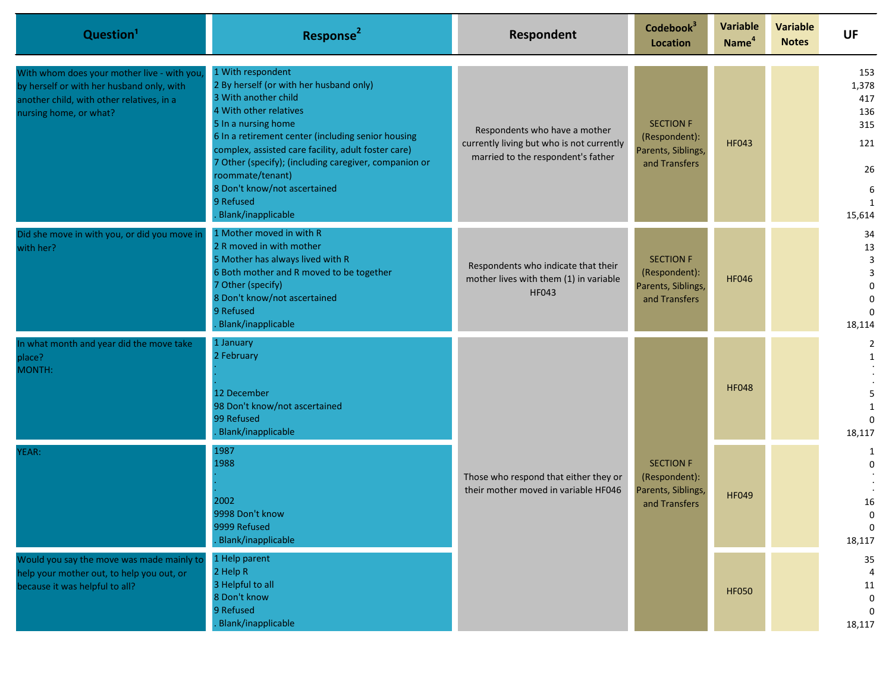| Question <sup>1</sup>                                                                                                                                          | Response <sup>2</sup>                                                                                                                                                                                                                                                                                                                                                                              | Respondent                                                                                                       | Codebook <sup>3</sup><br><b>Location</b>                                 | <b>Variable</b><br>Name <sup>4</sup>                                     | <b>Variable</b><br><b>Notes</b> | <b>UF</b>                                                     |                                                |              |  |                  |
|----------------------------------------------------------------------------------------------------------------------------------------------------------------|----------------------------------------------------------------------------------------------------------------------------------------------------------------------------------------------------------------------------------------------------------------------------------------------------------------------------------------------------------------------------------------------------|------------------------------------------------------------------------------------------------------------------|--------------------------------------------------------------------------|--------------------------------------------------------------------------|---------------------------------|---------------------------------------------------------------|------------------------------------------------|--------------|--|------------------|
| With whom does your mother live - with you<br>by herself or with her husband only, with<br>another child, with other relatives, in a<br>nursing home, or what? | 1 With respondent<br>2 By herself (or with her husband only)<br>3 With another child<br>4 With other relatives<br>5 In a nursing home<br>6 In a retirement center (including senior housing<br>complex, assisted care facility, adult foster care)<br>7 Other (specify); (including caregiver, companion or<br>roommate/tenant)<br>8 Don't know/not ascertained<br>9 Refused<br>Blank/inapplicable | Respondents who have a mother<br>currently living but who is not currently<br>married to the respondent's father | <b>SECTION F</b><br>(Respondent):<br>Parents, Siblings,<br>and Transfers | <b>HF043</b>                                                             |                                 | 153<br>1,378<br>417<br>136<br>315<br>121<br>26<br>6<br>15,614 |                                                |              |  |                  |
| Did she move in with you, or did you move in<br>with her?                                                                                                      | 1 Mother moved in with R<br>2 R moved in with mother<br>5 Mother has always lived with R<br>6 Both mother and R moved to be together<br>7 Other (specify)<br>8 Don't know/not ascertained<br>9 Refused<br>Blank/inapplicable                                                                                                                                                                       | Respondents who indicate that their<br>mother lives with them (1) in variable<br><b>HF043</b>                    | <b>SECTION F</b><br>(Respondent):<br>Parents, Siblings,<br>and Transfers | <b>HF046</b>                                                             |                                 | 34<br>13<br>3<br>3<br>$\Omega$<br>$\Omega$<br>18,114          |                                                |              |  |                  |
| In what month and year did the move take<br>place?<br>MONTH:                                                                                                   | 1 January<br>2 February<br>12 December<br>98 Don't know/not ascertained<br>99 Refused<br>Blank/inapplicable                                                                                                                                                                                                                                                                                        | Those who respond that either they or<br>their mother moved in variable HF046                                    |                                                                          | <b>SECTION F</b><br>(Respondent):<br>Parents, Siblings,<br>and Transfers |                                 |                                                               |                                                | <b>HF048</b> |  | 2<br>1<br>18,117 |
| YEAR:                                                                                                                                                          | 1987<br>1988<br>2002<br>9998 Don't know<br>9999 Refused<br>Blank/inapplicable                                                                                                                                                                                                                                                                                                                      |                                                                                                                  |                                                                          |                                                                          | <b>HF049</b>                    |                                                               | 1<br>$\Omega$<br>16<br>$\Omega$<br>0<br>18,117 |              |  |                  |
| Would you say the move was made mainly to<br>help your mother out, to help you out, or<br>because it was helpful to all?                                       | 1 Help parent<br>2 Help R<br>3 Helpful to all<br>8 Don't know<br>9 Refused<br>Blank/inapplicable                                                                                                                                                                                                                                                                                                   |                                                                                                                  |                                                                          | <b>HF050</b>                                                             |                                 | 35<br>4<br>11<br>0<br>$\mathbf 0$<br>18,117                   |                                                |              |  |                  |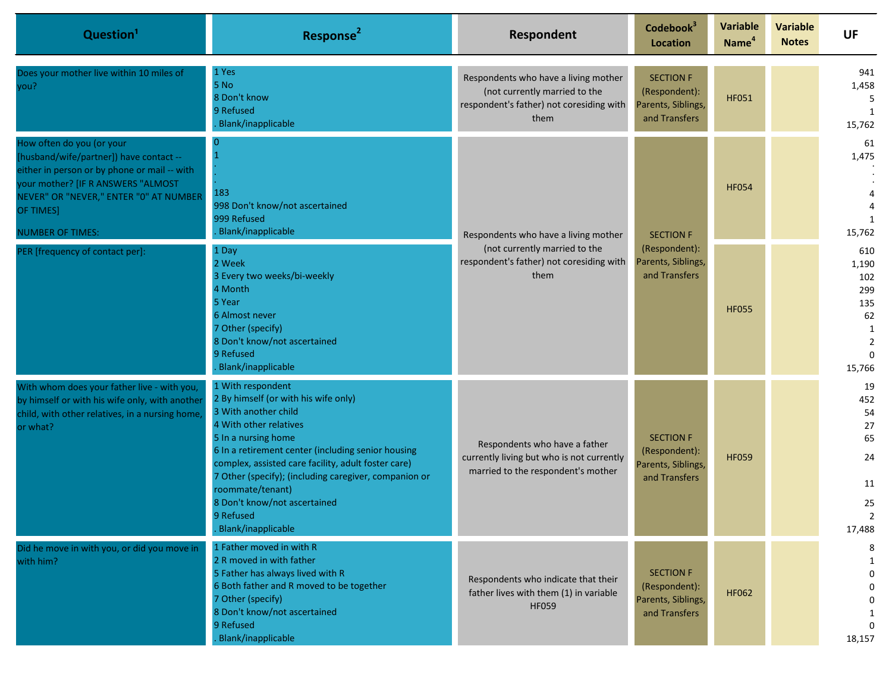| Question <sup>1</sup>                                                                                                                                                                                                                        | Response <sup>2</sup>                                                                                                                                                                                                                                                                                                                                                                           | Respondent                                                                                                                | Codebook <sup>3</sup><br><b>Location</b>                                 | <b>Variable</b><br>Name <sup>4</sup> | <b>Variable</b><br><b>Notes</b> | <b>UF</b>                                                                            |                            |
|----------------------------------------------------------------------------------------------------------------------------------------------------------------------------------------------------------------------------------------------|-------------------------------------------------------------------------------------------------------------------------------------------------------------------------------------------------------------------------------------------------------------------------------------------------------------------------------------------------------------------------------------------------|---------------------------------------------------------------------------------------------------------------------------|--------------------------------------------------------------------------|--------------------------------------|---------------------------------|--------------------------------------------------------------------------------------|----------------------------|
| Does your mother live within 10 miles of<br>you?                                                                                                                                                                                             | 1 Yes<br>5 No<br>8 Don't know<br>9 Refused<br><b>Blank/inapplicable</b>                                                                                                                                                                                                                                                                                                                         | Respondents who have a living mother<br>(not currently married to the<br>respondent's father) not coresiding with<br>them | <b>SECTION F</b><br>(Respondent):<br>Parents, Siblings,<br>and Transfers | <b>HF051</b>                         |                                 | 941<br>1,458<br>5<br>1<br>15,762                                                     |                            |
| How often do you (or your<br>[husband/wife/partner]) have contact --<br>either in person or by phone or mail -- with<br>your mother? [IF R ANSWERS "ALMOST<br>NEVER" OR "NEVER," ENTER "0" AT NUMBER<br>OF TIMES]<br><b>NUMBER OF TIMES:</b> | 183<br>998 Don't know/not ascertained<br>999 Refused<br>Blank/inapplicable                                                                                                                                                                                                                                                                                                                      | Respondents who have a living mother                                                                                      |                                                                          | <b>SECTION F</b>                     | <b>HF054</b>                    |                                                                                      | 61<br>1,475<br>1<br>15,762 |
| PER [frequency of contact per]:                                                                                                                                                                                                              | 1 Day<br>2 Week<br>3 Every two weeks/bi-weekly<br>4 Month<br>5 Year<br>6 Almost never<br>7 Other (specify)<br>8 Don't know/not ascertained<br>9 Refused<br><b>Blank/inapplicable</b>                                                                                                                                                                                                            | (not currently married to the<br>respondent's father) not coresiding with<br>them                                         | (Respondent):<br>Parents, Siblings,<br>and Transfers                     | <b>HF055</b>                         |                                 | 610<br>1,190<br>102<br>299<br>135<br>62<br>1<br>$\overline{2}$<br>$\Omega$<br>15,766 |                            |
| With whom does your father live - with you,<br>by himself or with his wife only, with another<br>child, with other relatives, in a nursing home<br>or what?                                                                                  | 1 With respondent<br>2 By himself (or with his wife only)<br>3 With another child<br>4 With other relatives<br>5 In a nursing home<br>6 In a retirement center (including senior housing<br>complex, assisted care facility, adult foster care)<br>7 Other (specify); (including caregiver, companion or<br>roommate/tenant)<br>8 Don't know/not ascertained<br>9 Refused<br>Blank/inapplicable | Respondents who have a father<br>currently living but who is not currently<br>married to the respondent's mother          | <b>SECTION F</b><br>(Respondent):<br>Parents, Siblings,<br>and Transfers | <b>HF059</b>                         |                                 | 19<br>452<br>54<br>27<br>65<br>24<br>11<br>25<br>$\overline{2}$<br>17,488            |                            |
| Did he move in with you, or did you move in<br>with him?                                                                                                                                                                                     | 1 Father moved in with R<br>2 R moved in with father<br>5 Father has always lived with R<br>6 Both father and R moved to be together<br>7 Other (specify)<br>8 Don't know/not ascertained<br>9 Refused<br>Blank/inapplicable                                                                                                                                                                    | Respondents who indicate that their<br>father lives with them (1) in variable<br><b>HF059</b>                             | <b>SECTION F</b><br>(Respondent):<br>Parents, Siblings,<br>and Transfers | <b>HF062</b>                         |                                 | $\Omega$<br>$\Omega$<br>18,157                                                       |                            |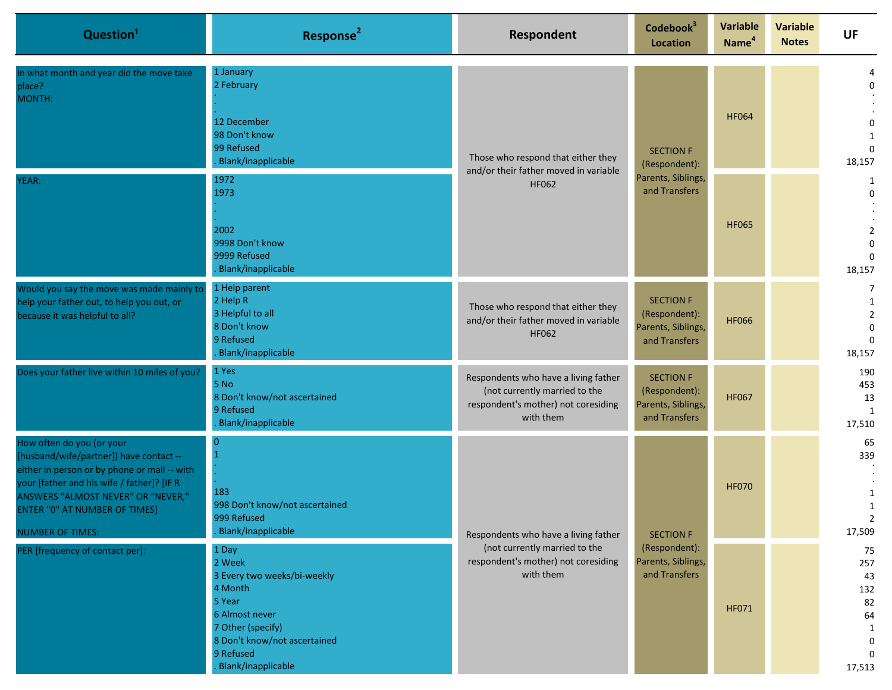| Question <sup>1</sup>                                                                                                                                                                                                                                                       | Response <sup>2</sup>                                                                                                                                                                | Respondent                                                                                                                | Codebook <sup>3</sup><br><b>Location</b>                                 | <b>Variable</b><br>Name <sup>4</sup> | <b>Variable</b><br><b>Notes</b> | <b>UF</b>                                                                        |                                                                     |
|-----------------------------------------------------------------------------------------------------------------------------------------------------------------------------------------------------------------------------------------------------------------------------|--------------------------------------------------------------------------------------------------------------------------------------------------------------------------------------|---------------------------------------------------------------------------------------------------------------------------|--------------------------------------------------------------------------|--------------------------------------|---------------------------------|----------------------------------------------------------------------------------|---------------------------------------------------------------------|
| In what month and year did the move take<br>place?<br>MONTH:                                                                                                                                                                                                                | 1 January<br>2 February<br>12 December<br>98 Don't know<br>99 Refused<br><b>Blank/inapplicable</b>                                                                                   | Those who respond that either they<br>and/or their father moved in variable                                               | <b>SECTION F</b><br>(Respondent):<br>Parents, Siblings,<br>and Transfers |                                      | <b>HF064</b>                    |                                                                                  | 0<br>0<br>1<br>$\Omega$<br>18,157                                   |
| YEAR:                                                                                                                                                                                                                                                                       | 1972<br>1973<br>2002<br>9998 Don't know<br>9999 Refused<br>Blank/inapplicable                                                                                                        | HF062                                                                                                                     |                                                                          | <b>HF065</b>                         |                                 | 1<br>$\mathbf 0$<br>$\overline{2}$<br>$\mathbf{0}$<br>$\Omega$<br>18,157         |                                                                     |
| Would you say the move was made mainly to<br>help your father out, to help you out, or<br>because it was helpful to all?                                                                                                                                                    | 1 Help parent<br>2 Help R<br>3 Helpful to all<br>8 Don't know<br>9 Refused<br>Blank/inapplicable                                                                                     | Those who respond that either they<br>and/or their father moved in variable<br><b>HF062</b>                               | <b>SECTION F</b><br>(Respondent):<br>Parents, Siblings,<br>and Transfers | <b>HF066</b>                         |                                 | 7<br>1<br>$\overline{2}$<br>$\mathbf{0}$<br>$\Omega$<br>18,157                   |                                                                     |
| Does your father live within 10 miles of you?                                                                                                                                                                                                                               | 1 Yes<br>5 No<br>8 Don't know/not ascertained<br>9 Refused<br>Blank/inapplicable                                                                                                     | Respondents who have a living father<br>(not currently married to the<br>respondent's mother) not coresiding<br>with them | <b>SECTION F</b><br>(Respondent):<br>Parents, Siblings,<br>and Transfers | <b>HF067</b>                         |                                 | 190<br>453<br>13<br>1<br>17,510                                                  |                                                                     |
| How often do you (or your<br>[husband/wife/partner]) have contact --<br>either in person or by phone or mail -- with<br>your [father and his wife / father]? [IF R<br>ANSWERS "ALMOST NEVER" OR "NEVER,"<br><b>ENTER "0" AT NUMBER OF TIMES]</b><br><b>NUMBER OF TIMES:</b> | n<br>183<br>998 Don't know/not ascertained<br>999 Refused<br><b>Blank/inapplicable</b>                                                                                               | Respondents who have a living father<br>(not currently married to the<br>respondent's mother) not coresiding<br>with them |                                                                          | <b>SECTION F</b>                     | <b>HF070</b>                    |                                                                                  | 65<br>339<br>$\mathbf{1}$<br>$\mathbf{1}$<br><sup>-</sup><br>17,509 |
| PER [frequency of contact per]:                                                                                                                                                                                                                                             | 1 Day<br>2 Week<br>3 Every two weeks/bi-weekly<br>4 Month<br>5 Year<br>6 Almost never<br>7 Other (specify)<br>8 Don't know/not ascertained<br>9 Refused<br><b>Blank/inapplicable</b> |                                                                                                                           | (Respondent):<br>Parents, Siblings,<br>and Transfers                     | HF071                                |                                 | 75<br>257<br>43<br>132<br>82<br>64<br>1<br>$\mathbf 0$<br>$\mathbf{0}$<br>17,513 |                                                                     |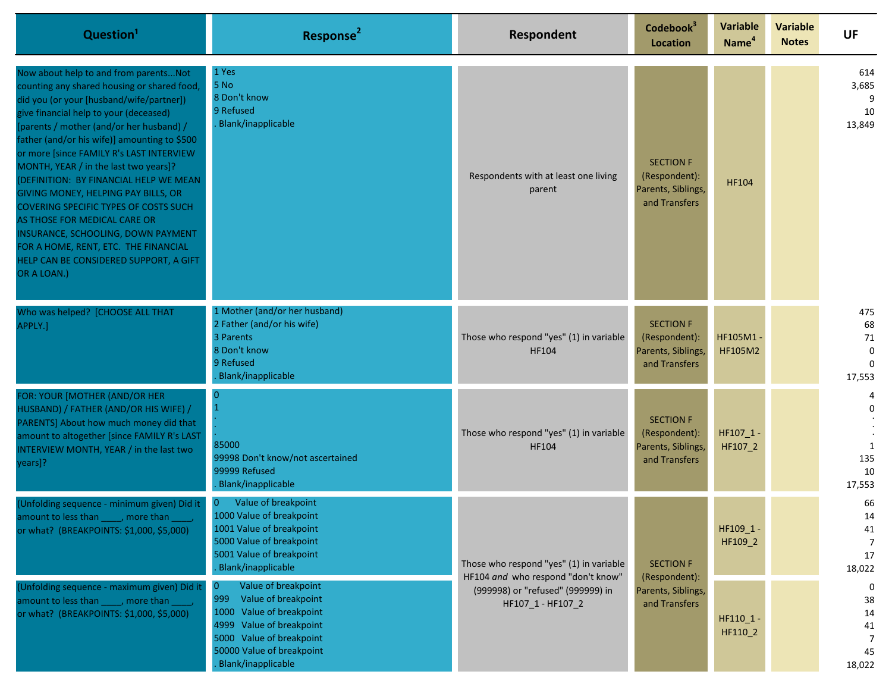| Question <sup>1</sup>                                                                                                                                                                                                                                                                                                                                                                                                                                                                                                                                                                                                                                                | Response <sup>2</sup>                                                                                                                                                                          | Respondent                                                                                                                              | Codebook <sup>3</sup><br>Location                                        | <b>Variable</b><br>Name <sup>4</sup> | <b>Variable</b><br><b>Notes</b> | <b>UF</b>                                                |
|----------------------------------------------------------------------------------------------------------------------------------------------------------------------------------------------------------------------------------------------------------------------------------------------------------------------------------------------------------------------------------------------------------------------------------------------------------------------------------------------------------------------------------------------------------------------------------------------------------------------------------------------------------------------|------------------------------------------------------------------------------------------------------------------------------------------------------------------------------------------------|-----------------------------------------------------------------------------------------------------------------------------------------|--------------------------------------------------------------------------|--------------------------------------|---------------------------------|----------------------------------------------------------|
| Now about help to and from parents Not<br>counting any shared housing or shared food,<br>did you (or your [husband/wife/partner])<br>give financial help to your (deceased)<br>[parents / mother (and/or her husband) /<br>father (and/or his wife)] amounting to \$500<br>or more [since FAMILY R's LAST INTERVIEW<br>MONTH, YEAR / in the last two years]?<br>(DEFINITION: BY FINANCIAL HELP WE MEAN<br>GIVING MONEY, HELPING PAY BILLS, OR<br><b>COVERING SPECIFIC TYPES OF COSTS SUCH</b><br>AS THOSE FOR MEDICAL CARE OR<br>INSURANCE, SCHOOLING, DOWN PAYMENT<br>FOR A HOME, RENT, ETC. THE FINANCIAL<br>HELP CAN BE CONSIDERED SUPPORT, A GIFT<br>OR A LOAN.) | 1 Yes<br>5 No<br>8 Don't know<br>9 Refused<br>Blank/inapplicable                                                                                                                               | Respondents with at least one living<br>parent                                                                                          | <b>SECTION F</b><br>(Respondent):<br>Parents, Siblings,<br>and Transfers | <b>HF104</b>                         |                                 | 614<br>3,685<br>9<br>10<br>13,849                        |
| Who was helped? [CHOOSE ALL THAT<br>APPLY.]                                                                                                                                                                                                                                                                                                                                                                                                                                                                                                                                                                                                                          | 1 Mother (and/or her husband)<br>2 Father (and/or his wife)<br>3 Parents<br>8 Don't know<br>9 Refused<br>Blank/inapplicable                                                                    | Those who respond "yes" (1) in variable<br>HF104                                                                                        | <b>SECTION F</b><br>(Respondent):<br>Parents, Siblings,<br>and Transfers | HF105M1<br><b>HF105M2</b>            |                                 | 475<br>68<br>$71\,$<br>$\mathbf 0$<br>$\Omega$<br>17,553 |
| FOR: YOUR [MOTHER (AND/OR HER<br>HUSBAND) / FATHER (AND/OR HIS WIFE) /<br>PARENTS] About how much money did that<br>amount to altogether [since FAMILY R's LAST<br>INTERVIEW MONTH, YEAR / in the last two<br>years]?                                                                                                                                                                                                                                                                                                                                                                                                                                                | $\overline{0}$<br>85000<br>99998 Don't know/not ascertained<br>99999 Refused<br>Blank/inapplicable                                                                                             | Those who respond "yes" (1) in variable<br>HF104                                                                                        | <b>SECTION F</b><br>(Respondent):<br>Parents, Siblings,<br>and Transfers | HF107_1<br>HF107_2                   |                                 | 4<br>0<br>$\overline{1}$<br>135<br>10<br>17,553          |
| (Unfolding sequence - minimum given) Did it<br>amount to less than _____, more than ____<br>or what? (BREAKPOINTS: \$1,000, \$5,000)                                                                                                                                                                                                                                                                                                                                                                                                                                                                                                                                 | Value of breakpoint<br>1000 Value of breakpoint<br>1001 Value of breakpoint<br>5000 Value of breakpoint<br>5001 Value of breakpoint<br>Blank/inapplicable                                      | Those who respond "yes" (1) in variable<br>HF104 and who respond "don't know"<br>(999998) or "refused" (999999) in<br>HF107_1 - HF107_2 | <b>SECTION F</b><br>(Respondent):                                        | HF109_1 -<br>HF109_2                 |                                 | 66<br>14<br>41<br>7<br>17<br>18,022                      |
| (Unfolding sequence - maximum given) Did it<br>amount to less than _____, more than<br>or what? (BREAKPOINTS: \$1,000, \$5,000)                                                                                                                                                                                                                                                                                                                                                                                                                                                                                                                                      | Value of breakpoint<br>999<br>Value of breakpoint<br>Value of breakpoint<br>1000<br>Value of breakpoint<br>4999<br>5000 Value of breakpoint<br>50000 Value of breakpoint<br>Blank/inapplicable |                                                                                                                                         |                                                                          | Parents, Siblings,<br>and Transfers  | HF110_1-<br>HF110_2             |                                                          |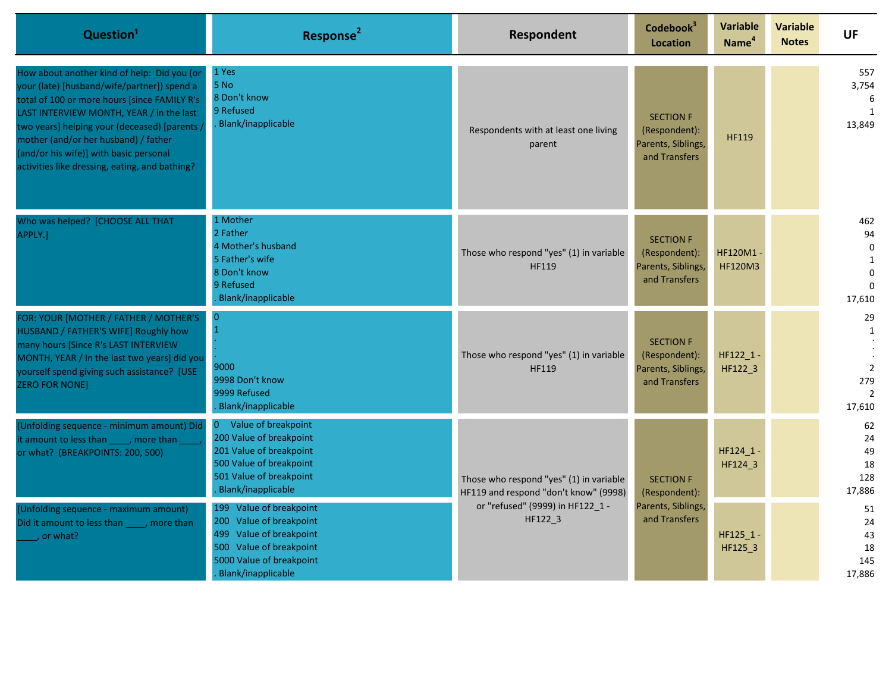| Question <sup>1</sup>                                                                                                                                                                                                                                                                                                                                                      | Response <sup>2</sup>                                                                                                                                      | Respondent                                                                                                                      | Codebook <sup>3</sup><br><b>Location</b>                                 | Variable<br>Name <sup>4</sup> | <b>Variable</b><br><b>Notes</b> | <b>UF</b>                                                                  |
|----------------------------------------------------------------------------------------------------------------------------------------------------------------------------------------------------------------------------------------------------------------------------------------------------------------------------------------------------------------------------|------------------------------------------------------------------------------------------------------------------------------------------------------------|---------------------------------------------------------------------------------------------------------------------------------|--------------------------------------------------------------------------|-------------------------------|---------------------------------|----------------------------------------------------------------------------|
| How about another kind of help: Did you (or<br>your (late) [husband/wife/partner]) spend a<br>total of 100 or more hours [since FAMILY R's<br>LAST INTERVIEW MONTH, YEAR / in the last<br>two years] helping your (deceased) [parents]<br>mother (and/or her husband) / father<br>(and/or his wife)] with basic personal<br>activities like dressing, eating, and bathing? | 1 Yes<br>5 No<br>8 Don't know<br>9 Refused<br>Blank/inapplicable                                                                                           | Respondents with at least one living<br>parent                                                                                  | <b>SECTION F</b><br>(Respondent):<br>Parents, Siblings,<br>and Transfers | <b>HF119</b>                  |                                 | 557<br>3,754<br>6<br>1<br>13,849                                           |
| Who was helped? [CHOOSE ALL THAT<br>APPLY.]                                                                                                                                                                                                                                                                                                                                | 1 Mother<br>2 Father<br>4 Mother's husband<br>5 Father's wife<br>8 Don't know<br>9 Refused<br>Blank/inapplicable                                           | Those who respond "yes" (1) in variable<br>HF119                                                                                | <b>SECTION F</b><br>(Respondent):<br>Parents, Siblings,<br>and Transfers | HF120M1<br><b>HF120M3</b>     |                                 | 462<br>94<br>$\mathbf 0$<br>$\mathbf{1}$<br>$\Omega$<br>$\Omega$<br>17,610 |
| FOR: YOUR [MOTHER / FATHER / MOTHER'S<br>HUSBAND / FATHER'S WIFE] Roughly how<br>many hours [Since R's LAST INTERVIEW<br>MONTH, YEAR / In the last two years] did you<br>yourself spend giving such assistance? [USE<br><b>ZERO FOR NONE]</b>                                                                                                                              | $\mathbf{0}$<br>$\overline{1}$<br>9000<br>9998 Don't know<br>9999 Refused<br>Blank/inapplicable                                                            | Those who respond "yes" (1) in variable<br>HF119                                                                                | <b>SECTION F</b><br>(Respondent):<br>Parents, Siblings,<br>and Transfers | HF122_1<br>HF122_3            |                                 | 29<br>1<br>$\mathbf 2$<br>279<br>$\overline{2}$<br>17,610                  |
| (Unfolding sequence - minimum amount) Did<br>it amount to less than _____, more than<br>or what? (BREAKPOINTS: 200, 500)                                                                                                                                                                                                                                                   | Value of breakpoint<br>0<br>200 Value of breakpoint<br>201 Value of breakpoint<br>500 Value of breakpoint<br>501 Value of breakpoint<br>Blank/inapplicable | Those who respond "yes" (1) in variable<br>HF119 and respond "don't know" (9998)<br>or "refused" (9999) in HF122 1 -<br>HF122_3 | <b>SECTION F</b><br>(Respondent):                                        | HF124_1<br>HF124_3            |                                 | 62<br>24<br>49<br>18<br>128<br>17,886                                      |
| (Unfolding sequence - maximum amount)<br>Did it amount to less than _____, more than<br>$\overline{\phantom{a}}$ or what?                                                                                                                                                                                                                                                  | 199 Value of breakpoint<br>200 Value of breakpoint<br>499 Value of breakpoint<br>500 Value of breakpoint<br>5000 Value of breakpoint<br>Blank/inapplicable |                                                                                                                                 | Parents, Siblings,<br>and Transfers                                      | HF125_1<br>HF125_3            |                                 | 51<br>24<br>43<br>18<br>145<br>17,886                                      |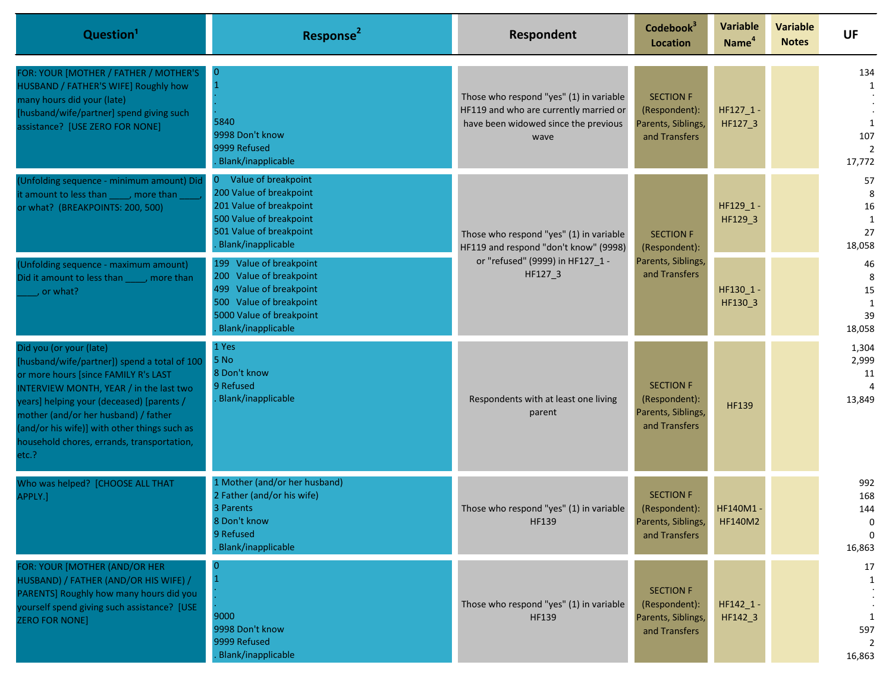| Question <sup>1</sup>                                                                                                                                                                                                                                                                                                                                  | Response <sup>2</sup>                                                                                                                                                   | Respondent                                                                                                                        | Codebook <sup>3</sup><br><b>Location</b>                                 | <b>Variable</b><br>Name <sup>4</sup> | <b>Variable</b><br><b>Notes</b> | <b>UF</b>                                        |
|--------------------------------------------------------------------------------------------------------------------------------------------------------------------------------------------------------------------------------------------------------------------------------------------------------------------------------------------------------|-------------------------------------------------------------------------------------------------------------------------------------------------------------------------|-----------------------------------------------------------------------------------------------------------------------------------|--------------------------------------------------------------------------|--------------------------------------|---------------------------------|--------------------------------------------------|
| FOR: YOUR [MOTHER / FATHER / MOTHER'S<br>HUSBAND / FATHER'S WIFE] Roughly how<br>many hours did your (late)<br>[husband/wife/partner] spend giving such<br>assistance? [USE ZERO FOR NONE]                                                                                                                                                             | $\bf{0}$<br>5840<br>9998 Don't know<br>9999 Refused<br><b>Blank/inapplicable</b>                                                                                        | Those who respond "yes" (1) in variable<br>HF119 and who are currently married or<br>have been widowed since the previous<br>wave | <b>SECTION F</b><br>(Respondent):<br>Parents, Siblings,<br>and Transfers | HF127_1-<br>HF127_3                  |                                 | 134<br>1<br>1<br>107<br>$\overline{2}$<br>17,772 |
| (Unfolding sequence - minimum amount) Did<br>it amount to less than _____, more than<br>or what? (BREAKPOINTS: 200, 500)                                                                                                                                                                                                                               | Value of breakpoint<br>$\overline{0}$<br>200 Value of breakpoint<br>201 Value of breakpoint<br>500 Value of breakpoint<br>501 Value of breakpoint<br>Blank/inapplicable | Those who respond "yes" (1) in variable<br>HF119 and respond "don't know" (9998)<br>or "refused" (9999) in HF127 1 -<br>HF127_3   | <b>SECTION F</b><br>(Respondent):                                        | HF129_1-<br>HF129_3                  |                                 | 57<br>8<br>16<br>1<br>27<br>18,058               |
| (Unfolding sequence - maximum amount)<br>Did it amount to less than _____, more than<br>$\overline{\phantom{a}}$ , or what?                                                                                                                                                                                                                            | 199 Value of breakpoint<br>200 Value of breakpoint<br>499 Value of breakpoint<br>500 Value of breakpoint<br>5000 Value of breakpoint<br>Blank/inapplicable              |                                                                                                                                   | Parents, Siblings,<br>and Transfers                                      | HF130_1-<br>HF130_3                  |                                 | 46<br>8<br>15<br>1<br>39<br>18,058               |
| Did you (or your (late)<br>[husband/wife/partner]) spend a total of 100<br>or more hours [since FAMILY R's LAST<br>INTERVIEW MONTH, YEAR / in the last two<br>years] helping your (deceased) [parents /<br>mother (and/or her husband) / father<br>(and/or his wife)] with other things such as<br>household chores, errands, transportation,<br>etc.? | 1 Yes<br>5 No<br>8 Don't know<br>9 Refused<br>Blank/inapplicable                                                                                                        | Respondents with at least one living<br>parent                                                                                    | <b>SECTION F</b><br>(Respondent):<br>Parents, Siblings,<br>and Transfers | <b>HF139</b>                         |                                 | 1,304<br>2,999<br>11<br>13,849                   |
| Who was helped? [CHOOSE ALL THAT<br>APPLY.]                                                                                                                                                                                                                                                                                                            | 1 Mother (and/or her husband)<br>2 Father (and/or his wife)<br>3 Parents<br>8 Don't know<br>9 Refused<br><b>Blank/inapplicable</b>                                      | Those who respond "yes" (1) in variable<br><b>HF139</b>                                                                           | <b>SECTION F</b><br>(Respondent):<br>Parents, Siblings,<br>and Transfers | <b>HF140M1</b><br><b>HF140M2</b>     |                                 | 992<br>168<br>144<br>0<br>$\Omega$<br>16,863     |
| FOR: YOUR [MOTHER (AND/OR HER<br>HUSBAND) / FATHER (AND/OR HIS WIFE) /<br>PARENTS] Roughly how many hours did you<br>yourself spend giving such assistance? [USE<br><b>ZERO FOR NONE]</b>                                                                                                                                                              | 9000<br>9998 Don't know<br>9999 Refused<br><b>Blank/inapplicable</b>                                                                                                    | Those who respond "yes" (1) in variable<br>HF139                                                                                  | <b>SECTION F</b><br>(Respondent):<br>Parents, Siblings,<br>and Transfers | HF142_1 -<br>HF142_3                 |                                 | 17<br>$\mathbf{1}$<br>1<br>597<br>2<br>16,863    |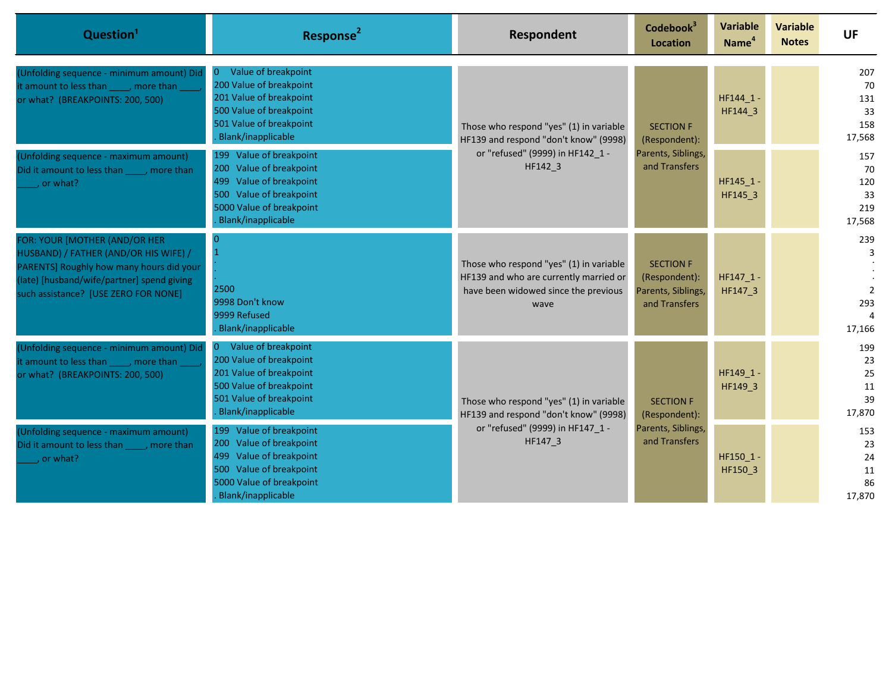| Question <sup>1</sup>                                                                                                                                                                                    | Response <sup>2</sup>                                                                                                                                                   | Respondent                                                                                                                        | Codebook <sup>3</sup><br><b>Location</b>                                 | <b>Variable</b><br>Name <sup>4</sup> | <b>Variable</b><br><b>Notes</b> | <b>UF</b>                                   |                                         |
|----------------------------------------------------------------------------------------------------------------------------------------------------------------------------------------------------------|-------------------------------------------------------------------------------------------------------------------------------------------------------------------------|-----------------------------------------------------------------------------------------------------------------------------------|--------------------------------------------------------------------------|--------------------------------------|---------------------------------|---------------------------------------------|-----------------------------------------|
| (Unfolding sequence - minimum amount) Did<br>it amount to less than _____, more than<br>or what? (BREAKPOINTS: 200, 500)                                                                                 | Value of breakpoint<br>0<br>200 Value of breakpoint<br>201 Value of breakpoint<br>500 Value of breakpoint<br>501 Value of breakpoint<br>Blank/inapplicable              | Those who respond "yes" (1) in variable<br>HF139 and respond "don't know" (9998)<br>or "refused" (9999) in HF142 1 -<br>HF142 3   | <b>SECTION F</b><br>(Respondent):                                        | HF144 1-<br>HF144_3                  |                                 | 207<br>70<br>131<br>33<br>158<br>17,568     |                                         |
| (Unfolding sequence - maximum amount)<br>Did it amount to less than , more than<br>$\overline{\phantom{a}}$ or what?                                                                                     | 199 Value of breakpoint<br>200 Value of breakpoint<br>499 Value of breakpoint<br>500 Value of breakpoint<br>5000 Value of breakpoint<br>Blank/inapplicable              |                                                                                                                                   | and Transfers                                                            | Parents, Siblings,                   | HF145_1 -<br>HF145_3            |                                             | 157<br>70<br>120<br>33<br>219<br>17,568 |
| FOR: YOUR [MOTHER (AND/OR HER<br>HUSBAND) / FATHER (AND/OR HIS WIFE) /<br>PARENTS] Roughly how many hours did your<br>(late) [husband/wife/partner] spend giving<br>such assistance? [USE ZERO FOR NONE] | 2500<br>9998 Don't know<br>9999 Refused<br>Blank/inapplicable                                                                                                           | Those who respond "yes" (1) in variable<br>HF139 and who are currently married or<br>have been widowed since the previous<br>wave | <b>SECTION F</b><br>(Respondent):<br>Parents, Siblings,<br>and Transfers | HF147_1<br>HF147 3                   |                                 | 239<br>3<br>$\overline{2}$<br>293<br>17,166 |                                         |
| (Unfolding sequence - minimum amount) Did<br>it amount to less than _____, more than<br>or what? (BREAKPOINTS: 200, 500)                                                                                 | Value of breakpoint<br>$\overline{0}$<br>200 Value of breakpoint<br>201 Value of breakpoint<br>500 Value of breakpoint<br>501 Value of breakpoint<br>Blank/inapplicable | Those who respond "yes" (1) in variable<br>HF139 and respond "don't know" (9998)<br>or "refused" (9999) in HF147 1 -<br>HF147 3   |                                                                          | <b>SECTION F</b><br>(Respondent):    | HF149 1<br>HF149 3              |                                             | 199<br>23<br>25<br>11<br>39<br>17,870   |
| (Unfolding sequence - maximum amount)<br>Did it amount to less than _____, more than<br>, or what?                                                                                                       | 199 Value of breakpoint<br>200 Value of breakpoint<br>499 Value of breakpoint<br>500 Value of breakpoint<br>5000 Value of breakpoint<br>Blank/inapplicable              |                                                                                                                                   | Parents, Siblings,<br>and Transfers                                      | HF150 1<br>HF150_3                   |                                 | 153<br>23<br>24<br>11<br>86<br>17,870       |                                         |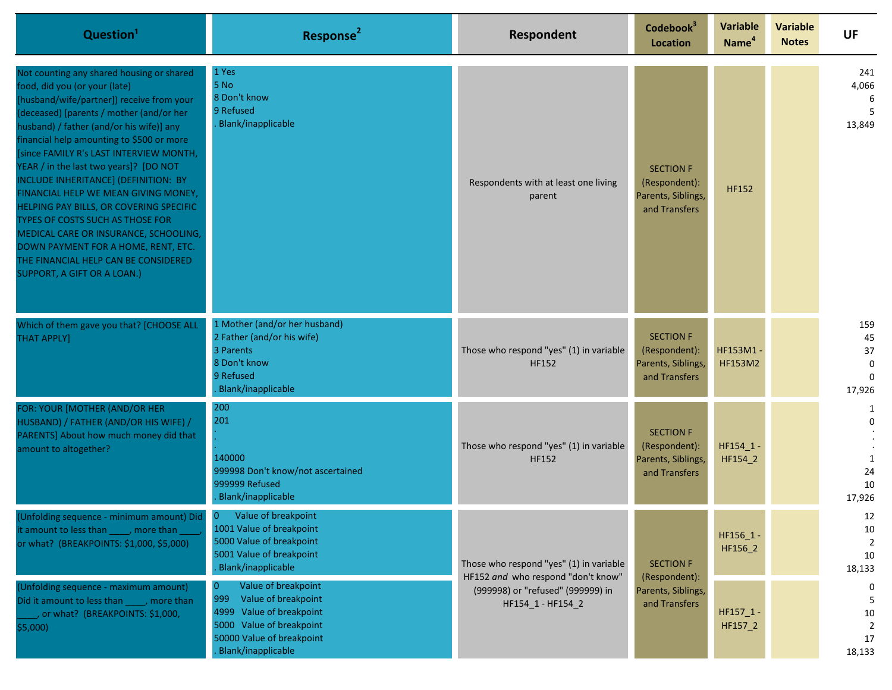| Question <sup>1</sup>                                                                                                                                                                                                                                                                                                                                                                                                                                                                                                                                                                                                                                                          | Response <sup>2</sup>                                                                                                                                                  | Respondent                                                                                 | Codebook <sup>3</sup><br><b>Location</b>                                 | <b>Variable</b><br>Name <sup>4</sup> | <b>Variable</b><br><b>Notes</b> | <b>UF</b>                                            |
|--------------------------------------------------------------------------------------------------------------------------------------------------------------------------------------------------------------------------------------------------------------------------------------------------------------------------------------------------------------------------------------------------------------------------------------------------------------------------------------------------------------------------------------------------------------------------------------------------------------------------------------------------------------------------------|------------------------------------------------------------------------------------------------------------------------------------------------------------------------|--------------------------------------------------------------------------------------------|--------------------------------------------------------------------------|--------------------------------------|---------------------------------|------------------------------------------------------|
| Not counting any shared housing or shared<br>food, did you (or your (late)<br>[husband/wife/partner]) receive from your<br>(deceased) [parents / mother (and/or her<br>husband) / father (and/or his wife)] any<br>financial help amounting to \$500 or more<br>[since FAMILY R's LAST INTERVIEW MONTH,<br>YEAR / in the last two years]? [DO NOT<br>INCLUDE INHERITANCE] (DEFINITION: BY<br>FINANCIAL HELP WE MEAN GIVING MONEY,<br>HELPING PAY BILLS, OR COVERING SPECIFIC<br>TYPES OF COSTS SUCH AS THOSE FOR<br>MEDICAL CARE OR INSURANCE, SCHOOLING,<br>DOWN PAYMENT FOR A HOME, RENT, ETC.<br>THE FINANCIAL HELP CAN BE CONSIDERED<br><b>SUPPORT, A GIFT OR A LOAN.)</b> | 1 Yes<br>5 No<br>8 Don't know<br>9 Refused<br><b>Blank/inapplicable</b>                                                                                                | Respondents with at least one living<br>parent                                             | <b>SECTION F</b><br>(Respondent):<br>Parents, Siblings,<br>and Transfers | <b>HF152</b>                         |                                 | 241<br>4,066<br>6<br>5<br>13,849                     |
| Which of them gave you that? [CHOOSE ALL<br><b>THAT APPLY]</b>                                                                                                                                                                                                                                                                                                                                                                                                                                                                                                                                                                                                                 | 1 Mother (and/or her husband)<br>2 Father (and/or his wife)<br>3 Parents<br>8 Don't know<br>9 Refused<br><b>Blank/inapplicable</b>                                     | Those who respond "yes" (1) in variable<br><b>HF152</b>                                    | <b>SECTION F</b><br>(Respondent):<br>Parents, Siblings,<br>and Transfers | HF153M1 -<br>HF153M2                 |                                 | 159<br>45<br>37<br>$\mathbf 0$<br>$\Omega$<br>17,926 |
| FOR: YOUR [MOTHER (AND/OR HER<br>HUSBAND) / FATHER (AND/OR HIS WIFE) /<br>PARENTS] About how much money did that<br>amount to altogether?                                                                                                                                                                                                                                                                                                                                                                                                                                                                                                                                      | 200<br>201<br>140000<br>999998 Don't know/not ascertained<br>999999 Refused<br>. Blank/inapplicable                                                                    | Those who respond "yes" (1) in variable<br><b>HF152</b>                                    | <b>SECTION F</b><br>(Respondent):<br>Parents, Siblings,<br>and Transfers | HF154_1<br>HF154_2                   |                                 | 1<br>$\mathbf 0$<br>1<br>24<br>10<br>17,926          |
| (Unfolding sequence - minimum amount) Did<br>it amount to less than _____, more than<br>or what? (BREAKPOINTS: \$1,000, \$5,000)                                                                                                                                                                                                                                                                                                                                                                                                                                                                                                                                               | $\mathbf{0}$<br>Value of breakpoint<br>1001 Value of breakpoint<br>5000 Value of breakpoint<br>5001 Value of breakpoint<br>. Blank/inapplicable                        | Those who respond "yes" (1) in variable                                                    | <b>SECTION F</b>                                                         | HF156_1 -<br>HF156_2                 |                                 | 12<br>10<br>$\overline{2}$<br>10<br>18,133           |
| (Unfolding sequence - maximum amount)<br>Did it amount to less than _____, more than<br>, or what? (BREAKPOINTS: \$1,000,<br>\$5,000)                                                                                                                                                                                                                                                                                                                                                                                                                                                                                                                                          | Value of breakpoint<br>999<br>Value of breakpoint<br>Value of breakpoint<br>4999<br>5000 Value of breakpoint<br>50000 Value of breakpoint<br><b>Blank/inapplicable</b> | HF152 and who respond "don't know"<br>(999998) or "refused" (999999) in<br>HF154 1-HF154 2 | (Respondent):<br>Parents, Siblings,<br>and Transfers                     | $HF157_1 -$<br>HF157_2               |                                 | 0<br>5<br>10<br>$\overline{2}$<br>17<br>18,133       |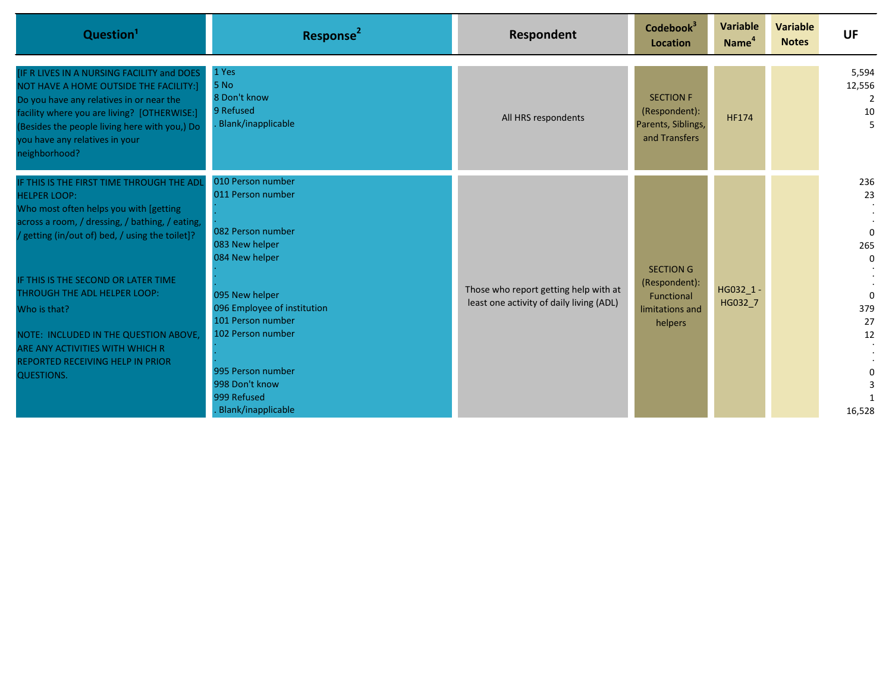| Question <sup>1</sup>                                                                                                                                                                                                                                                              | Response <sup>2</sup>                                                                                                                                               | Respondent                                                                        | Codebook <sup>3</sup><br>Location                                             | <b>Variable</b><br>Name <sup>4</sup> | <b>Variable</b><br><b>Notes</b> | <b>UF</b>                                  |
|------------------------------------------------------------------------------------------------------------------------------------------------------------------------------------------------------------------------------------------------------------------------------------|---------------------------------------------------------------------------------------------------------------------------------------------------------------------|-----------------------------------------------------------------------------------|-------------------------------------------------------------------------------|--------------------------------------|---------------------------------|--------------------------------------------|
| IF R LIVES IN A NURSING FACILITY and DOES<br>NOT HAVE A HOME OUTSIDE THE FACILITY:]<br>Do you have any relatives in or near the<br>facility where you are living? [OTHERWISE:]<br>(Besides the people living here with you,) Do<br>you have any relatives in your<br>neighborhood? | 1 Yes<br>5 No<br>8 Don't know<br>9 Refused<br>Blank/inapplicable                                                                                                    | All HRS respondents                                                               | <b>SECTION F</b><br>(Respondent):<br>Parents, Siblings,<br>and Transfers      | <b>HF174</b>                         |                                 | 5,594<br>12,556<br>10<br>5                 |
| IF THIS IS THE FIRST TIME THROUGH THE ADL<br><b>HELPER LOOP:</b><br>Who most often helps you with [getting<br>across a room, / dressing, / bathing, / eating,<br>/ getting (in/out of) bed, / using the toilet]?                                                                   | 010 Person number<br>011 Person number<br>082 Person number<br>083 New helper<br>084 New helper                                                                     |                                                                                   |                                                                               |                                      |                                 | 236<br>23<br>$\Omega$<br>265<br>$\Omega$   |
| IF THIS IS THE SECOND OR LATER TIME<br>THROUGH THE ADL HELPER LOOP:<br>Who is that?<br>NOTE: INCLUDED IN THE QUESTION ABOVE,<br>ARE ANY ACTIVITIES WITH WHICH R<br>REPORTED RECEIVING HELP IN PRIOR<br>QUESTIONS.                                                                  | 095 New helper<br>096 Employee of institution<br>101 Person number<br>102 Person number<br>995 Person number<br>998 Don't know<br>999 Refused<br>Blank/inapplicable | Those who report getting help with at<br>least one activity of daily living (ADL) | <b>SECTION G</b><br>(Respondent):<br>Functional<br>limitations and<br>helpers | HG032 1<br>HG032 7                   |                                 | $\Omega$<br>379<br>27<br>12<br>0<br>16,528 |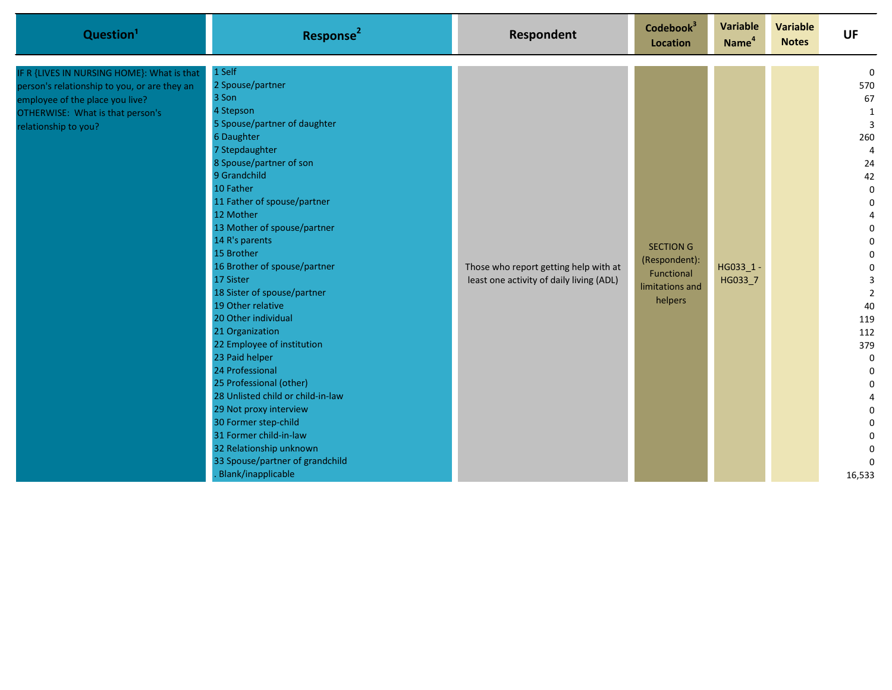| Question <sup>1</sup>                                                                                                                                                                     | Response <sup>2</sup>                                                                                                                                                                                                                                                                                                                                                                                                                                                                                                                                                                                                                                                                                                                    | Respondent                                                                        | Codebook <sup>3</sup><br>Location                                             | <b>Variable</b><br>Name <sup>4</sup> | <b>Variable</b><br><b>Notes</b> | <b>UF</b>                                                                                                                                                                                                                                                                                                                                     |
|-------------------------------------------------------------------------------------------------------------------------------------------------------------------------------------------|------------------------------------------------------------------------------------------------------------------------------------------------------------------------------------------------------------------------------------------------------------------------------------------------------------------------------------------------------------------------------------------------------------------------------------------------------------------------------------------------------------------------------------------------------------------------------------------------------------------------------------------------------------------------------------------------------------------------------------------|-----------------------------------------------------------------------------------|-------------------------------------------------------------------------------|--------------------------------------|---------------------------------|-----------------------------------------------------------------------------------------------------------------------------------------------------------------------------------------------------------------------------------------------------------------------------------------------------------------------------------------------|
| IF R {LIVES IN NURSING HOME}: What is that<br>person's relationship to you, or are they an<br>employee of the place you live?<br>OTHERWISE: What is that person's<br>relationship to you? | 1 Self<br>2 Spouse/partner<br>3 Son<br>4 Stepson<br>5 Spouse/partner of daughter<br>6 Daughter<br>7 Stepdaughter<br>8 Spouse/partner of son<br>9 Grandchild<br>10 Father<br>11 Father of spouse/partner<br>12 Mother<br>13 Mother of spouse/partner<br>14 R's parents<br>15 Brother<br>16 Brother of spouse/partner<br>17 Sister<br>18 Sister of spouse/partner<br>19 Other relative<br>20 Other individual<br>21 Organization<br>22 Employee of institution<br>23 Paid helper<br>24 Professional<br>25 Professional (other)<br>28 Unlisted child or child-in-law<br>29 Not proxy interview<br>30 Former step-child<br>31 Former child-in-law<br>32 Relationship unknown<br>33 Spouse/partner of grandchild<br><b>Blank/inapplicable</b> | Those who report getting help with at<br>least one activity of daily living (ADL) | <b>SECTION G</b><br>(Respondent):<br>Functional<br>limitations and<br>helpers | HG033_1-<br>HG033_7                  |                                 | $\mathbf 0$<br>570<br>67<br>1<br>$\overline{3}$<br>260<br>$\overline{4}$<br>24<br>42<br>$\pmb{0}$<br>$\mathbf 0$<br>4<br>$\mathbf 0$<br>$\mathbf 0$<br>$\mathbf 0$<br>$\pmb{0}$<br>3<br>$\overline{2}$<br>40<br>119<br>112<br>379<br>$\mathbf 0$<br>0<br>0<br>4<br>$\mathbf 0$<br>$\pmb{0}$<br>$\pmb{0}$<br>$\mathbf 0$<br>$\Omega$<br>16,533 |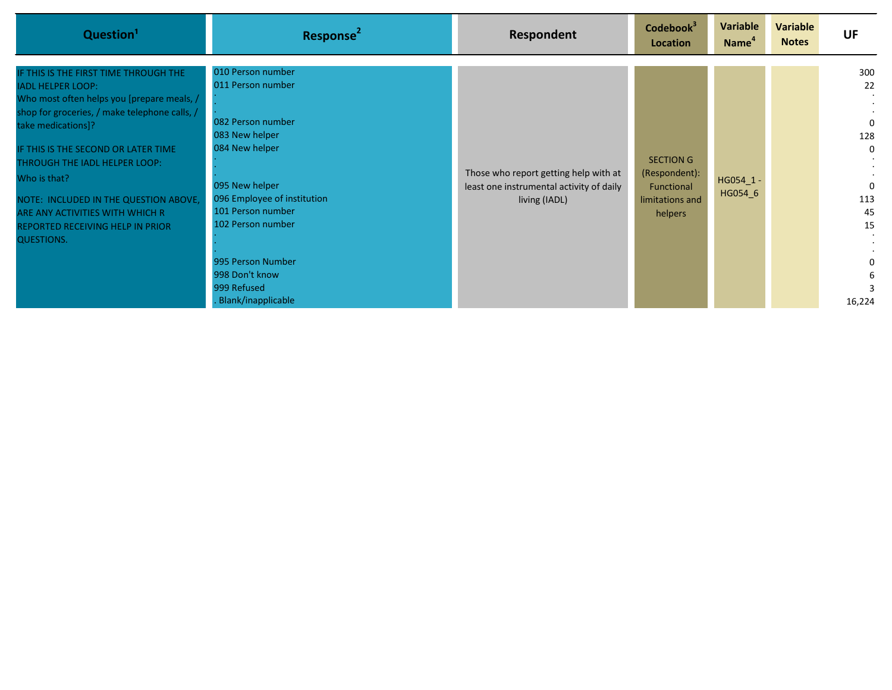| Question <sup>1</sup>                                                                                                                                                                                                                                                                                                                                                                                               | Response <sup>2</sup>                                                                                                                                                                                                                                                  | Respondent                                                                                         | Codebook <sup>3</sup><br>Location                                             | Variable<br>Name <sup>4</sup> | Variable<br><b>Notes</b> | <b>UF</b>                                                                          |
|---------------------------------------------------------------------------------------------------------------------------------------------------------------------------------------------------------------------------------------------------------------------------------------------------------------------------------------------------------------------------------------------------------------------|------------------------------------------------------------------------------------------------------------------------------------------------------------------------------------------------------------------------------------------------------------------------|----------------------------------------------------------------------------------------------------|-------------------------------------------------------------------------------|-------------------------------|--------------------------|------------------------------------------------------------------------------------|
| IF THIS IS THE FIRST TIME THROUGH THE<br><b>IADL HELPER LOOP:</b><br>Who most often helps you [prepare meals, /<br>shop for groceries, / make telephone calls, /<br>take medications]?<br>IF THIS IS THE SECOND OR LATER TIME<br>THROUGH THE IADL HELPER LOOP:<br>Who is that?<br>NOTE: INCLUDED IN THE QUESTION ABOVE,<br>ARE ANY ACTIVITIES WITH WHICH R<br>REPORTED RECEIVING HELP IN PRIOR<br><b>QUESTIONS.</b> | 010 Person number<br>011 Person number<br>082 Person number<br>083 New helper<br>084 New helper<br>095 New helper<br>096 Employee of institution<br>101 Person number<br>102 Person number<br>995 Person Number<br>998 Don't know<br>999 Refused<br>Blank/inapplicable | Those who report getting help with at<br>least one instrumental activity of daily<br>living (IADL) | <b>SECTION G</b><br>(Respondent):<br>Functional<br>limitations and<br>helpers | HG054 1<br>HG054 6            |                          | 300<br>22<br>$\mathbf 0$<br>128<br>0<br>$\Omega$<br>113<br>45<br>15<br>3<br>16,224 |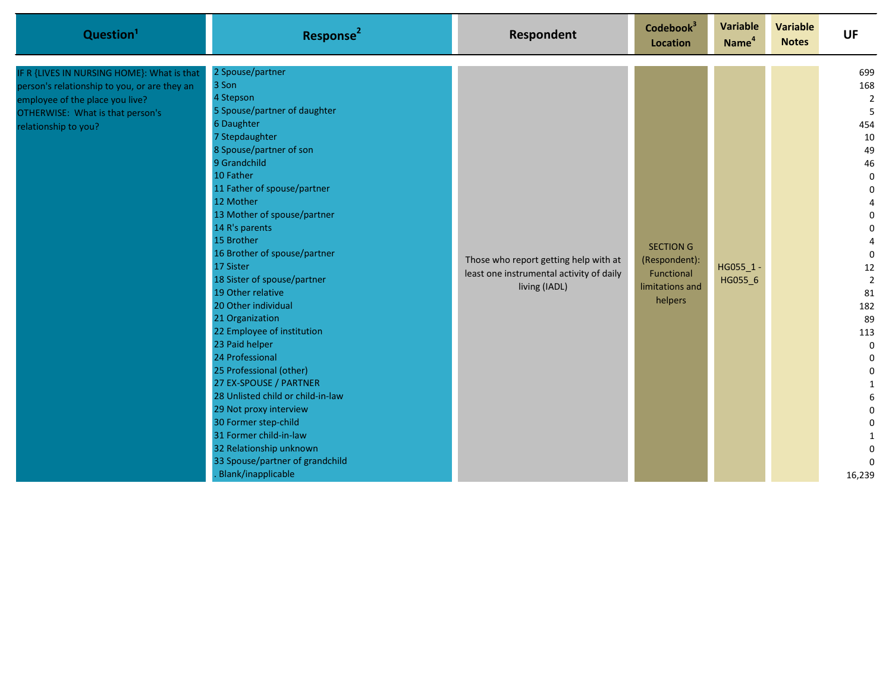| Question <sup>1</sup>                                                                                                                                                                     | Response <sup>2</sup>                                                                                                                                                                                                                                                                                                                                                                                                                                                                                                                                                                                                                                                                                                                                    | Respondent                                                                                         | Codebook <sup>3</sup><br>Location                                             | <b>Variable</b><br>Name <sup>4</sup> | <b>Variable</b><br><b>Notes</b> | <b>UF</b>                                                                                                                                                                                                                                                                                                                |
|-------------------------------------------------------------------------------------------------------------------------------------------------------------------------------------------|----------------------------------------------------------------------------------------------------------------------------------------------------------------------------------------------------------------------------------------------------------------------------------------------------------------------------------------------------------------------------------------------------------------------------------------------------------------------------------------------------------------------------------------------------------------------------------------------------------------------------------------------------------------------------------------------------------------------------------------------------------|----------------------------------------------------------------------------------------------------|-------------------------------------------------------------------------------|--------------------------------------|---------------------------------|--------------------------------------------------------------------------------------------------------------------------------------------------------------------------------------------------------------------------------------------------------------------------------------------------------------------------|
| IF R {LIVES IN NURSING HOME}: What is that<br>person's relationship to you, or are they an<br>employee of the place you live?<br>OTHERWISE: What is that person's<br>relationship to you? | 2 Spouse/partner<br>3 Son<br>4 Stepson<br>5 Spouse/partner of daughter<br>6 Daughter<br>7 Stepdaughter<br>8 Spouse/partner of son<br>9 Grandchild<br>10 Father<br>11 Father of spouse/partner<br>12 Mother<br>13 Mother of spouse/partner<br>14 R's parents<br>15 Brother<br>16 Brother of spouse/partner<br>17 Sister<br>18 Sister of spouse/partner<br>19 Other relative<br>20 Other individual<br>21 Organization<br>22 Employee of institution<br>23 Paid helper<br>24 Professional<br>25 Professional (other)<br>27 EX-SPOUSE / PARTNER<br>28 Unlisted child or child-in-law<br>29 Not proxy interview<br>30 Former step-child<br>31 Former child-in-law<br>32 Relationship unknown<br>33 Spouse/partner of grandchild<br><b>Blank/inapplicable</b> | Those who report getting help with at<br>least one instrumental activity of daily<br>living (IADL) | <b>SECTION G</b><br>(Respondent):<br>Functional<br>limitations and<br>helpers | HG055_1<br>HG055_6                   |                                 | 699<br>168<br>$\overline{2}$<br>5<br>454<br>10<br>49<br>46<br>$\pmb{0}$<br>$\pmb{0}$<br>4<br>$\pmb{0}$<br>$\pmb{0}$<br>4<br>$\mathbf 0$<br>12<br>$\overline{2}$<br>81<br>182<br>89<br>113<br>$\mathbf 0$<br>$\boldsymbol{0}$<br>0<br>$\mathbf{1}$<br>6<br>$\pmb{0}$<br>$\pmb{0}$<br>$\mathbf 0$<br>$\mathbf 0$<br>16,239 |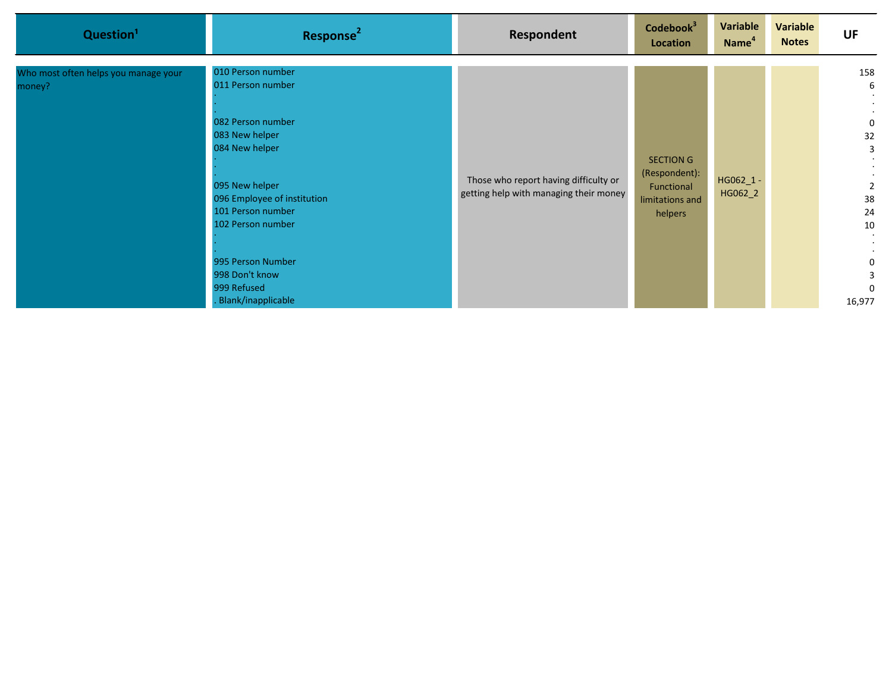| Question <sup>1</sup>                          | Response <sup>2</sup>                                                                                                                                                                                                                                                  | Respondent                                                                      | Codebook <sup>3</sup><br>Location                                             | Variable<br>Name <sup>4</sup> | Variable<br><b>Notes</b> | <b>UF</b>                                                                                               |
|------------------------------------------------|------------------------------------------------------------------------------------------------------------------------------------------------------------------------------------------------------------------------------------------------------------------------|---------------------------------------------------------------------------------|-------------------------------------------------------------------------------|-------------------------------|--------------------------|---------------------------------------------------------------------------------------------------------|
| Who most often helps you manage your<br>money? | 010 Person number<br>011 Person number<br>082 Person number<br>083 New helper<br>084 New helper<br>095 New helper<br>096 Employee of institution<br>101 Person number<br>102 Person number<br>995 Person Number<br>998 Don't know<br>999 Refused<br>Blank/inapplicable | Those who report having difficulty or<br>getting help with managing their money | <b>SECTION G</b><br>(Respondent):<br>Functional<br>limitations and<br>helpers | $H$ G062_1 -<br>HG062_2       |                          | 158<br>6<br>0<br>32<br>3<br>$\overline{2}$<br>38<br>24<br>10<br>$\blacksquare$<br>0<br>3<br>0<br>16,977 |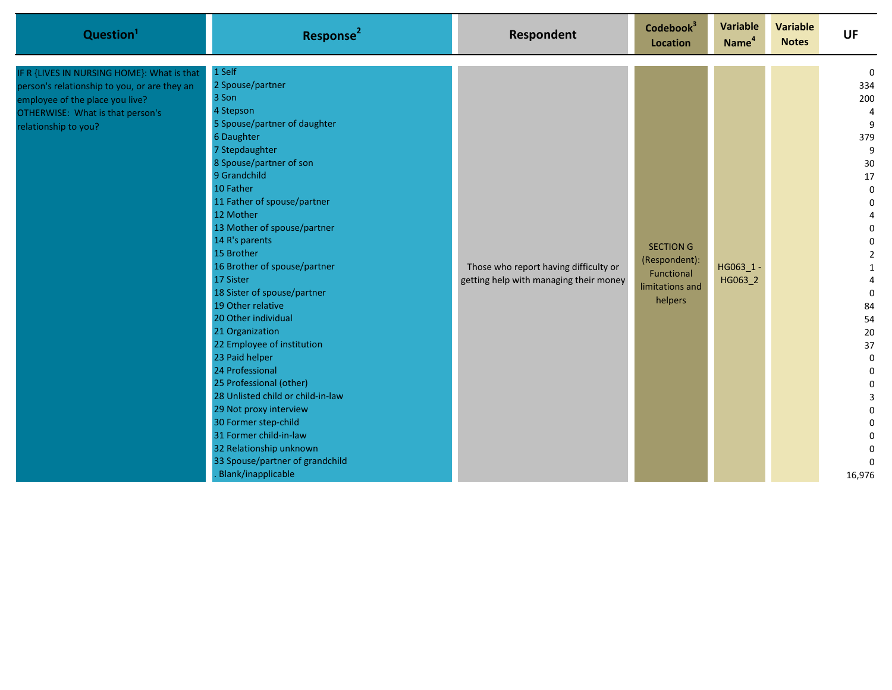| Question <sup>1</sup>                                                                                                                                                                     | Response <sup>2</sup>                                                                                                                                                                                                                                                                                                                                                                                                                                                                                                                                                                                                                                                                                                             | Respondent                                                                      | Codebook <sup>3</sup><br>Location                                             | <b>Variable</b><br>Name <sup>4</sup> | <b>Variable</b><br><b>Notes</b> | <b>UF</b>                                                                                                                                                                                                                                                                                               |
|-------------------------------------------------------------------------------------------------------------------------------------------------------------------------------------------|-----------------------------------------------------------------------------------------------------------------------------------------------------------------------------------------------------------------------------------------------------------------------------------------------------------------------------------------------------------------------------------------------------------------------------------------------------------------------------------------------------------------------------------------------------------------------------------------------------------------------------------------------------------------------------------------------------------------------------------|---------------------------------------------------------------------------------|-------------------------------------------------------------------------------|--------------------------------------|---------------------------------|---------------------------------------------------------------------------------------------------------------------------------------------------------------------------------------------------------------------------------------------------------------------------------------------------------|
| IF R {LIVES IN NURSING HOME}: What is that<br>person's relationship to you, or are they an<br>employee of the place you live?<br>OTHERWISE: What is that person's<br>relationship to you? | 1 Self<br>2 Spouse/partner<br>3 Son<br>4 Stepson<br>5 Spouse/partner of daughter<br>6 Daughter<br>7 Stepdaughter<br>8 Spouse/partner of son<br>9 Grandchild<br>10 Father<br>11 Father of spouse/partner<br>12 Mother<br>13 Mother of spouse/partner<br>14 R's parents<br>15 Brother<br>16 Brother of spouse/partner<br>17 Sister<br>18 Sister of spouse/partner<br>19 Other relative<br>20 Other individual<br>21 Organization<br>22 Employee of institution<br>23 Paid helper<br>24 Professional<br>25 Professional (other)<br>28 Unlisted child or child-in-law<br>29 Not proxy interview<br>30 Former step-child<br>31 Former child-in-law<br>32 Relationship unknown<br>33 Spouse/partner of grandchild<br>Blank/inapplicable | Those who report having difficulty or<br>getting help with managing their money | <b>SECTION G</b><br>(Respondent):<br>Functional<br>limitations and<br>helpers | $HG063_1 -$<br>HG063_2               |                                 | $\Omega$<br>334<br>200<br>4<br>9<br>379<br>9<br>30<br>17<br>$\pmb{0}$<br>0<br>4<br>$\pmb{0}$<br>$\pmb{0}$<br>$\overline{2}$<br>$\mathbf{1}$<br>4<br>$\mathbf 0$<br>84<br>54<br>20<br>37<br>$\pmb{0}$<br>$\pmb{0}$<br>$\pmb{0}$<br>3<br>0<br>$\pmb{0}$<br>$\boldsymbol{0}$<br>0<br>$\mathbf 0$<br>16,976 |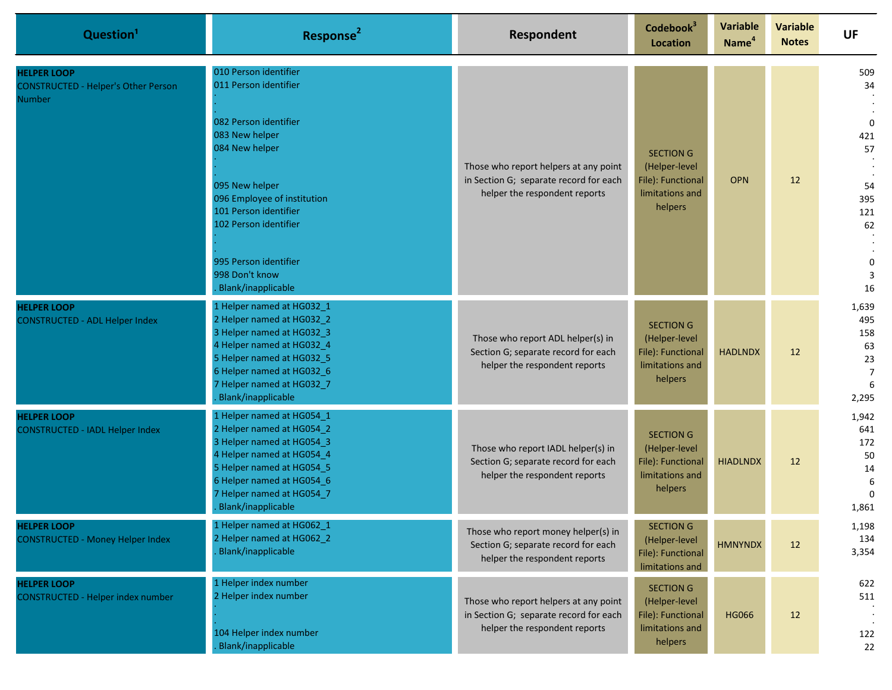| Question <sup>1</sup>                                                             | Response <sup>2</sup>                                                                                                                                                                                                         | Respondent                                                                                                       | Codebook <sup>3</sup><br>Location                                                    | <b>Variable</b><br>Name <sup>4</sup> | <b>Variable</b><br><b>Notes</b> | <b>UF</b>                                                       |
|-----------------------------------------------------------------------------------|-------------------------------------------------------------------------------------------------------------------------------------------------------------------------------------------------------------------------------|------------------------------------------------------------------------------------------------------------------|--------------------------------------------------------------------------------------|--------------------------------------|---------------------------------|-----------------------------------------------------------------|
| <b>HELPER LOOP</b><br><b>CONSTRUCTED - Helper's Other Person</b><br><b>Number</b> | 010 Person identifier<br>011 Person identifier                                                                                                                                                                                |                                                                                                                  |                                                                                      |                                      |                                 | 509<br>34                                                       |
|                                                                                   | 082 Person identifier<br>083 New helper<br>084 New helper                                                                                                                                                                     | Those who report helpers at any point                                                                            | <b>SECTION G</b><br>(Helper-level                                                    |                                      |                                 | $\mathbf 0$<br>421<br>57                                        |
|                                                                                   | 095 New helper<br>096 Employee of institution<br>101 Person identifier<br>102 Person identifier<br>995 Person identifier                                                                                                      | in Section G; separate record for each<br>helper the respondent reports                                          | File): Functional<br>limitations and<br>helpers                                      | <b>OPN</b>                           | 12                              | 54<br>395<br>121<br>62<br>0                                     |
|                                                                                   | 998 Don't know<br>Blank/inapplicable                                                                                                                                                                                          |                                                                                                                  |                                                                                      |                                      |                                 | 3<br>16                                                         |
| <b>HELPER LOOP</b><br><b>CONSTRUCTED - ADL Helper Index</b>                       | 1 Helper named at HG032_1<br>2 Helper named at HG032_2<br>3 Helper named at HG032_3<br>4 Helper named at HG032_4<br>5 Helper named at HG032_5<br>6 Helper named at HG032_6<br>7 Helper named at HG032_7<br>Blank/inapplicable | Those who report ADL helper(s) in<br>Section G; separate record for each<br>helper the respondent reports        | <b>SECTION G</b><br>(Helper-level<br>File): Functional<br>limitations and<br>helpers | <b>HADLNDX</b>                       | 12                              | 1,639<br>495<br>158<br>63<br>23<br>$\overline{7}$<br>6<br>2,295 |
| <b>HELPER LOOP</b><br><b>CONSTRUCTED - IADL Helper Index</b>                      | 1 Helper named at HG054_1<br>2 Helper named at HG054_2<br>3 Helper named at HG054_3<br>4 Helper named at HG054_4<br>5 Helper named at HG054_5<br>6 Helper named at HG054_6<br>7 Helper named at HG054 7<br>Blank/inapplicable | Those who report IADL helper(s) in<br>Section G; separate record for each<br>helper the respondent reports       | <b>SECTION G</b><br>(Helper-level<br>File): Functional<br>limitations and<br>helpers | <b>HIADLNDX</b>                      | 12                              | 1,942<br>641<br>172<br>50<br>14<br>6<br>$\Omega$<br>1,861       |
| <b>HELPER LOOP</b><br><b>CONSTRUCTED - Money Helper Index</b>                     | 1 Helper named at HG062_1<br>2 Helper named at HG062_2<br>Blank/inapplicable                                                                                                                                                  | Those who report money helper(s) in<br>Section G; separate record for each<br>helper the respondent reports      | <b>SECTION G</b><br>(Helper-level<br>File): Functional<br>limitations and            | <b>HMNYNDX</b>                       | 12                              | 1,198<br>134<br>3,354                                           |
| <b>HELPER LOOP</b><br><b>CONSTRUCTED - Helper index number</b>                    | 1 Helper index number<br>2 Helper index number<br>104 Helper index number<br>Blank/inapplicable                                                                                                                               | Those who report helpers at any point<br>in Section G; separate record for each<br>helper the respondent reports | <b>SECTION G</b><br>(Helper-level<br>File): Functional<br>limitations and<br>helpers | <b>HG066</b>                         | 12                              | 622<br>511<br>122<br>22                                         |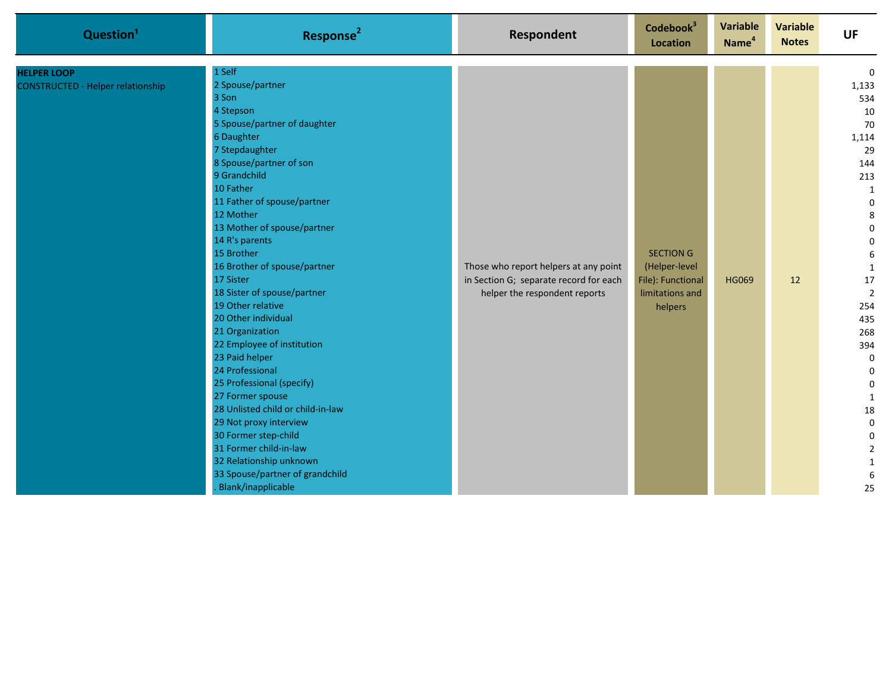| Question <sup>1</sup>                                          | Response <sup>2</sup>                                                                                                                                                                                                                                                                                                                                                                                                                                                                                                                                                                                                                                                                                                                                   | Respondent                                                                                                       | Codebook <sup>3</sup><br>Location                                                    | <b>Variable</b><br>Name <sup>4</sup> | <b>Variable</b><br><b>Notes</b> | <b>UF</b>                                                                                                                                                                                                                                                                                                                                                                            |
|----------------------------------------------------------------|---------------------------------------------------------------------------------------------------------------------------------------------------------------------------------------------------------------------------------------------------------------------------------------------------------------------------------------------------------------------------------------------------------------------------------------------------------------------------------------------------------------------------------------------------------------------------------------------------------------------------------------------------------------------------------------------------------------------------------------------------------|------------------------------------------------------------------------------------------------------------------|--------------------------------------------------------------------------------------|--------------------------------------|---------------------------------|--------------------------------------------------------------------------------------------------------------------------------------------------------------------------------------------------------------------------------------------------------------------------------------------------------------------------------------------------------------------------------------|
| <b>HELPER LOOP</b><br><b>CONSTRUCTED - Helper relationship</b> | 1 Self<br>2 Spouse/partner<br>3 Son<br>4 Stepson<br>5 Spouse/partner of daughter<br>6 Daughter<br>7 Stepdaughter<br>8 Spouse/partner of son<br>9 Grandchild<br>10 Father<br>11 Father of spouse/partner<br>12 Mother<br>13 Mother of spouse/partner<br>14 R's parents<br>15 Brother<br>16 Brother of spouse/partner<br>17 Sister<br>18 Sister of spouse/partner<br>19 Other relative<br>20 Other individual<br>21 Organization<br>22 Employee of institution<br>23 Paid helper<br>24 Professional<br>25 Professional (specify)<br>27 Former spouse<br>28 Unlisted child or child-in-law<br>29 Not proxy interview<br>30 Former step-child<br>31 Former child-in-law<br>32 Relationship unknown<br>33 Spouse/partner of grandchild<br>Blank/inapplicable | Those who report helpers at any point<br>in Section G; separate record for each<br>helper the respondent reports | <b>SECTION G</b><br>(Helper-level<br>File): Functional<br>limitations and<br>helpers | <b>HG069</b>                         | 12                              | $\mathbf 0$<br>1,133<br>534<br>10<br>70<br>1,114<br>29<br>144<br>213<br>$\mathbf{1}$<br>$\mathbf 0$<br>8<br>$\boldsymbol{0}$<br>$\mathbf 0$<br>6<br>$\mathbf{1}$<br>17<br>$\overline{2}$<br>254<br>435<br>268<br>394<br>$\mathbf 0$<br>$\mathbf 0$<br>$\boldsymbol{0}$<br>$\mathbf{1}$<br>18<br>$\mathbf 0$<br>$\pmb{0}$<br>$\overline{2}$<br>$\mathbf{1}$<br>$\boldsymbol{6}$<br>25 |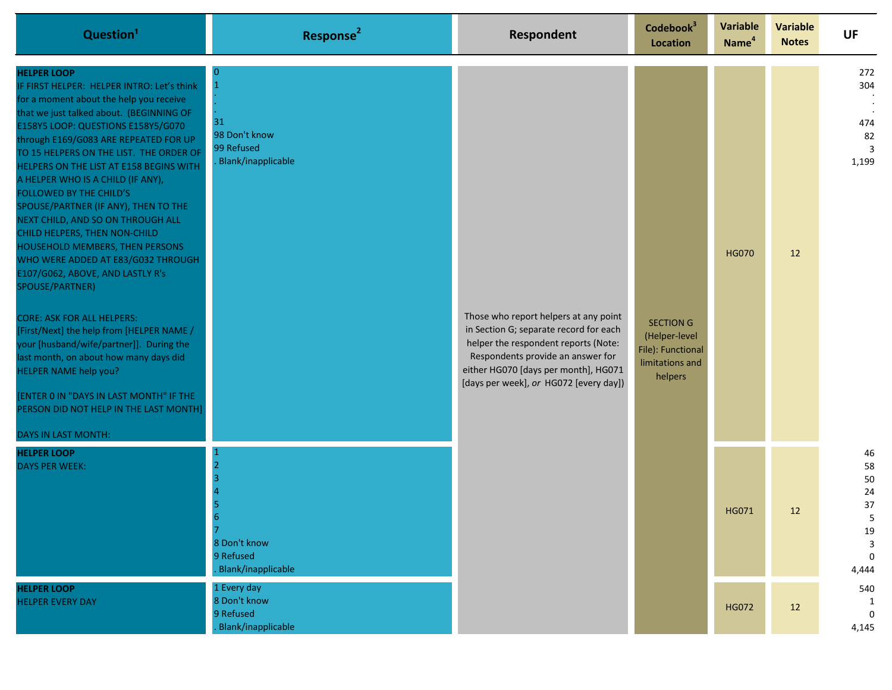| Question <sup>1</sup>                                                                                                                                                                                                                                                                                                                                                                                                                                                                                                                                                                                                                                                                                                                                                                                                                                                                                                                                                        | Response <sup>2</sup>                                          | <b>Respondent</b>                                                                                                                                                                                                                              | Codebook <sup>3</sup><br>Location                                                    | Variable<br>Name <sup>4</sup> | <b>Variable</b><br><b>Notes</b> | <b>UF</b>                                                          |
|------------------------------------------------------------------------------------------------------------------------------------------------------------------------------------------------------------------------------------------------------------------------------------------------------------------------------------------------------------------------------------------------------------------------------------------------------------------------------------------------------------------------------------------------------------------------------------------------------------------------------------------------------------------------------------------------------------------------------------------------------------------------------------------------------------------------------------------------------------------------------------------------------------------------------------------------------------------------------|----------------------------------------------------------------|------------------------------------------------------------------------------------------------------------------------------------------------------------------------------------------------------------------------------------------------|--------------------------------------------------------------------------------------|-------------------------------|---------------------------------|--------------------------------------------------------------------|
| <b>HELPER LOOP</b><br>IF FIRST HELPER: HELPER INTRO: Let's think<br>for a moment about the help you receive<br>that we just talked about. (BEGINNING OF<br>E158Y5 LOOP: QUESTIONS E158Y5/G070<br>through E169/G083 ARE REPEATED FOR UP<br>TO 15 HELPERS ON THE LIST. THE ORDER OF<br>HELPERS ON THE LIST AT E158 BEGINS WITH<br>A HELPER WHO IS A CHILD (IF ANY),<br>FOLLOWED BY THE CHILD'S<br>SPOUSE/PARTNER (IF ANY), THEN TO THE<br>NEXT CHILD, AND SO ON THROUGH ALL<br>CHILD HELPERS, THEN NON-CHILD<br><b>HOUSEHOLD MEMBERS, THEN PERSONS</b><br>WHO WERE ADDED AT E83/G032 THROUGH<br>E107/G062, ABOVE, AND LASTLY R's<br>SPOUSE/PARTNER)<br><b>CORE: ASK FOR ALL HELPERS:</b><br>[First/Next] the help from [HELPER NAME /<br>your [husband/wife/partner]]. During the<br>last month, on about how many days did<br><b>HELPER NAME help you?</b><br>[ENTER 0 IN "DAYS IN LAST MONTH" IF THE<br>PERSON DID NOT HELP IN THE LAST MONTH]<br><b>DAYS IN LAST MONTH:</b> | 31<br>98 Don't know<br>99 Refused<br>Blank/inapplicable        | Those who report helpers at any point<br>in Section G; separate record for each<br>helper the respondent reports (Note:<br>Respondents provide an answer for<br>either HG070 [days per month], HG071<br>[days per week], or HG072 [every day]) | <b>SECTION G</b><br>(Helper-level<br>File): Functional<br>limitations and<br>helpers | <b>HG070</b>                  | 12                              | 272<br>304<br>474<br>82<br>3<br>1,199                              |
| <b>HELPER LOOP</b><br><b>DAYS PER WEEK:</b>                                                                                                                                                                                                                                                                                                                                                                                                                                                                                                                                                                                                                                                                                                                                                                                                                                                                                                                                  | 8 Don't know<br>9 Refused<br>Blank/inapplicable                |                                                                                                                                                                                                                                                |                                                                                      | HG071                         | 12                              | 46<br>58<br>50<br>24<br>37<br>5<br>19<br>3<br>$\mathbf 0$<br>4,444 |
| <b>HELPER LOOP</b><br><b>HELPER EVERY DAY</b>                                                                                                                                                                                                                                                                                                                                                                                                                                                                                                                                                                                                                                                                                                                                                                                                                                                                                                                                | 1 Every day<br>8 Don't know<br>9 Refused<br>Blank/inapplicable |                                                                                                                                                                                                                                                |                                                                                      | <b>HG072</b>                  | 12                              | 540<br>1<br>$\mathbf 0$<br>4,145                                   |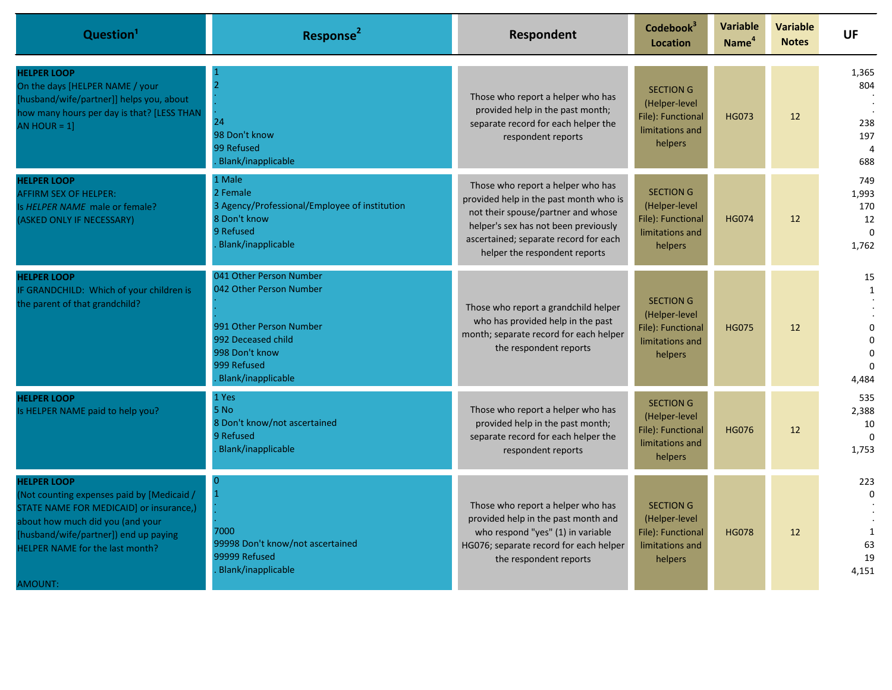| Question <sup>1</sup>                                                                                                                                                                                                                  | Response <sup>2</sup>                                                                                                                                      | <b>Respondent</b>                                                                                                                                                                                                                   | Codebook <sup>3</sup><br>Location                                                    | <b>Variable</b><br>Name <sup>4</sup> | <b>Variable</b><br><b>Notes</b> | UF                                                                          |
|----------------------------------------------------------------------------------------------------------------------------------------------------------------------------------------------------------------------------------------|------------------------------------------------------------------------------------------------------------------------------------------------------------|-------------------------------------------------------------------------------------------------------------------------------------------------------------------------------------------------------------------------------------|--------------------------------------------------------------------------------------|--------------------------------------|---------------------------------|-----------------------------------------------------------------------------|
| <b>HELPER LOOP</b><br>On the days [HELPER NAME / your<br>[husband/wife/partner]] helps you, about<br>how many hours per day is that? [LESS THAN<br>AN HOUR = $1$ ]                                                                     | $\overline{2}$<br>24<br>98 Don't know<br>99 Refused<br>Blank/inapplicable                                                                                  | Those who report a helper who has<br>provided help in the past month;<br>separate record for each helper the<br>respondent reports                                                                                                  | <b>SECTION G</b><br>(Helper-level<br>File): Functional<br>limitations and<br>helpers | <b>HG073</b>                         | 12                              | 1,365<br>804<br>238<br>197<br>$\overline{4}$<br>688                         |
| <b>HELPER LOOP</b><br><b>AFFIRM SEX OF HELPER:</b><br>Is HELPER NAME male or female?<br>(ASKED ONLY IF NECESSARY)                                                                                                                      | 1 Male<br>2 Female<br>3 Agency/Professional/Employee of institution<br>8 Don't know<br>9 Refused<br><b>Blank/inapplicable</b>                              | Those who report a helper who has<br>provided help in the past month who is<br>not their spouse/partner and whose<br>helper's sex has not been previously<br>ascertained; separate record for each<br>helper the respondent reports | <b>SECTION G</b><br>(Helper-level<br>File): Functional<br>limitations and<br>helpers | <b>HG074</b>                         | 12                              | 749<br>1,993<br>170<br>12<br>$\mathbf{0}$<br>1,762                          |
| <b>HELPER LOOP</b><br>IF GRANDCHILD: Which of your children is<br>the parent of that grandchild?                                                                                                                                       | 041 Other Person Number<br>042 Other Person Number<br>991 Other Person Number<br>992 Deceased child<br>998 Don't know<br>999 Refused<br>Blank/inapplicable | Those who report a grandchild helper<br>who has provided help in the past<br>month; separate record for each helper<br>the respondent reports                                                                                       | <b>SECTION G</b><br>(Helper-level<br>File): Functional<br>limitations and<br>helpers | <b>HG075</b>                         | 12                              | 15<br>$\mathbf{1}$<br>$\Omega$<br>$\Omega$<br>$\Omega$<br>$\Omega$<br>4,484 |
| <b>HELPER LOOP</b><br>Is HELPER NAME paid to help you?                                                                                                                                                                                 | 1 Yes<br>5 No<br>8 Don't know/not ascertained<br>9 Refused<br>Blank/inapplicable                                                                           | Those who report a helper who has<br>provided help in the past month;<br>separate record for each helper the<br>respondent reports                                                                                                  | <b>SECTION G</b><br>(Helper-level<br>File): Functional<br>limitations and<br>helpers | <b>HG076</b>                         | 12                              | 535<br>2,388<br>10<br>$\Omega$<br>1,753                                     |
| <b>HELPER LOOP</b><br>(Not counting expenses paid by [Medicaid /<br>STATE NAME FOR MEDICAID] or insurance,)<br>about how much did you (and your<br>[husband/wife/partner]) end up paying<br>HELPER NAME for the last month?<br>AMOUNT: | $\Omega$<br>7000<br>99998 Don't know/not ascertained<br>99999 Refused<br>Blank/inapplicable                                                                | Those who report a helper who has<br>provided help in the past month and<br>who respond "yes" (1) in variable<br>HG076; separate record for each helper<br>the respondent reports                                                   | <b>SECTION G</b><br>(Helper-level<br>File): Functional<br>limitations and<br>helpers | <b>HG078</b>                         | 12                              | 223<br>$\Omega$<br>1<br>63<br>19<br>4.151                                   |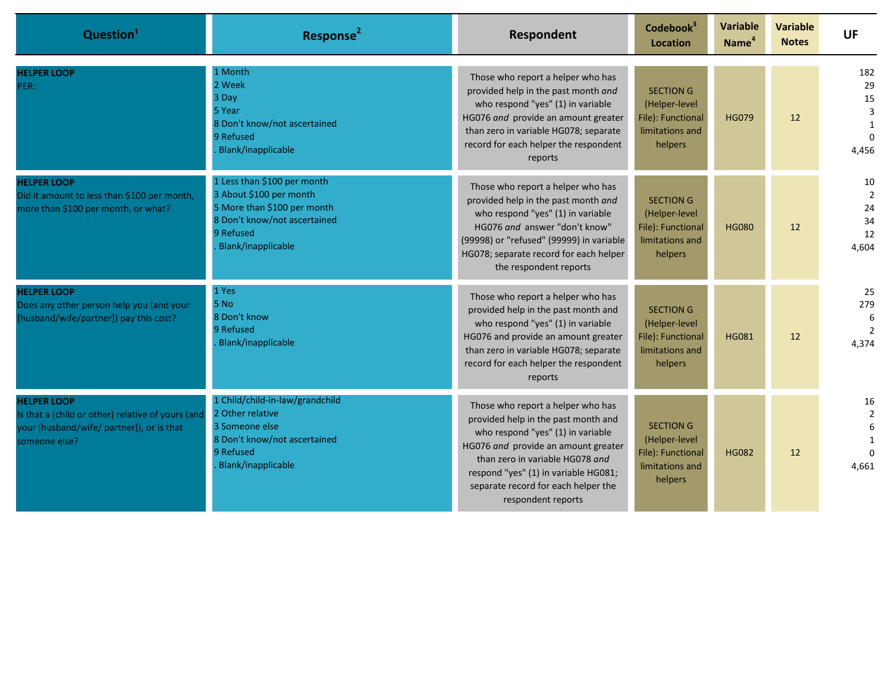| Question <sup>1</sup>                                                                                                                 | Response <sup>2</sup>                                                                                                                                    | Respondent                                                                                                                                                                                                                                                                                   | Codebook <sup>3</sup><br><b>Location</b>                                             | <b>Variable</b><br>Name <sup>4</sup> | <b>Variable</b><br><b>Notes</b> | <b>UF</b>                                          |
|---------------------------------------------------------------------------------------------------------------------------------------|----------------------------------------------------------------------------------------------------------------------------------------------------------|----------------------------------------------------------------------------------------------------------------------------------------------------------------------------------------------------------------------------------------------------------------------------------------------|--------------------------------------------------------------------------------------|--------------------------------------|---------------------------------|----------------------------------------------------|
| <b>HELPER LOOP</b><br>PER:                                                                                                            | 1 Month<br>2 Week<br>3 Day<br>5 Year<br>8 Don't know/not ascertained<br>9 Refused<br>Blank/inapplicable                                                  | Those who report a helper who has<br>provided help in the past month and<br>who respond "yes" (1) in variable<br>HG076 and provide an amount greater<br>than zero in variable HG078; separate<br>record for each helper the respondent<br>reports                                            | <b>SECTION G</b><br>(Helper-level<br>File): Functional<br>limitations and<br>helpers | <b>HG079</b>                         | 12                              | 182<br>29<br>15<br>3<br>1<br>$\Omega$<br>4,456     |
| <b>HELPER LOOP</b><br>Did it amount to less than \$100 per month,<br>more than \$100 per month, or what?                              | 1 Less than \$100 per month<br>3 About \$100 per month<br>5 More than \$100 per month<br>8 Don't know/not ascertained<br>9 Refused<br>Blank/inapplicable | Those who report a helper who has<br>provided help in the past month and<br>who respond "yes" (1) in variable<br>HG076 and answer "don't know"<br>(99998) or "refused" (99999) in variable<br>HG078; separate record for each helper<br>the respondent reports                               | <b>SECTION G</b><br>(Helper-level<br>File): Functional<br>limitations and<br>helpers | <b>HG080</b>                         | 12                              | 10<br>$\overline{2}$<br>24<br>34<br>12<br>4.604    |
| <b>HELPER LOOP</b><br>Does any other person help you (and your<br>[husband/wife/partner]) pay this cost?                              | 1 Yes<br>5 No<br>8 Don't know<br>9 Refused<br>Blank/inapplicable                                                                                         | Those who report a helper who has<br>provided help in the past month and<br>who respond "yes" (1) in variable<br>HG076 and provide an amount greater<br>than zero in variable HG078; separate<br>record for each helper the respondent<br>reports                                            | <b>SECTION G</b><br>(Helper-level<br>File): Functional<br>limitations and<br>helpers | <b>HG081</b>                         | 12                              | 25<br>279<br>6<br>$\overline{2}$<br>4,374          |
| <b>HELPER LOOP</b><br>Is that a (child or other) relative of yours (and<br>your [husband/wife/ partner]), or is that<br>someone else? | 1 Child/child-in-law/grandchild<br>2 Other relative<br>3 Someone else<br>8 Don't know/not ascertained<br>9 Refused<br>Blank/inapplicable                 | Those who report a helper who has<br>provided help in the past month and<br>who respond "yes" (1) in variable<br>HG076 and provide an amount greater<br>than zero in variable HG078 and<br>respond "yes" (1) in variable HG081;<br>separate record for each helper the<br>respondent reports | <b>SECTION G</b><br>(Helper-level<br>File): Functional<br>limitations and<br>helpers | <b>HG082</b>                         | 12                              | 16<br>$\overline{2}$<br>6<br>$\mathbf{1}$<br>4.661 |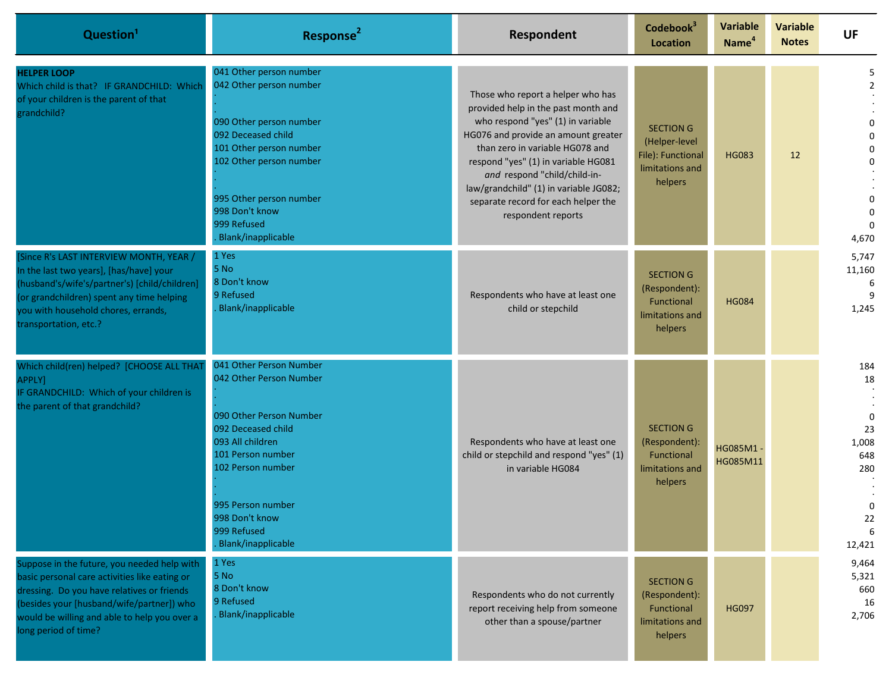| Question <sup>1</sup>                                                                                                                                                                                                                                           | Response <sup>2</sup>                                                                                                                                                                                                                                | Respondent                                                                                                                                                                                                                                                                                                                                                            | Codebook <sup>3</sup><br><b>Location</b>                                             | <b>Variable</b><br>Name <sup>4</sup> | <b>Variable</b><br><b>Notes</b> | <b>UF</b>                                                                     |
|-----------------------------------------------------------------------------------------------------------------------------------------------------------------------------------------------------------------------------------------------------------------|------------------------------------------------------------------------------------------------------------------------------------------------------------------------------------------------------------------------------------------------------|-----------------------------------------------------------------------------------------------------------------------------------------------------------------------------------------------------------------------------------------------------------------------------------------------------------------------------------------------------------------------|--------------------------------------------------------------------------------------|--------------------------------------|---------------------------------|-------------------------------------------------------------------------------|
| <b>HELPER LOOP</b><br>Which child is that? IF GRANDCHILD: Which<br>of your children is the parent of that<br>grandchild?                                                                                                                                        | 041 Other person number<br>042 Other person number<br>090 Other person number<br>092 Deceased child<br>101 Other person number<br>102 Other person number<br>995 Other person number<br>998 Don't know<br>999 Refused<br><b>Blank/inapplicable</b>   | Those who report a helper who has<br>provided help in the past month and<br>who respond "yes" (1) in variable<br>HG076 and provide an amount greater<br>than zero in variable HG078 and<br>respond "yes" (1) in variable HG081<br>and respond "child/child-in-<br>law/grandchild" (1) in variable JG082;<br>separate record for each helper the<br>respondent reports | <b>SECTION G</b><br>(Helper-level<br>File): Functional<br>limitations and<br>helpers | <b>HG083</b>                         | 12                              | 5<br>$\overline{2}$<br>0<br>$\mathbf 0$<br>0<br>$\Omega$<br>$\Omega$<br>4,670 |
| [Since R's LAST INTERVIEW MONTH, YEAR /<br>In the last two years], [has/have] your<br>(husband's/wife's/partner's) [child/children]<br>(or grandchildren) spent any time helping<br>you with household chores, errands,<br>transportation, etc.?                | 1 Yes<br>5 No<br>8 Don't know<br>9 Refused<br><b>Blank/inapplicable</b>                                                                                                                                                                              | Respondents who have at least one<br>child or stepchild                                                                                                                                                                                                                                                                                                               | <b>SECTION G</b><br>(Respondent):<br>Functional<br>limitations and<br>helpers        | <b>HG084</b>                         |                                 | 5,747<br>11,160<br>6<br>1,245                                                 |
| Which child(ren) helped? [CHOOSE ALL THAT<br>APPLY]<br>IF GRANDCHILD: Which of your children is<br>the parent of that grandchild?                                                                                                                               | 041 Other Person Number<br>042 Other Person Number<br>090 Other Person Number<br>092 Deceased child<br>093 All children<br>101 Person number<br>102 Person number<br>995 Person number<br>998 Don't know<br>999 Refused<br><b>Blank/inapplicable</b> | Respondents who have at least one<br>child or stepchild and respond "yes" (1)<br>in variable HG084                                                                                                                                                                                                                                                                    | <b>SECTION G</b><br>(Respondent):<br>Functional<br>limitations and<br>helpers        | HG085M1<br>HG085M11                  |                                 | 184<br>18<br>$\mathbf 0$<br>23<br>1,008<br>648<br>280<br>0<br>22<br>12,421    |
| Suppose in the future, you needed help with<br>basic personal care activities like eating or<br>dressing. Do you have relatives or friends<br>(besides your [husband/wife/partner]) who<br>would be willing and able to help you over a<br>long period of time? | 1 Yes<br>5 No<br>8 Don't know<br>9 Refused<br><b>Blank/inapplicable</b>                                                                                                                                                                              | Respondents who do not currently<br>report receiving help from someone<br>other than a spouse/partner                                                                                                                                                                                                                                                                 | <b>SECTION G</b><br>(Respondent):<br>Functional<br>limitations and<br>helpers        | <b>HG097</b>                         |                                 | 9,464<br>5,321<br>660<br>16<br>2,706                                          |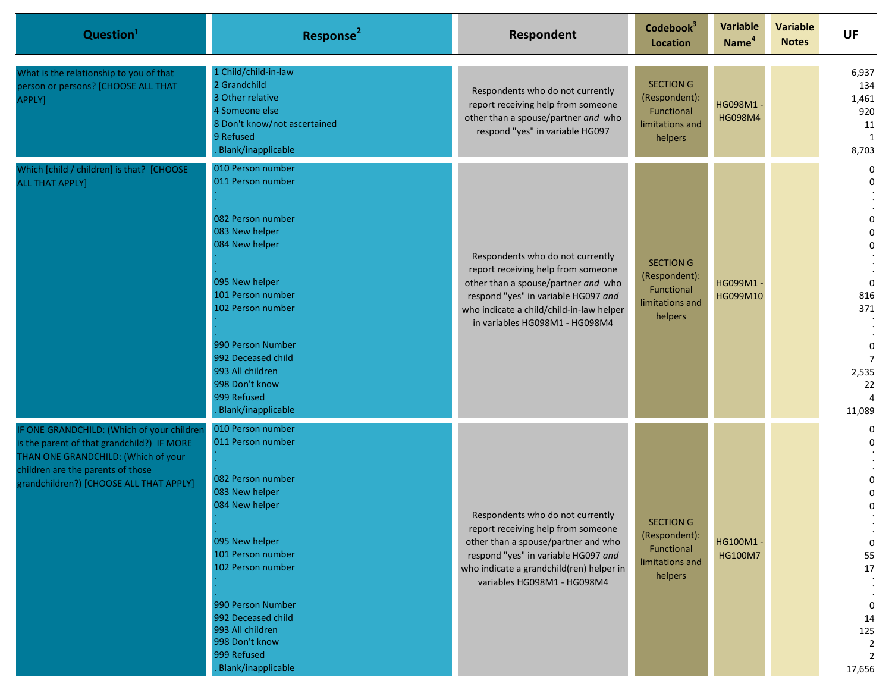| Question <sup>1</sup>                                                                                                                                                                                           | Response <sup>2</sup>                                                                                                                                                                                                                                                                    | <b>Respondent</b>                                                                                                                                                                                                                  | Codebook <sup>3</sup><br><b>Location</b>                                      | <b>Variable</b><br>Name <sup>4</sup> | <b>Variable</b><br><b>Notes</b> | <b>UF</b>                                                                                                                                                                 |
|-----------------------------------------------------------------------------------------------------------------------------------------------------------------------------------------------------------------|------------------------------------------------------------------------------------------------------------------------------------------------------------------------------------------------------------------------------------------------------------------------------------------|------------------------------------------------------------------------------------------------------------------------------------------------------------------------------------------------------------------------------------|-------------------------------------------------------------------------------|--------------------------------------|---------------------------------|---------------------------------------------------------------------------------------------------------------------------------------------------------------------------|
| What is the relationship to you of that<br>person or persons? [CHOOSE ALL THAT<br>APPLY]                                                                                                                        | 1 Child/child-in-law<br>2 Grandchild<br>3 Other relative<br>4 Someone else<br>8 Don't know/not ascertained<br>9 Refused<br><b>Blank/inapplicable</b>                                                                                                                                     | Respondents who do not currently<br>report receiving help from someone<br>other than a spouse/partner and who<br>respond "yes" in variable HG097                                                                                   | <b>SECTION G</b><br>(Respondent):<br>Functional<br>limitations and<br>helpers | HG098M1<br><b>HG098M4</b>            |                                 | 6,937<br>134<br>1,461<br>920<br>11<br>1<br>8,703                                                                                                                          |
| Which [child / children] is that? [CHOOSE<br><b>ALL THAT APPLY]</b>                                                                                                                                             | 010 Person number<br>011 Person number<br>082 Person number<br>083 New helper<br>084 New helper<br>095 New helper<br>101 Person number<br>102 Person number<br>990 Person Number<br>992 Deceased child<br>993 All children<br>998 Don't know<br>999 Refused<br><b>Blank/inapplicable</b> | Respondents who do not currently<br>report receiving help from someone<br>other than a spouse/partner and who<br>respond "yes" in variable HG097 and<br>who indicate a child/child-in-law helper<br>in variables HG098M1 - HG098M4 | <b>SECTION G</b><br>(Respondent):<br>Functional<br>limitations and<br>helpers | HG099M1 -<br>HG099M10                |                                 | $\mathbf 0$<br>$\mathbf{0}$<br>$\mathbf 0$<br>$\mathbf{0}$<br>$\Omega$<br>$\Omega$<br>816<br>371<br>$\Omega$<br>$\overline{7}$<br>2,535<br>22<br>$\overline{4}$<br>11,089 |
| IF ONE GRANDCHILD: (Which of your children<br>is the parent of that grandchild?) IF MORE<br>THAN ONE GRANDCHILD: (Which of your<br>children are the parents of those<br>grandchildren?) [CHOOSE ALL THAT APPLY] | 010 Person number<br>011 Person number<br>082 Person number<br>083 New helper<br>084 New helper<br>095 New helper<br>101 Person number<br>102 Person number<br>990 Person Number<br>992 Deceased child<br>993 All children<br>998 Don't know<br>999 Refused<br><b>Blank/inapplicable</b> | Respondents who do not currently<br>report receiving help from someone<br>other than a spouse/partner and who<br>respond "yes" in variable HG097 and<br>who indicate a grandchild(ren) helper in<br>variables HG098M1 - HG098M4    | <b>SECTION G</b><br>(Respondent):<br>Functional<br>limitations and<br>helpers | HG100M1<br>HG100M7                   |                                 | $\Omega$<br>$\Omega$<br>0<br>0<br>$\Omega$<br>$\mathbf 0$<br>55<br>17<br>$\mathbf 0$<br>14<br>125<br>2<br>17,656                                                          |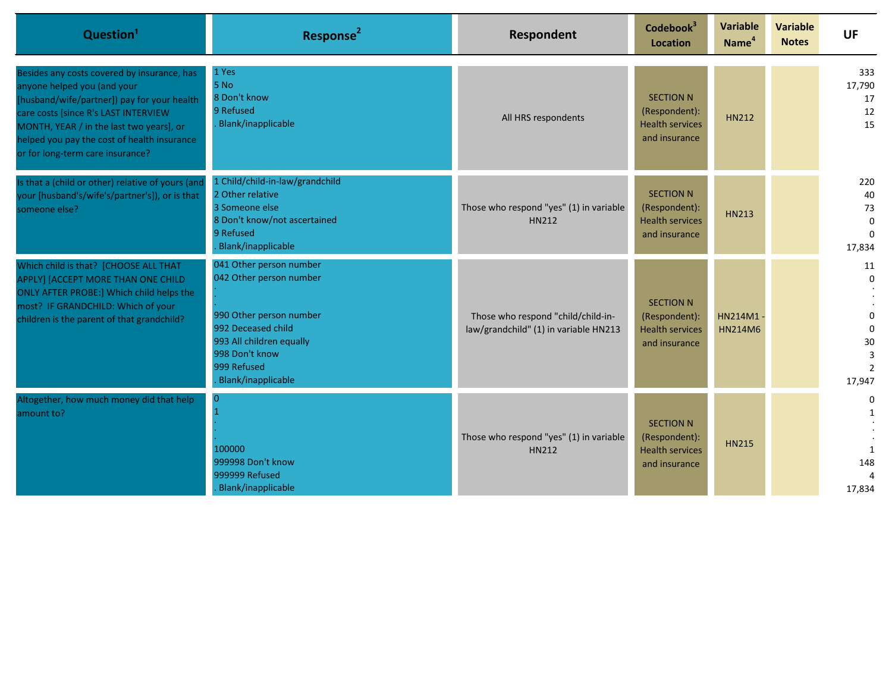| Question <sup>1</sup>                                                                                                                                                                                                                                                                            | Response <sup>2</sup>                                                                                                                                                                  | <b>Respondent</b>                                                           | Codebook <sup>3</sup><br>Location                                            | Variable<br>Name <sup>4</sup> | <b>Variable</b><br><b>Notes</b> | <b>UF</b>                                                                     |
|--------------------------------------------------------------------------------------------------------------------------------------------------------------------------------------------------------------------------------------------------------------------------------------------------|----------------------------------------------------------------------------------------------------------------------------------------------------------------------------------------|-----------------------------------------------------------------------------|------------------------------------------------------------------------------|-------------------------------|---------------------------------|-------------------------------------------------------------------------------|
| Besides any costs covered by insurance, has<br>anyone helped you (and your<br>[husband/wife/partner]) pay for your health<br>care costs [since R's LAST INTERVIEW<br>MONTH, YEAR / in the last two years], or<br>helped you pay the cost of health insurance<br>or for long-term care insurance? | 1 Yes<br>5 No<br>8 Don't know<br>9 Refused<br>Blank/inapplicable                                                                                                                       | All HRS respondents                                                         | <b>SECTION N</b><br>(Respondent):<br><b>Health services</b><br>and insurance | <b>HN212</b>                  |                                 | 333<br>17,790<br>17<br>12<br>15                                               |
| Is that a (child or other) relative of yours (and<br>your [husband's/wife's/partner's]), or is that<br>someone else?                                                                                                                                                                             | 1 Child/child-in-law/grandchild<br>2 Other relative<br>3 Someone else<br>8 Don't know/not ascertained<br>9 Refused<br>Blank/inapplicable                                               | Those who respond "yes" (1) in variable<br>HN212                            | <b>SECTION N</b><br>(Respondent):<br><b>Health services</b><br>and insurance | <b>HN213</b>                  |                                 | 220<br>40<br>73<br>$\Omega$<br>$\Omega$<br>17,834                             |
| Which child is that? [CHOOSE ALL THAT<br>APPLY] [ACCEPT MORE THAN ONE CHILD<br>ONLY AFTER PROBE:] Which child helps the<br>most? IF GRANDCHILD: Which of your<br>children is the parent of that grandchild?                                                                                      | 041 Other person number<br>042 Other person number<br>990 Other person number<br>992 Deceased child<br>993 All children equally<br>998 Don't know<br>999 Refused<br>Blank/inapplicable | Those who respond "child/child-in-<br>law/grandchild" (1) in variable HN213 | <b>SECTION N</b><br>(Respondent):<br><b>Health services</b><br>and insurance | HN214M1-<br><b>HN214M6</b>    |                                 | 11<br>$\Omega$<br>$\Omega$<br>$\Omega$<br>30<br>3<br>$\overline{2}$<br>17,947 |
| Altogether, how much money did that help<br>amount to?                                                                                                                                                                                                                                           | $\overline{0}$<br>100000<br>999998 Don't know<br>999999 Refused<br>Blank/inapplicable                                                                                                  | Those who respond "yes" (1) in variable<br>HN212                            | <b>SECTION N</b><br>(Respondent):<br><b>Health services</b><br>and insurance | <b>HN215</b>                  |                                 | $\Omega$<br>148<br>$\Delta$<br>17,834                                         |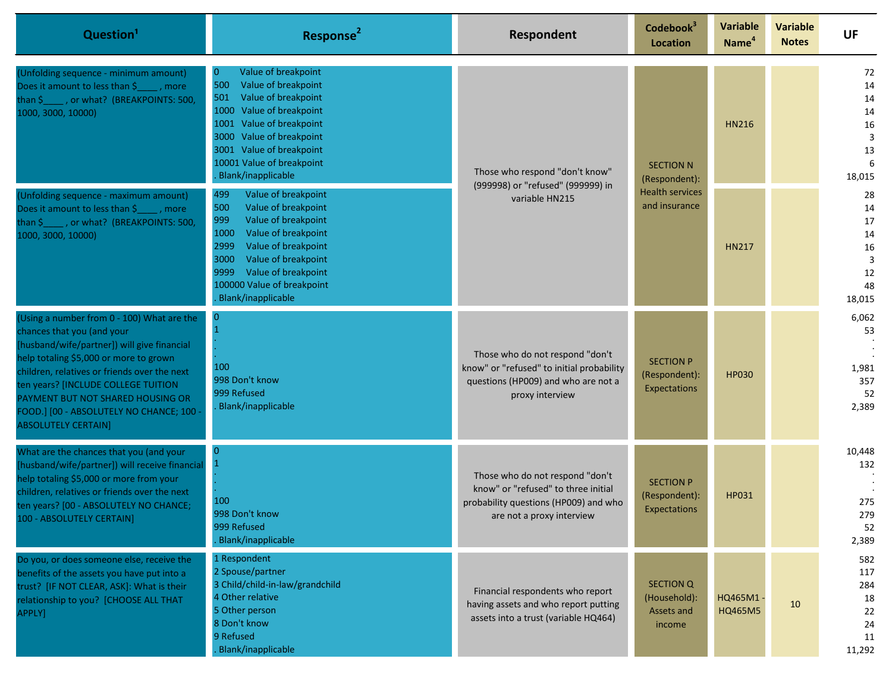| Question <sup>1</sup>                                                                                                                                                                                                                                                                                                                                                   | Response <sup>2</sup>                                                                                                                                                                                                                                                  | <b>Respondent</b>                                                                                                                            | Codebook <sup>3</sup><br><b>Location</b>                 | <b>Variable</b><br>Name <sup>4</sup>    | <b>Variable</b><br><b>Notes</b> | <b>UF</b>                                           |                                                       |
|-------------------------------------------------------------------------------------------------------------------------------------------------------------------------------------------------------------------------------------------------------------------------------------------------------------------------------------------------------------------------|------------------------------------------------------------------------------------------------------------------------------------------------------------------------------------------------------------------------------------------------------------------------|----------------------------------------------------------------------------------------------------------------------------------------------|----------------------------------------------------------|-----------------------------------------|---------------------------------|-----------------------------------------------------|-------------------------------------------------------|
| (Unfolding sequence - minimum amount)<br>Does it amount to less than \$, more<br>than \$ ____ , or what? (BREAKPOINTS: 500,<br>1000, 3000, 10000)                                                                                                                                                                                                                       | Value of breakpoint<br>0<br>Value of breakpoint<br>500<br>Value of breakpoint<br>501<br>1000 Value of breakpoint<br>1001 Value of breakpoint<br>Value of breakpoint<br>3000<br>3001 Value of breakpoint<br>10001 Value of breakpoint<br>Blank/inapplicable             | Those who respond "don't know"<br>(999998) or "refused" (999999) in<br>variable HN215                                                        | <b>SECTION N</b>                                         | (Respondent):                           | <b>HN216</b>                    |                                                     | 72<br>14<br>14<br>14<br>16<br>3<br>13<br>6<br>18,015  |
| (Unfolding sequence - maximum amount)<br>Does it amount to less than \$ ____ , more<br>than \$ ____ , or what? (BREAKPOINTS: 500,<br>1000, 3000, 10000)                                                                                                                                                                                                                 | 499<br>Value of breakpoint<br>Value of breakpoint<br>500<br>Value of breakpoint<br>999<br>Value of breakpoint<br>1000<br>2999<br>Value of breakpoint<br>Value of breakpoint<br>3000<br>Value of breakpoint<br>9999<br>100000 Value of breakpoint<br>Blank/inapplicable |                                                                                                                                              |                                                          | <b>Health services</b><br>and insurance | <b>HN217</b>                    |                                                     | 28<br>14<br>17<br>14<br>16<br>3<br>12<br>48<br>18,015 |
| (Using a number from 0 - 100) What are the<br>chances that you (and your<br>[husband/wife/partner]) will give financial<br>help totaling \$5,000 or more to grown<br>children, relatives or friends over the next<br>ten years? [INCLUDE COLLEGE TUITION<br>PAYMENT BUT NOT SHARED HOUSING OR<br>FOOD.] [00 - ABSOLUTELY NO CHANCE; 100 -<br><b>ABSOLUTELY CERTAIN]</b> | 100<br>998 Don't know<br>999 Refused<br>Blank/inapplicable                                                                                                                                                                                                             | Those who do not respond "don't<br>know" or "refused" to initial probability<br>questions (HP009) and who are not a<br>proxy interview       | <b>SECTION P</b><br>(Respondent):<br>Expectations        | <b>HP030</b>                            |                                 | 6,062<br>53<br>1,981<br>357<br>52<br>2,389          |                                                       |
| What are the chances that you (and your<br>[husband/wife/partner]) will receive financial<br>help totaling \$5,000 or more from your<br>children, relatives or friends over the next<br>ten years? [00 - ABSOLUTELY NO CHANCE;<br>100 - ABSOLUTELY CERTAIN]                                                                                                             | $\overline{0}$<br>100<br>998 Don't know<br>999 Refused<br>Blank/inapplicable                                                                                                                                                                                           | Those who do not respond "don't<br>know" or "refused" to three initial<br>probability questions (HP009) and who<br>are not a proxy interview | <b>SECTION P</b><br>(Respondent):<br>Expectations        | HP031                                   |                                 | 10,448<br>132<br>275<br>279<br>52<br>2,389          |                                                       |
| Do you, or does someone else, receive the<br>benefits of the assets you have put into a<br>trust? [IF NOT CLEAR, ASK]: What is their<br>relationship to you? [CHOOSE ALL THAT<br>APPLY]                                                                                                                                                                                 | 1 Respondent<br>2 Spouse/partner<br>3 Child/child-in-law/grandchild<br>4 Other relative<br>5 Other person<br>8 Don't know<br>9 Refused<br>Blank/inapplicable                                                                                                           | Financial respondents who report<br>having assets and who report putting<br>assets into a trust (variable HQ464)                             | <b>SECTION Q</b><br>(Household):<br>Assets and<br>income | HQ465M1-<br>HQ465M5                     | 10                              | 582<br>117<br>284<br>18<br>22<br>24<br>11<br>11,292 |                                                       |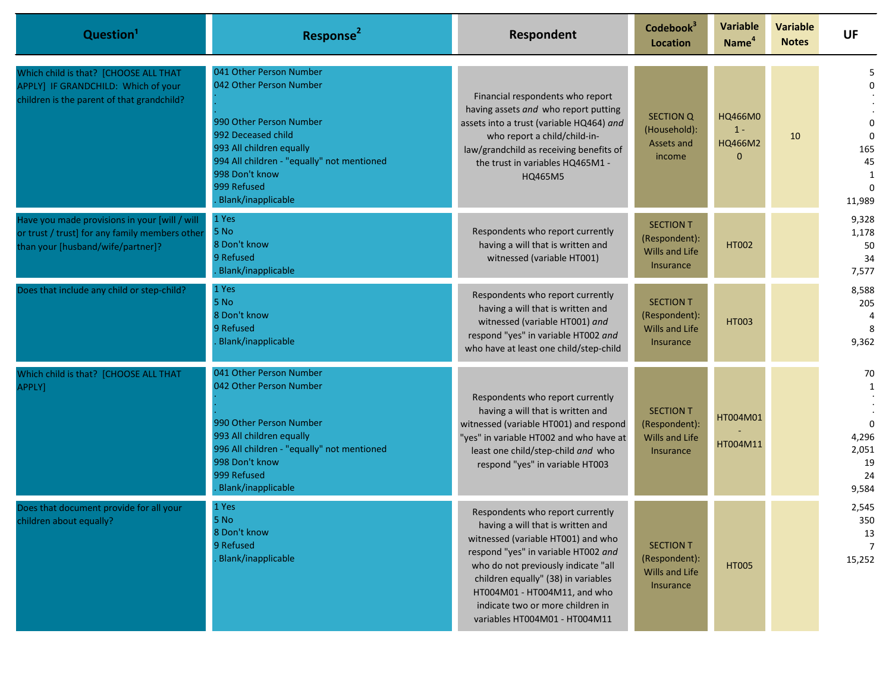| Question <sup>1</sup>                                                                                                                | Response <sup>2</sup>                                                                                                                                                                                                                | Respondent                                                                                                                                                                                                                                                                                                                            | Codebook <sup>3</sup><br><b>Location</b>                                       | <b>Variable</b><br>Name <sup>4</sup>        | <b>Variable</b><br><b>Notes</b> | <b>UF</b>                                                                      |
|--------------------------------------------------------------------------------------------------------------------------------------|--------------------------------------------------------------------------------------------------------------------------------------------------------------------------------------------------------------------------------------|---------------------------------------------------------------------------------------------------------------------------------------------------------------------------------------------------------------------------------------------------------------------------------------------------------------------------------------|--------------------------------------------------------------------------------|---------------------------------------------|---------------------------------|--------------------------------------------------------------------------------|
| Which child is that? [CHOOSE ALL THAT<br>APPLY] IF GRANDCHILD: Which of your<br>children is the parent of that grandchild?           | 041 Other Person Number<br>042 Other Person Number<br>990 Other Person Number<br>992 Deceased child<br>993 All children equally<br>994 All children - "equally" not mentioned<br>998 Don't know<br>999 Refused<br>Blank/inapplicable | Financial respondents who report<br>having assets and who report putting<br>assets into a trust (variable HQ464) and<br>who report a child/child-in-<br>law/grandchild as receiving benefits of<br>the trust in variables HQ465M1 -<br>HQ465M5                                                                                        | <b>SECTION Q</b><br>(Household):<br>Assets and<br>income                       | HQ466M0<br>$1 -$<br>HQ466M2<br>$\mathbf{0}$ | 10                              | $\mathbf 0$<br>$\mathbf 0$<br>$\Omega$<br>165<br>45<br>1<br>$\Omega$<br>11,989 |
| Have you made provisions in your [will / will<br>or trust / trust] for any family members other<br>than your [husband/wife/partner]? | 1 Yes<br>5 No<br>8 Don't know<br>9 Refused<br>Blank/inapplicable                                                                                                                                                                     | Respondents who report currently<br>having a will that is written and<br>witnessed (variable HT001)                                                                                                                                                                                                                                   | <b>SECTION T</b><br>(Respondent):<br><b>Wills and Life</b><br><b>Insurance</b> | <b>HT002</b>                                |                                 | 9,328<br>1,178<br>50<br>34<br>7,577                                            |
| Does that include any child or step-child?                                                                                           | 1 Yes<br>5 No<br>8 Don't know<br>9 Refused<br>Blank/inapplicable                                                                                                                                                                     | Respondents who report currently<br>having a will that is written and<br>witnessed (variable HT001) and<br>respond "yes" in variable HT002 and<br>who have at least one child/step-child                                                                                                                                              | <b>SECTION T</b><br>(Respondent):<br><b>Wills and Life</b><br><b>Insurance</b> | <b>HT003</b>                                |                                 | 8,588<br>205<br>4<br>8<br>9,362                                                |
| Which child is that? [CHOOSE ALL THAT<br>APPLY]                                                                                      | 041 Other Person Number<br>042 Other Person Number<br>990 Other Person Number<br>993 All children equally<br>996 All children - "equally" not mentioned<br>998 Don't know<br>999 Refused<br>Blank/inapplicable                       | Respondents who report currently<br>having a will that is written and<br>witnessed (variable HT001) and respond<br>'yes" in variable HT002 and who have at<br>least one child/step-child and who<br>respond "yes" in variable HT003                                                                                                   | <b>SECTION T</b><br>(Respondent):<br>Wills and Life<br><b>Insurance</b>        | HT004M01<br>HT004M11                        |                                 | 70<br>1<br>$\Omega$<br>4,296<br>2,051<br>19<br>24<br>9,584                     |
| Does that document provide for all your<br>children about equally?                                                                   | 1 Yes<br>5 No<br>8 Don't know<br>9 Refused<br><b>Blank/inapplicable</b>                                                                                                                                                              | Respondents who report currently<br>having a will that is written and<br>witnessed (variable HT001) and who<br>respond "yes" in variable HT002 and<br>who do not previously indicate "all<br>children equally" (38) in variables<br>HT004M01 - HT004M11, and who<br>indicate two or more children in<br>variables HT004M01 - HT004M11 | <b>SECTION T</b><br>(Respondent):<br>Wills and Life<br>Insurance               | <b>HT005</b>                                |                                 | 2,545<br>350<br>13<br>$\overline{7}$<br>15,252                                 |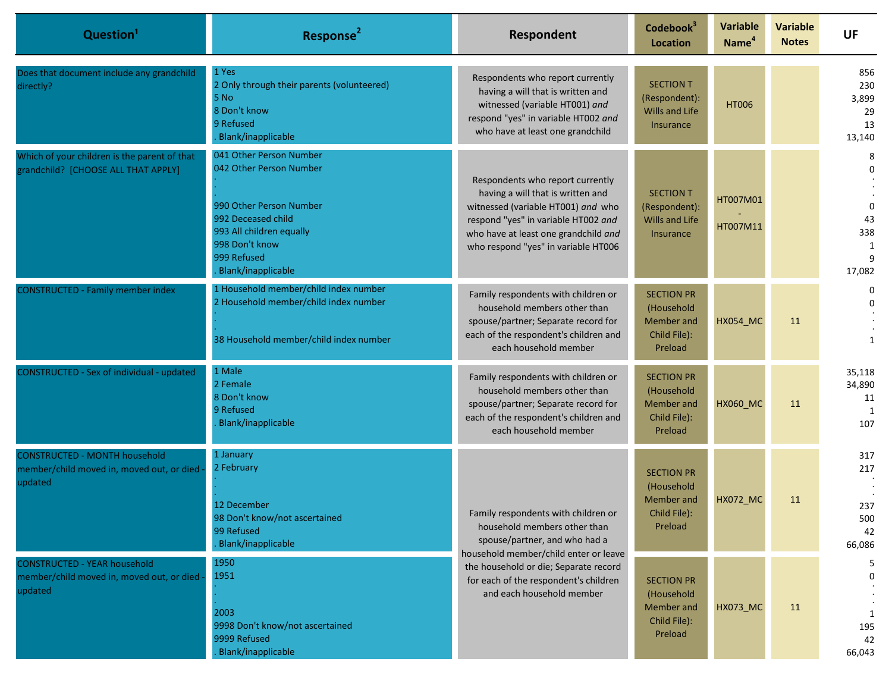| Question <sup>1</sup>                                                                        | Response <sup>2</sup>                                                                                                                                                                  | Respondent                                                                                                                                                                                                                        | Codebook <sup>3</sup><br><b>Location</b>                                       | <b>Variable</b><br>Name <sup>4</sup> | <b>Variable</b><br><b>Notes</b> | <b>UF</b>                                             |
|----------------------------------------------------------------------------------------------|----------------------------------------------------------------------------------------------------------------------------------------------------------------------------------------|-----------------------------------------------------------------------------------------------------------------------------------------------------------------------------------------------------------------------------------|--------------------------------------------------------------------------------|--------------------------------------|---------------------------------|-------------------------------------------------------|
| Does that document include any grandchild<br>directly?                                       | 1 Yes<br>2 Only through their parents (volunteered)<br>5 No<br>8 Don't know<br>9 Refused<br><b>Blank/inapplicable</b>                                                                  | Respondents who report currently<br>having a will that is written and<br>witnessed (variable HT001) and<br>respond "yes" in variable HT002 and<br>who have at least one grandchild                                                | <b>SECTION T</b><br>(Respondent):<br><b>Wills and Life</b><br><b>Insurance</b> | <b>HT006</b>                         |                                 | 856<br>230<br>3,899<br>29<br>13<br>13,140             |
| Which of your children is the parent of that<br>grandchild? [CHOOSE ALL THAT APPLY]          | 041 Other Person Number<br>042 Other Person Number<br>990 Other Person Number<br>992 Deceased child<br>993 All children equally<br>998 Don't know<br>999 Refused<br>Blank/inapplicable | Respondents who report currently<br>having a will that is written and<br>witnessed (variable HT001) and who<br>respond "yes" in variable HT002 and<br>who have at least one grandchild and<br>who respond "yes" in variable HT006 | <b>SECTION T</b><br>(Respondent):<br>Wills and Life<br>Insurance               | HT007M01<br>HT007M11                 |                                 | 8<br>$\Omega$<br>$\Omega$<br>43<br>338<br>1<br>17,082 |
| <b>CONSTRUCTED - Family member index</b>                                                     | 1 Household member/child index number<br>2 Household member/child index number<br>38 Household member/child index number                                                               | Family respondents with children or<br>household members other than<br>spouse/partner; Separate record for<br>each of the respondent's children and<br>each household member                                                      | <b>SECTION PR</b><br>(Household<br>Member and<br>Child File):<br>Preload       | <b>HX054_MC</b>                      | 11                              | 0<br>$\Omega$<br>$\mathbf{1}$                         |
| CONSTRUCTED - Sex of individual - updated                                                    | 1 Male<br>2 Female<br>8 Don't know<br>9 Refused<br><b>Blank/inapplicable</b>                                                                                                           | Family respondents with children or<br>household members other than<br>spouse/partner; Separate record for<br>each of the respondent's children and<br>each household member                                                      | <b>SECTION PR</b><br>(Household<br>Member and<br>Child File):<br>Preload       | <b>HX060_MC</b>                      | 11                              | 35,118<br>34,890<br>11<br>1<br>107                    |
| <b>CONSTRUCTED - MONTH household</b><br>member/child moved in, moved out, or died<br>updated | 1 January<br>2 February<br>12 December<br>98 Don't know/not ascertained<br>99 Refused<br>Blank/inapplicable                                                                            | Family respondents with children or<br>household members other than<br>spouse/partner, and who had a<br>household member/child enter or leave                                                                                     | <b>SECTION PR</b><br>(Household<br>Member and<br>Child File):<br>Preload       | <b>HX072_MC</b>                      | 11                              | 317<br>217<br>237<br>500<br>42<br>66,086              |
| <b>CONSTRUCTED - YEAR household</b><br>member/child moved in, moved out, or died<br>updated  | 1950<br>1951<br>2003<br>9998 Don't know/not ascertained<br>9999 Refused<br><b>Blank/inapplicable</b>                                                                                   | the household or die; Separate record<br>for each of the respondent's children<br>and each household member                                                                                                                       | <b>SECTION PR</b><br>(Household<br>Member and<br>Child File):<br>Preload       | HX073_MC                             | 11                              | 5<br>$\Omega$<br>195<br>42<br>66,043                  |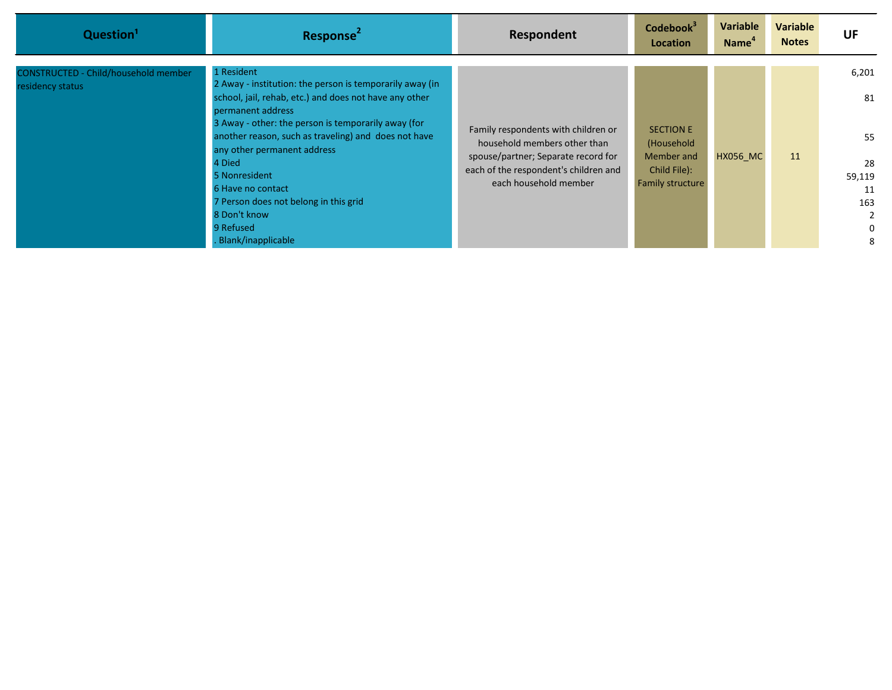| Question <sup>1</sup>                                           | Response <sup>2</sup>                                                                                                                                                                                                                                                                                         | Respondent                                                                                                                                                                   | Codebook <sup>3</sup><br>Location                                                | Variable<br><b>Name</b> | <b>Variable</b><br><b>Notes</b> | UF                                                       |
|-----------------------------------------------------------------|---------------------------------------------------------------------------------------------------------------------------------------------------------------------------------------------------------------------------------------------------------------------------------------------------------------|------------------------------------------------------------------------------------------------------------------------------------------------------------------------------|----------------------------------------------------------------------------------|-------------------------|---------------------------------|----------------------------------------------------------|
| <b>CONSTRUCTED - Child/household member</b><br>residency status | 1 Resident<br>2 Away - institution: the person is temporarily away (in<br>school, jail, rehab, etc.) and does not have any other                                                                                                                                                                              |                                                                                                                                                                              |                                                                                  |                         |                                 | 6,201<br>81                                              |
|                                                                 | permanent address<br>3 Away - other: the person is temporarily away (for<br>another reason, such as traveling) and does not have<br>any other permanent address<br>4 Died<br>5 Nonresident<br>6 Have no contact<br>7 Person does not belong in this grid<br>8 Don't know<br>9 Refused<br>. Blank/inapplicable | Family respondents with children or<br>household members other than<br>spouse/partner; Separate record for<br>each of the respondent's children and<br>each household member | <b>SECTION E</b><br>(Household<br>Member and<br>Child File):<br>Family structure | <b>HX056 MC</b>         | 11                              | 55<br>28<br>59,119<br>11<br>163<br>2<br>$\mathbf 0$<br>8 |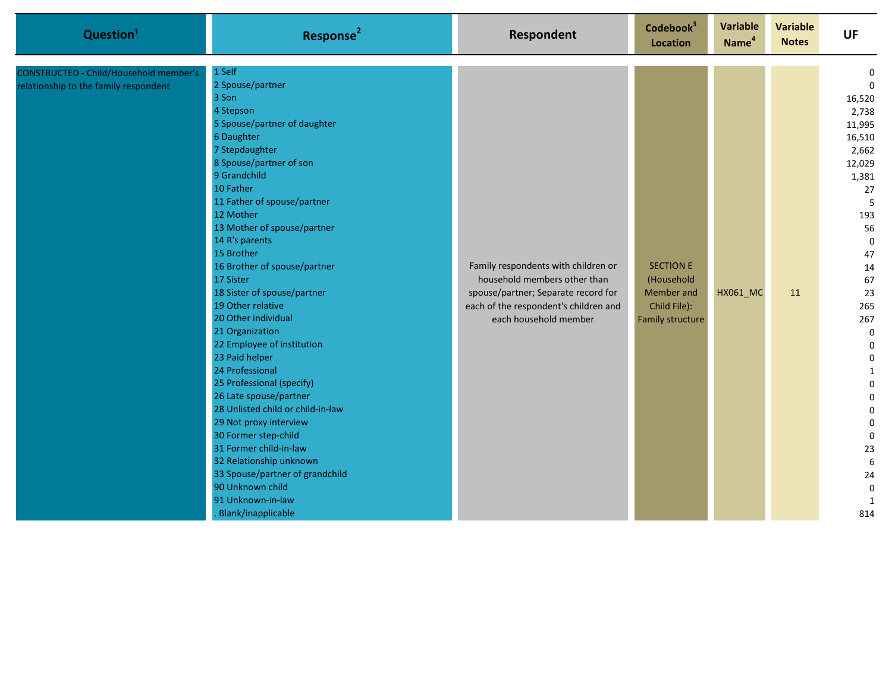| Question <sup>1</sup>                                                           | Response <sup>2</sup>                                                                                                                                                                                                                                                                                                                                                                                                                                                                                                                                                                                                                                                                                                                                                                                  | <b>Respondent</b>                                                                                                                                                            | Codebook <sup>3</sup><br><b>Location</b>                                         | Variable<br>Name <sup>4</sup> | <b>Variable</b><br><b>Notes</b> | <b>UF</b>                                                                                                                                                                                                                                                                                                           |
|---------------------------------------------------------------------------------|--------------------------------------------------------------------------------------------------------------------------------------------------------------------------------------------------------------------------------------------------------------------------------------------------------------------------------------------------------------------------------------------------------------------------------------------------------------------------------------------------------------------------------------------------------------------------------------------------------------------------------------------------------------------------------------------------------------------------------------------------------------------------------------------------------|------------------------------------------------------------------------------------------------------------------------------------------------------------------------------|----------------------------------------------------------------------------------|-------------------------------|---------------------------------|---------------------------------------------------------------------------------------------------------------------------------------------------------------------------------------------------------------------------------------------------------------------------------------------------------------------|
| CONSTRUCTED - Child/Household member's<br>relationship to the family respondent | 1 Self<br>2 Spouse/partner<br>3 Son<br>4 Stepson<br>5 Spouse/partner of daughter<br>6 Daughter<br>7 Stepdaughter<br>8 Spouse/partner of son<br>9 Grandchild<br>10 Father<br>11 Father of spouse/partner<br>12 Mother<br>13 Mother of spouse/partner<br>14 R's parents<br>15 Brother<br>16 Brother of spouse/partner<br>17 Sister<br>18 Sister of spouse/partner<br>19 Other relative<br>20 Other individual<br>21 Organization<br>22 Employee of institution<br>23 Paid helper<br>24 Professional<br>25 Professional (specify)<br>26 Late spouse/partner<br>28 Unlisted child or child-in-law<br>29 Not proxy interview<br>30 Former step-child<br>31 Former child-in-law<br>32 Relationship unknown<br>33 Spouse/partner of grandchild<br>90 Unknown child<br>91 Unknown-in-law<br>Blank/inapplicable | Family respondents with children or<br>household members other than<br>spouse/partner; Separate record for<br>each of the respondent's children and<br>each household member | <b>SECTION E</b><br>(Household<br>Member and<br>Child File):<br>Family structure | <b>HX061_MC</b>               | 11                              | 0<br>$\Omega$<br>16,520<br>2,738<br>11,995<br>16,510<br>2,662<br>12,029<br>1,381<br>27<br>5<br>193<br>56<br>$\mathbf 0$<br>47<br>14<br>67<br>23<br>265<br>267<br>$\mathbf 0$<br>$\mathbf 0$<br>$\pmb{0}$<br>$\mathbf{1}$<br>$\Omega$<br>0<br>0<br>$\mathbf 0$<br>0<br>23<br>$\boldsymbol{6}$<br>24<br>0<br>1<br>814 |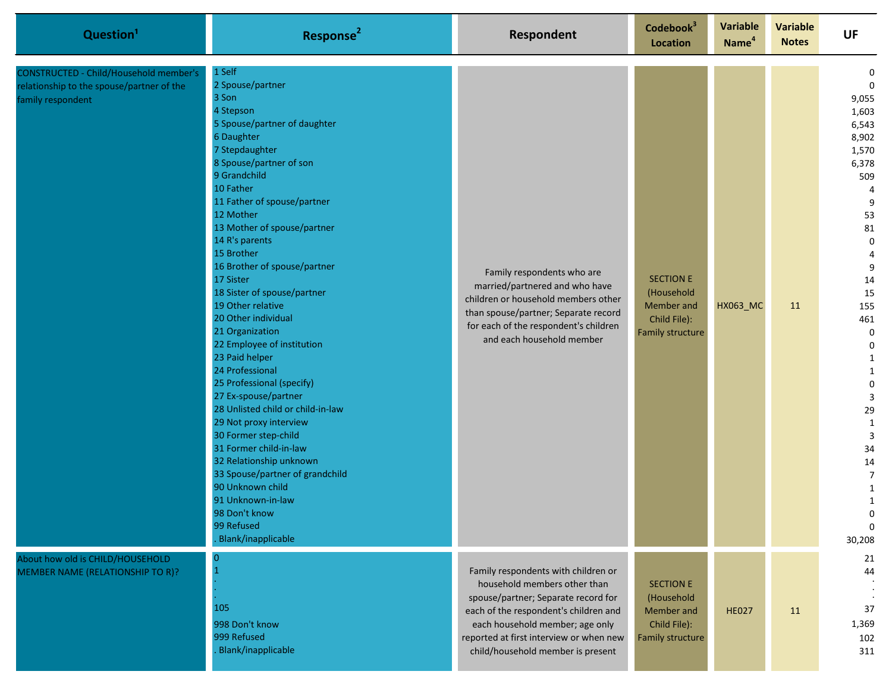| Question <sup>1</sup>                                                                                           | Response <sup>2</sup>                                                                                                                                                                                                                                                                                                                                                                                                                                                                                                                                                                                                                                                                                                                                                                                                               | Respondent                                                                                                                                                                                                                                                             | Codebook <sup>3</sup><br>Location                                                       | <b>Variable</b><br>Name <sup>4</sup> | Variable<br><b>Notes</b> | <b>UF</b>                                                                                                                                                                                                                                                                                                                                     |
|-----------------------------------------------------------------------------------------------------------------|-------------------------------------------------------------------------------------------------------------------------------------------------------------------------------------------------------------------------------------------------------------------------------------------------------------------------------------------------------------------------------------------------------------------------------------------------------------------------------------------------------------------------------------------------------------------------------------------------------------------------------------------------------------------------------------------------------------------------------------------------------------------------------------------------------------------------------------|------------------------------------------------------------------------------------------------------------------------------------------------------------------------------------------------------------------------------------------------------------------------|-----------------------------------------------------------------------------------------|--------------------------------------|--------------------------|-----------------------------------------------------------------------------------------------------------------------------------------------------------------------------------------------------------------------------------------------------------------------------------------------------------------------------------------------|
| <b>CONSTRUCTED - Child/Household member's</b><br>relationship to the spouse/partner of the<br>family respondent | 1 Self<br>2 Spouse/partner<br>3 Son<br>4 Stepson<br>5 Spouse/partner of daughter<br>6 Daughter<br>7 Stepdaughter<br>8 Spouse/partner of son<br>9 Grandchild<br>10 Father<br>11 Father of spouse/partner<br>12 Mother<br>13 Mother of spouse/partner<br>14 R's parents<br>15 Brother<br>16 Brother of spouse/partner<br>17 Sister<br>18 Sister of spouse/partner<br>19 Other relative<br>20 Other individual<br>21 Organization<br>22 Employee of institution<br>23 Paid helper<br>24 Professional<br>25 Professional (specify)<br>27 Ex-spouse/partner<br>28 Unlisted child or child-in-law<br>29 Not proxy interview<br>30 Former step-child<br>31 Former child-in-law<br>32 Relationship unknown<br>33 Spouse/partner of grandchild<br>90 Unknown child<br>91 Unknown-in-law<br>98 Don't know<br>99 Refused<br>Blank/inapplicable | Family respondents who are<br>married/partnered and who have<br>children or household members other<br>than spouse/partner; Separate record<br>for each of the respondent's children<br>and each household member                                                      | <b>SECTION E</b><br>(Household<br>Member and<br>Child File):<br><b>Family structure</b> | <b>HX063_MC</b>                      | 11                       | 0<br>$\mathbf{0}$<br>9,055<br>1,603<br>6,543<br>8,902<br>1,570<br>6,378<br>509<br>4<br>9<br>53<br>81<br>$\mathbf 0$<br>4<br>9<br>14<br>15<br>155<br>461<br>0<br>0<br>1<br>$\mathbf{1}$<br>$\mathbf 0$<br>3<br>29<br>$\mathbf{1}$<br>3<br>34<br>$14\,$<br>$\overline{7}$<br>$\mathbf{1}$<br>$\mathbf{1}$<br><sup>n</sup><br>$\Omega$<br>30,208 |
| About how old is CHILD/HOUSEHOLD<br>MEMBER NAME (RELATIONSHIP TO R)?                                            | 105<br>998 Don't know<br>999 Refused<br><b>Blank/inapplicable</b>                                                                                                                                                                                                                                                                                                                                                                                                                                                                                                                                                                                                                                                                                                                                                                   | Family respondents with children or<br>household members other than<br>spouse/partner; Separate record for<br>each of the respondent's children and<br>each household member; age only<br>reported at first interview or when new<br>child/household member is present | <b>SECTION E</b><br>(Household<br>Member and<br>Child File):<br>Family structure        | <b>HE027</b>                         | 11                       | 21<br>44<br>37<br>1,369<br>102<br>311                                                                                                                                                                                                                                                                                                         |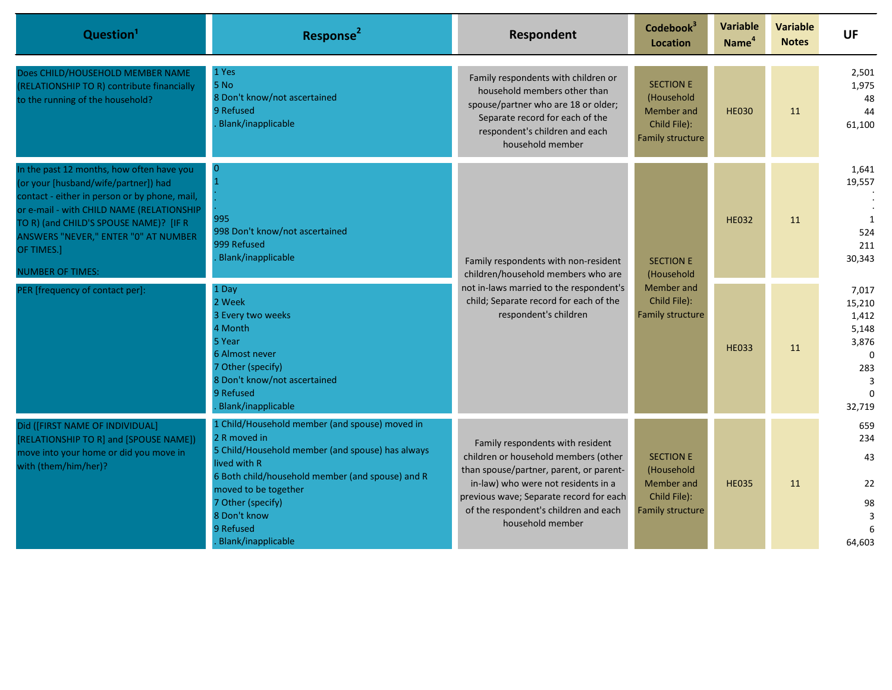| Question <sup>1</sup>                                                                                                                                                                                                                                                                                      | Response <sup>2</sup>                                                                                                                                                                                                                                                                  | Respondent                                                                                                                                                                                                                                                         | Codebook <sup>3</sup><br><b>Location</b>                                         | <b>Variable</b><br>Name <sup>4</sup> | <b>Variable</b><br><b>Notes</b> | <b>UF</b>                                                                                |
|------------------------------------------------------------------------------------------------------------------------------------------------------------------------------------------------------------------------------------------------------------------------------------------------------------|----------------------------------------------------------------------------------------------------------------------------------------------------------------------------------------------------------------------------------------------------------------------------------------|--------------------------------------------------------------------------------------------------------------------------------------------------------------------------------------------------------------------------------------------------------------------|----------------------------------------------------------------------------------|--------------------------------------|---------------------------------|------------------------------------------------------------------------------------------|
| Does CHILD/HOUSEHOLD MEMBER NAME<br>(RELATIONSHIP TO R) contribute financially<br>to the running of the household?                                                                                                                                                                                         | 1 Yes<br>5 No<br>8 Don't know/not ascertained<br>9 Refused<br>Blank/inapplicable                                                                                                                                                                                                       | Family respondents with children or<br>household members other than<br>spouse/partner who are 18 or older;<br>Separate record for each of the<br>respondent's children and each<br>household member                                                                | <b>SECTION E</b><br>(Household<br>Member and<br>Child File):<br>Family structure | <b>HE030</b>                         | 11                              | 2,501<br>1,975<br>48<br>44<br>61,100                                                     |
| In the past 12 months, how often have you<br>(or your [husband/wife/partner]) had<br>contact - either in person or by phone, mail,<br>or e-mail - with CHILD NAME (RELATIONSHIP<br>TO R) (and CHILD'S SPOUSE NAME)? [IF R<br>ANSWERS "NEVER," ENTER "0" AT NUMBER<br>OF TIMES.]<br><b>NUMBER OF TIMES:</b> | $\overline{0}$<br>995<br>998 Don't know/not ascertained<br>999 Refused<br>Blank/inapplicable                                                                                                                                                                                           | Family respondents with non-resident<br>children/household members who are<br>not in-laws married to the respondent's<br>child; Separate record for each of the<br>respondent's children                                                                           | <b>SECTION E</b><br>(Household<br>Member and<br>Child File):<br>Family structure | <b>HE032</b>                         | 11                              | 1,641<br>19,557<br>1<br>524<br>211<br>30,343                                             |
| PER [frequency of contact per]:                                                                                                                                                                                                                                                                            | 1 Day<br>2 Week<br>3 Every two weeks<br>4 Month<br>5 Year<br>6 Almost never<br>7 Other (specify)<br>8 Don't know/not ascertained<br>9 Refused<br>Blank/inapplicable                                                                                                                    |                                                                                                                                                                                                                                                                    |                                                                                  | <b>HE033</b>                         | 11                              | 7,017<br>15,210<br>1,412<br>5,148<br>3,876<br>$\Omega$<br>283<br>3<br>$\Omega$<br>32,719 |
| Did ([FIRST NAME OF INDIVIDUAL]<br>[RELATIONSHIP TO R] and [SPOUSE NAME])<br>move into your home or did you move in<br>with (them/him/her)?                                                                                                                                                                | 1 Child/Household member (and spouse) moved in<br>2 R moved in<br>5 Child/Household member (and spouse) has always<br>lived with R<br>6 Both child/household member (and spouse) and R<br>moved to be together<br>7 Other (specify)<br>8 Don't know<br>9 Refused<br>Blank/inapplicable | Family respondents with resident<br>children or household members (other<br>than spouse/partner, parent, or parent-<br>in-law) who were not residents in a<br>previous wave; Separate record for each<br>of the respondent's children and each<br>household member | <b>SECTION E</b><br>(Household<br>Member and<br>Child File):<br>Family structure | <b>HE035</b>                         | 11                              | 659<br>234<br>43<br>22<br>98<br>$\overline{3}$<br>6<br>64,603                            |